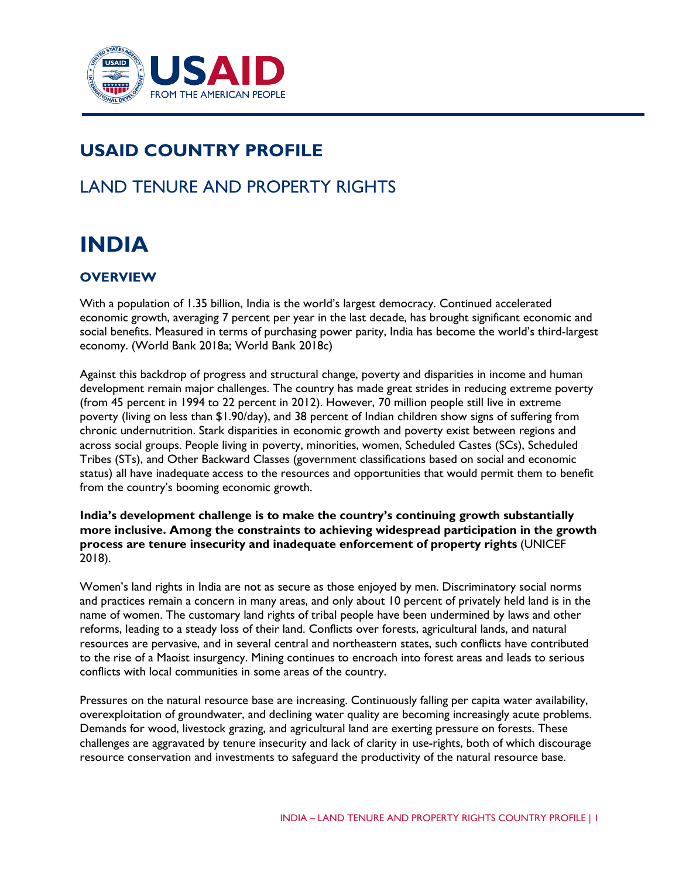

# **USAID COUNTRY PROFILE**

## LAND TENURE AND PROPERTY RIGHTS

# **INDIA**

## **OVERVIEW**

With a population of 1.35 billion, India is the world's largest democracy. Continued accelerated economic growth, averaging 7 percent per year in the last decade, has brought significant economic and social benefits. Measured in terms of purchasing power parity, India has become the world's third-largest economy. (World Bank 2018a; World Bank 2018c)

Against this backdrop of progress and structural change, poverty and disparities in income and human development remain major challenges. The country has made great strides in reducing extreme poverty (from 45 percent in 1994 to 22 percent in 2012). However, 70 million people still live in extreme poverty (living on less than \$1.90/day), and 38 percent of Indian children show signs of suffering from chronic undernutrition. Stark disparities in economic growth and poverty exist between regions and across social groups. People living in poverty, minorities, women, Scheduled Castes (SCs), Scheduled Tribes (STs), and Other Backward Classes (government classifications based on social and economic status) all have inadequate access to the resources and opportunities that would permit them to benefit from the country's booming economic growth.

**India's development challenge is to make the country's continuing growth substantially more inclusive. Among the constraints to achieving widespread participation in the growth process are tenure insecurity and inadequate enforcement of property rights** (UNICEF 2018).

Women's land rights in India are not as secure as those enjoyed by men. Discriminatory social norms and practices remain a concern in many areas, and only about 10 percent of privately held land is in the name of women. The customary land rights of tribal people have been undermined by laws and other reforms, leading to a steady loss of their land. Conflicts over forests, agricultural lands, and natural resources are pervasive, and in several central and northeastern states, such conflicts have contributed to the rise of a Maoist insurgency. Mining continues to encroach into forest areas and leads to serious conflicts with local communities in some areas of the country.

Pressures on the natural resource base are increasing. Continuously falling per capita water availability, overexploitation of groundwater, and declining water quality are becoming increasingly acute problems. Demands for wood, livestock grazing, and agricultural land are exerting pressure on forests. These challenges are aggravated by tenure insecurity and lack of clarity in use-rights, both of which discourage resource conservation and investments to safeguard the productivity of the natural resource base.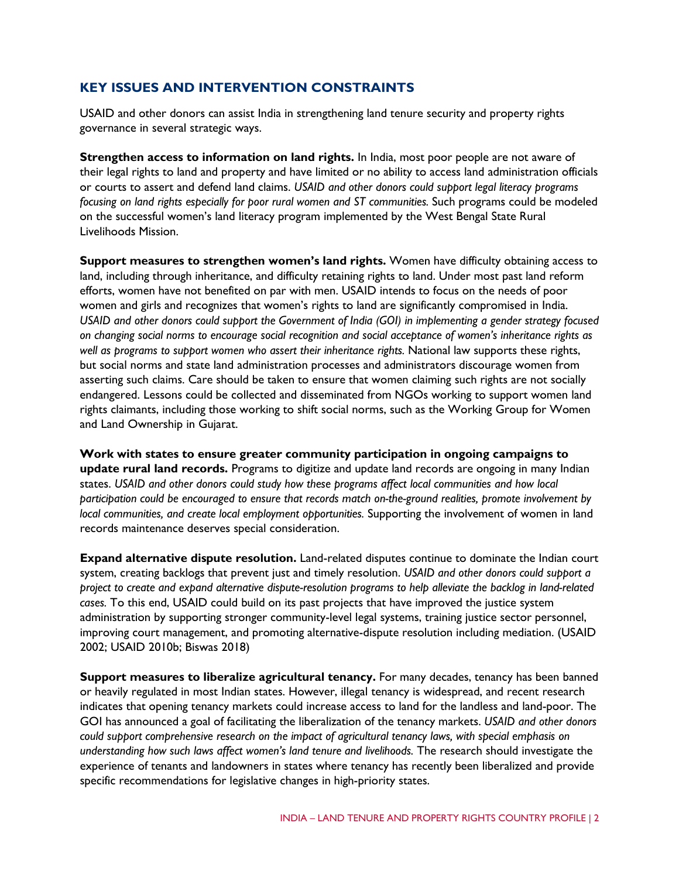## **KEY ISSUES AND INTERVENTION CONSTRAINTS**

USAID and other donors can assist India in strengthening land tenure security and property rights governance in several strategic ways.

**Strengthen access to information on land rights.** In India, most poor people are not aware of their legal rights to land and property and have limited or no ability to access land administration officials or courts to assert and defend land claims. *USAID and other donors could support legal literacy programs focusing on land rights especially for poor rural women and ST communities.* Such programs could be modeled on the successful women's land literacy program implemented by the West Bengal State Rural Livelihoods Mission.

**Support measures to strengthen women's land rights.** Women have difficulty obtaining access to land, including through inheritance, and difficulty retaining rights to land. Under most past land reform efforts, women have not benefited on par with men. USAID intends to focus on the needs of poor women and girls and recognizes that women's rights to land are significantly compromised in India. *USAID and other donors could support the Government of India (GOI) in implementing a gender strategy focused on changing social norms to encourage social recognition and social acceptance of women's inheritance rights as well as programs to support women who assert their inheritance rights.* National law supports these rights, but social norms and state land administration processes and administrators discourage women from asserting such claims. Care should be taken to ensure that women claiming such rights are not socially endangered. Lessons could be collected and disseminated from NGOs working to support women land rights claimants, including those working to shift social norms, such as the Working Group for Women and Land Ownership in Gujarat.

**Work with states to ensure greater community participation in ongoing campaigns to update rural land records.** Programs to digitize and update land records are ongoing in many Indian states. *USAID and other donors could study how these programs affect local communities and how local participation could be encouraged to ensure that records match on-the-ground realities, promote involvement by local communities, and create local employment opportunities.* Supporting the involvement of women in land records maintenance deserves special consideration.

**Expand alternative dispute resolution.** Land-related disputes continue to dominate the Indian court system, creating backlogs that prevent just and timely resolution. *USAID and other donors could support a project to create and expand alternative dispute-resolution programs to help alleviate the backlog in land-related cases.* To this end, USAID could build on its past projects that have improved the justice system administration by supporting stronger community-level legal systems, training justice sector personnel, improving court management, and promoting alternative-dispute resolution including mediation. (USAID 2002; USAID 2010b; Biswas 2018)

**Support measures to liberalize agricultural tenancy.** For many decades, tenancy has been banned or heavily regulated in most Indian states. However, illegal tenancy is widespread, and recent research indicates that opening tenancy markets could increase access to land for the landless and land-poor. The GOI has announced a goal of facilitating the liberalization of the tenancy markets. *USAID and other donors could support comprehensive research on the impact of agricultural tenancy laws, with special emphasis on understanding how such laws affect women's land tenure and livelihoods.* The research should investigate the experience of tenants and landowners in states where tenancy has recently been liberalized and provide specific recommendations for legislative changes in high-priority states.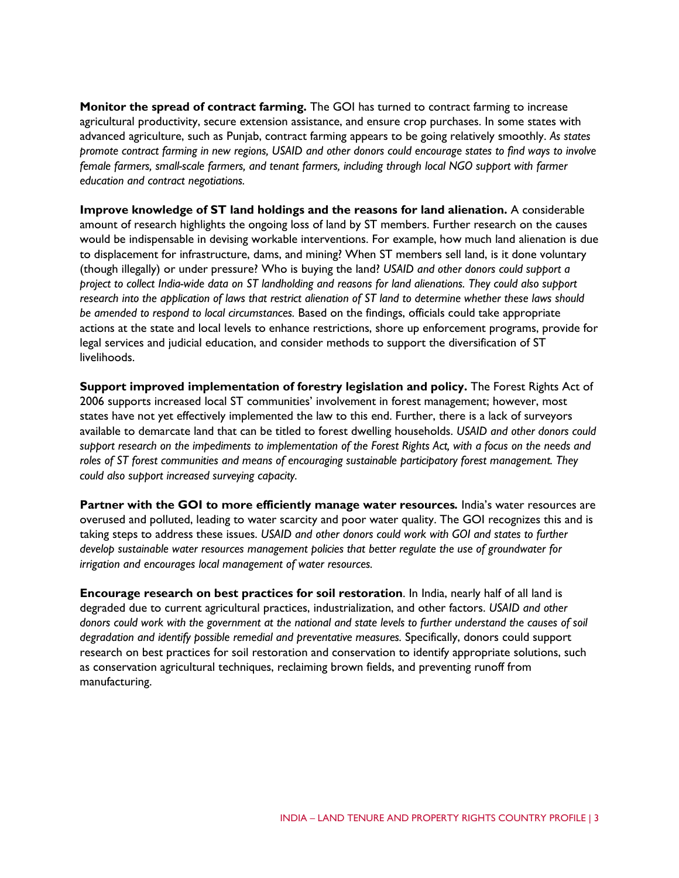**Monitor the spread of contract farming.** The GOI has turned to contract farming to increase agricultural productivity, secure extension assistance, and ensure crop purchases. In some states with advanced agriculture, such as Punjab, contract farming appears to be going relatively smoothly. *As states promote contract farming in new regions, USAID and other donors could encourage states to find ways to involve female farmers, small-scale farmers, and tenant farmers, including through local NGO support with farmer education and contract negotiations.* 

**Improve knowledge of ST land holdings and the reasons for land alienation.** A considerable amount of research highlights the ongoing loss of land by ST members. Further research on the causes would be indispensable in devising workable interventions. For example, how much land alienation is due to displacement for infrastructure, dams, and mining? When ST members sell land, is it done voluntary (though illegally) or under pressure? Who is buying the land? *USAID and other donors could support a project to collect India-wide data on ST landholding and reasons for land alienations. They could also support research into the application of laws that restrict alienation of ST land to determine whether these laws should be amended to respond to local circumstances.* Based on the findings, officials could take appropriate actions at the state and local levels to enhance restrictions, shore up enforcement programs, provide for legal services and judicial education, and consider methods to support the diversification of ST livelihoods.

**Support improved implementation of forestry legislation and policy.** The Forest Rights Act of 2006 supports increased local ST communities' involvement in forest management; however, most states have not yet effectively implemented the law to this end. Further, there is a lack of surveyors available to demarcate land that can be titled to forest dwelling households. *USAID and other donors could support research on the impediments to implementation of the Forest Rights Act, with a focus on the needs and roles of ST forest communities and means of encouraging sustainable participatory forest management. They could also support increased surveying capacity.*

**Partner with the GOI to more efficiently manage water resources***.* India's water resources are overused and polluted, leading to water scarcity and poor water quality. The GOI recognizes this and is taking steps to address these issues. *USAID and other donors could work with GOI and states to further develop sustainable water resources management policies that better regulate the use of groundwater for irrigation and encourages local management of water resources.*

**Encourage research on best practices for soil restoration**. In India, nearly half of all land is degraded due to current agricultural practices, industrialization, and other factors. *USAID and other donors could work with the government at the national and state levels to further understand the causes of soil degradation and identify possible remedial and preventative measures.* Specifically, donors could support research on best practices for soil restoration and conservation to identify appropriate solutions, such as conservation agricultural techniques, reclaiming brown fields, and preventing runoff from manufacturing.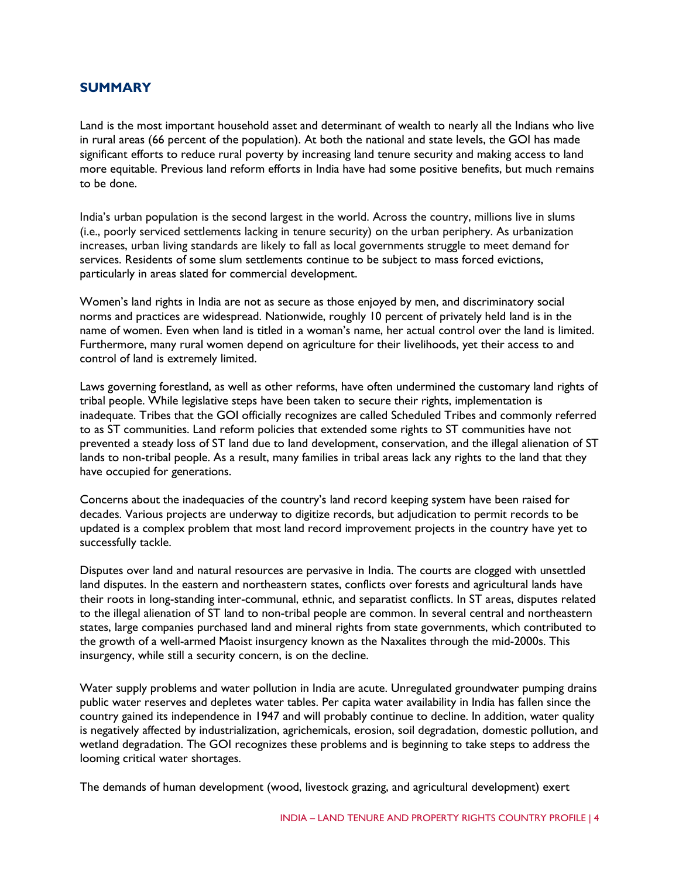## **SUMMARY**

Land is the most important household asset and determinant of wealth to nearly all the Indians who live in rural areas (66 percent of the population). At both the national and state levels, the GOI has made significant efforts to reduce rural poverty by increasing land tenure security and making access to land more equitable. Previous land reform efforts in India have had some positive benefits, but much remains to be done.

India's urban population is the second largest in the world. Across the country, millions live in slums (i.e., poorly serviced settlements lacking in tenure security) on the urban periphery. As urbanization increases, urban living standards are likely to fall as local governments struggle to meet demand for services. Residents of some slum settlements continue to be subject to mass forced evictions, particularly in areas slated for commercial development.

Women's land rights in India are not as secure as those enjoyed by men, and discriminatory social norms and practices are widespread. Nationwide, roughly 10 percent of privately held land is in the name of women. Even when land is titled in a woman's name, her actual control over the land is limited. Furthermore, many rural women depend on agriculture for their livelihoods, yet their access to and control of land is extremely limited.

Laws governing forestland, as well as other reforms, have often undermined the customary land rights of tribal people. While legislative steps have been taken to secure their rights, implementation is inadequate. Tribes that the GOI officially recognizes are called Scheduled Tribes and commonly referred to as ST communities. Land reform policies that extended some rights to ST communities have not prevented a steady loss of ST land due to land development, conservation, and the illegal alienation of ST lands to non-tribal people. As a result, many families in tribal areas lack any rights to the land that they have occupied for generations.

Concerns about the inadequacies of the country's land record keeping system have been raised for decades. Various projects are underway to digitize records, but adjudication to permit records to be updated is a complex problem that most land record improvement projects in the country have yet to successfully tackle.

Disputes over land and natural resources are pervasive in India. The courts are clogged with unsettled land disputes. In the eastern and northeastern states, conflicts over forests and agricultural lands have their roots in long-standing inter-communal, ethnic, and separatist conflicts. In ST areas, disputes related to the illegal alienation of ST land to non-tribal people are common. In several central and northeastern states, large companies purchased land and mineral rights from state governments, which contributed to the growth of a well-armed Maoist insurgency known as the Naxalites through the mid-2000s. This insurgency, while still a security concern, is on the decline.

Water supply problems and water pollution in India are acute. Unregulated groundwater pumping drains public water reserves and depletes water tables. Per capita water availability in India has fallen since the country gained its independence in 1947 and will probably continue to decline. In addition, water quality is negatively affected by industrialization, agrichemicals, erosion, soil degradation, domestic pollution, and wetland degradation. The GOI recognizes these problems and is beginning to take steps to address the looming critical water shortages.

The demands of human development (wood, livestock grazing, and agricultural development) exert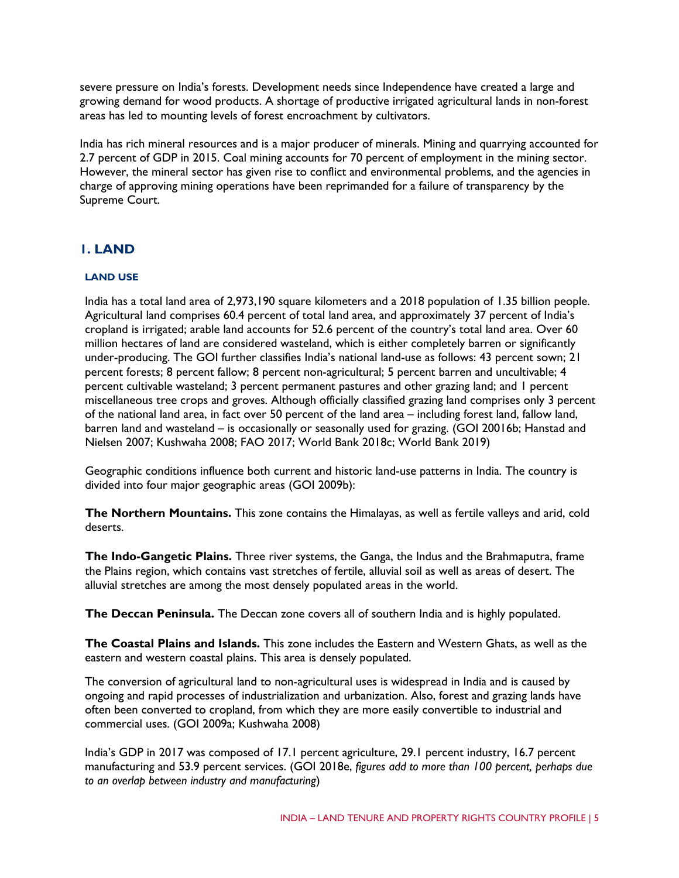severe pressure on India's forests. Development needs since Independence have created a large and growing demand for wood products. A shortage of productive irrigated agricultural lands in non-forest areas has led to mounting levels of forest encroachment by cultivators.

India has rich mineral resources and is a major producer of minerals. Mining and quarrying accounted for 2.7 percent of GDP in 2015. Coal mining accounts for 70 percent of employment in the mining sector. However, the mineral sector has given rise to conflict and environmental problems, and the agencies in charge of approving mining operations have been reprimanded for a failure of transparency by the Supreme Court.

## **1. LAND**

### **LAND USE**

India has a total land area of 2,973,190 square kilometers and a 2018 population of 1.35 billion people. Agricultural land comprises 60.4 percent of total land area, and approximately 37 percent of India's cropland is irrigated; arable land accounts for 52.6 percent of the country's total land area. Over 60 million hectares of land are considered wasteland, which is either completely barren or significantly under-producing. The GOI further classifies India's national land-use as follows: 43 percent sown; 21 percent forests; 8 percent fallow; 8 percent non-agricultural; 5 percent barren and uncultivable; 4 percent cultivable wasteland; 3 percent permanent pastures and other grazing land; and 1 percent miscellaneous tree crops and groves. Although officially classified grazing land comprises only 3 percent of the national land area, in fact over 50 percent of the land area – including forest land, fallow land, barren land and wasteland – is occasionally or seasonally used for grazing. (GOI 20016b; Hanstad and Nielsen 2007; Kushwaha 2008; FAO 2017; World Bank 2018c; World Bank 2019)

Geographic conditions influence both current and historic land-use patterns in India. The country is divided into four major geographic areas (GOI 2009b):

**The Northern Mountains.** This zone contains the Himalayas, as well as fertile valleys and arid, cold deserts.

**The Indo-Gangetic Plains.** Three river systems, the Ganga, the Indus and the Brahmaputra, frame the Plains region, which contains vast stretches of fertile, alluvial soil as well as areas of desert. The alluvial stretches are among the most densely populated areas in the world.

**The Deccan Peninsula.** The Deccan zone covers all of southern India and is highly populated.

**The Coastal Plains and Islands.** This zone includes the Eastern and Western Ghats, as well as the eastern and western coastal plains. This area is densely populated.

The conversion of agricultural land to non-agricultural uses is widespread in India and is caused by ongoing and rapid processes of industrialization and urbanization. Also, forest and grazing lands have often been converted to cropland, from which they are more easily convertible to industrial and commercial uses. (GOI 2009a; Kushwaha 2008)

India's GDP in 2017 was composed of 17.1 percent agriculture, 29.1 percent industry, 16.7 percent manufacturing and 53.9 percent services. (GOI 2018e, *figures add to more than 100 percent, perhaps due to an overlap between industry and manufacturing*)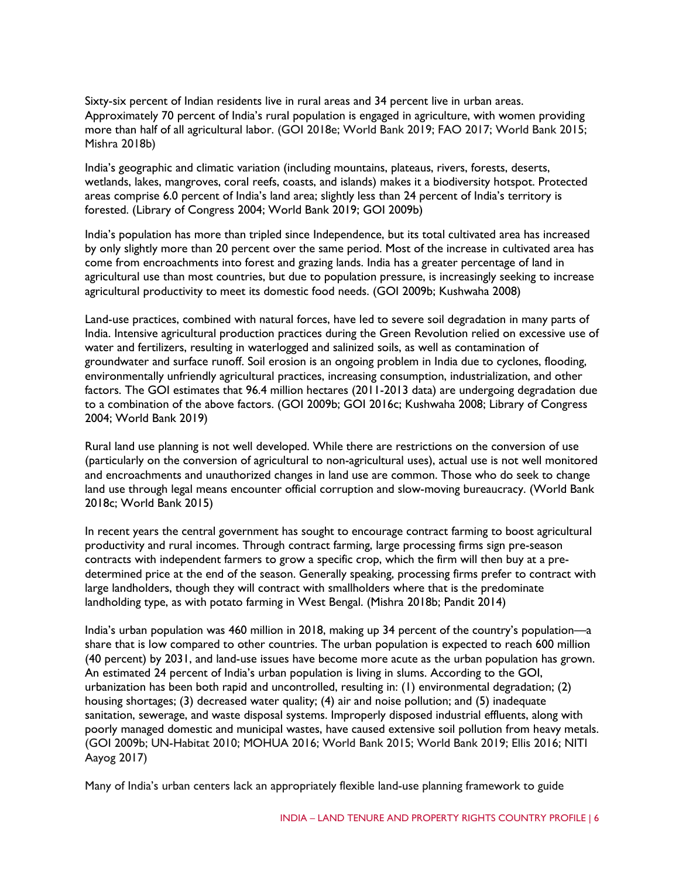Sixty-six percent of Indian residents live in rural areas and 34 percent live in urban areas. Approximately 70 percent of India's rural population is engaged in agriculture, with women providing more than half of all agricultural labor. (GOI 2018e; World Bank 2019; FAO 2017; World Bank 2015; Mishra 2018b)

India's geographic and climatic variation (including mountains, plateaus, rivers, forests, deserts, wetlands, lakes, mangroves, coral reefs, coasts, and islands) makes it a biodiversity hotspot. Protected areas comprise 6.0 percent of India's land area; slightly less than 24 percent of India's territory is forested. (Library of Congress 2004; World Bank 2019; GOI 2009b)

India's population has more than tripled since Independence, but its total cultivated area has increased by only slightly more than 20 percent over the same period. Most of the increase in cultivated area has come from encroachments into forest and grazing lands. India has a greater percentage of land in agricultural use than most countries, but due to population pressure, is increasingly seeking to increase agricultural productivity to meet its domestic food needs. (GOI 2009b; Kushwaha 2008)

Land-use practices, combined with natural forces, have led to severe soil degradation in many parts of India. Intensive agricultural production practices during the Green Revolution relied on excessive use of water and fertilizers, resulting in waterlogged and salinized soils, as well as contamination of groundwater and surface runoff. Soil erosion is an ongoing problem in India due to cyclones, flooding, environmentally unfriendly agricultural practices, increasing consumption, industrialization, and other factors. The GOI estimates that 96.4 million hectares (2011-2013 data) are undergoing degradation due to a combination of the above factors. (GOI 2009b; GOI 2016c; Kushwaha 2008; Library of Congress 2004; World Bank 2019)

Rural land use planning is not well developed. While there are restrictions on the conversion of use (particularly on the conversion of agricultural to non-agricultural uses), actual use is not well monitored and encroachments and unauthorized changes in land use are common. Those who do seek to change land use through legal means encounter official corruption and slow-moving bureaucracy. (World Bank 2018c; World Bank 2015)

In recent years the central government has sought to encourage contract farming to boost agricultural productivity and rural incomes. Through contract farming, large processing firms sign pre-season contracts with independent farmers to grow a specific crop, which the firm will then buy at a predetermined price at the end of the season. Generally speaking, processing firms prefer to contract with large landholders, though they will contract with smallholders where that is the predominate landholding type, as with potato farming in West Bengal. (Mishra 2018b; Pandit 2014)

India's urban population was 460 million in 2018, making up 34 percent of the country's population—a share that is low compared to other countries. The urban population is expected to reach 600 million (40 percent) by 2031, and land-use issues have become more acute as the urban population has grown. An estimated 24 percent of India's urban population is living in slums. According to the GOI, urbanization has been both rapid and uncontrolled, resulting in: (1) environmental degradation; (2) housing shortages; (3) decreased water quality; (4) air and noise pollution; and (5) inadequate sanitation, sewerage, and waste disposal systems. Improperly disposed industrial effluents, along with poorly managed domestic and municipal wastes, have caused extensive soil pollution from heavy metals. (GOI 2009b; UN-Habitat 2010; MOHUA 2016; World Bank 2015; World Bank 2019; Ellis 2016; NITI Aayog 2017)

Many of India's urban centers lack an appropriately flexible land-use planning framework to guide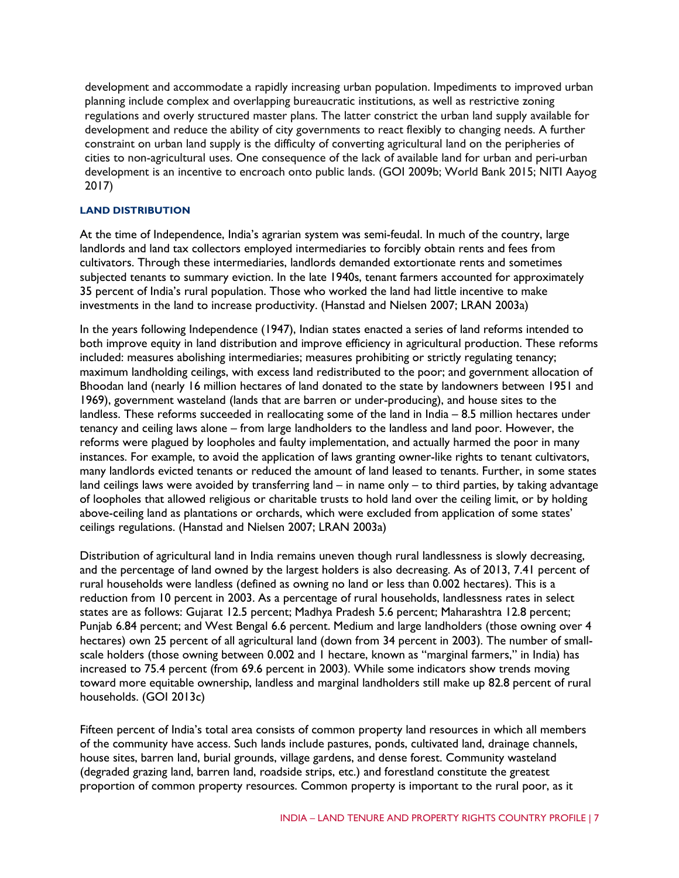development and accommodate a rapidly increasing urban population. Impediments to improved urban planning include complex and overlapping bureaucratic institutions, as well as restrictive zoning regulations and overly structured master plans. The latter constrict the urban land supply available for development and reduce the ability of city governments to react flexibly to changing needs. A further constraint on urban land supply is the difficulty of converting agricultural land on the peripheries of cities to non-agricultural uses. One consequence of the lack of available land for urban and peri-urban development is an incentive to encroach onto public lands. (GOI 2009b; World Bank 2015; NITI Aayog 2017)

#### **LAND DISTRIBUTION**

At the time of Independence, India's agrarian system was semi-feudal. In much of the country, large landlords and land tax collectors employed intermediaries to forcibly obtain rents and fees from cultivators. Through these intermediaries, landlords demanded extortionate rents and sometimes subjected tenants to summary eviction. In the late 1940s, tenant farmers accounted for approximately 35 percent of India's rural population. Those who worked the land had little incentive to make investments in the land to increase productivity. (Hanstad and Nielsen 2007; LRAN 2003a)

In the years following Independence (1947), Indian states enacted a series of land reforms intended to both improve equity in land distribution and improve efficiency in agricultural production. These reforms included: measures abolishing intermediaries; measures prohibiting or strictly regulating tenancy; maximum landholding ceilings, with excess land redistributed to the poor; and government allocation of Bhoodan land (nearly 16 million hectares of land donated to the state by landowners between 1951 and 1969), government wasteland (lands that are barren or under-producing), and house sites to the landless. These reforms succeeded in reallocating some of the land in India – 8.5 million hectares under tenancy and ceiling laws alone – from large landholders to the landless and land poor. However, the reforms were plagued by loopholes and faulty implementation, and actually harmed the poor in many instances. For example, to avoid the application of laws granting owner-like rights to tenant cultivators, many landlords evicted tenants or reduced the amount of land leased to tenants. Further, in some states land ceilings laws were avoided by transferring land – in name only – to third parties, by taking advantage of loopholes that allowed religious or charitable trusts to hold land over the ceiling limit, or by holding above-ceiling land as plantations or orchards, which were excluded from application of some states' ceilings regulations. (Hanstad and Nielsen 2007; LRAN 2003a)

Distribution of agricultural land in India remains uneven though rural landlessness is slowly decreasing, and the percentage of land owned by the largest holders is also decreasing. As of 2013, 7.41 percent of rural households were landless (defined as owning no land or less than 0.002 hectares). This is a reduction from 10 percent in 2003. As a percentage of rural households, landlessness rates in select states are as follows: Gujarat 12.5 percent; Madhya Pradesh 5.6 percent; Maharashtra 12.8 percent; Punjab 6.84 percent; and West Bengal 6.6 percent. Medium and large landholders (those owning over 4 hectares) own 25 percent of all agricultural land (down from 34 percent in 2003). The number of smallscale holders (those owning between 0.002 and 1 hectare, known as "marginal farmers," in India) has increased to 75.4 percent (from 69.6 percent in 2003). While some indicators show trends moving toward more equitable ownership, landless and marginal landholders still make up 82.8 percent of rural households. (GOI 2013c)

Fifteen percent of India's total area consists of common property land resources in which all members of the community have access. Such lands include pastures, ponds, cultivated land, drainage channels, house sites, barren land, burial grounds, village gardens, and dense forest. Community wasteland (degraded grazing land, barren land, roadside strips, etc.) and forestland constitute the greatest proportion of common property resources. Common property is important to the rural poor, as it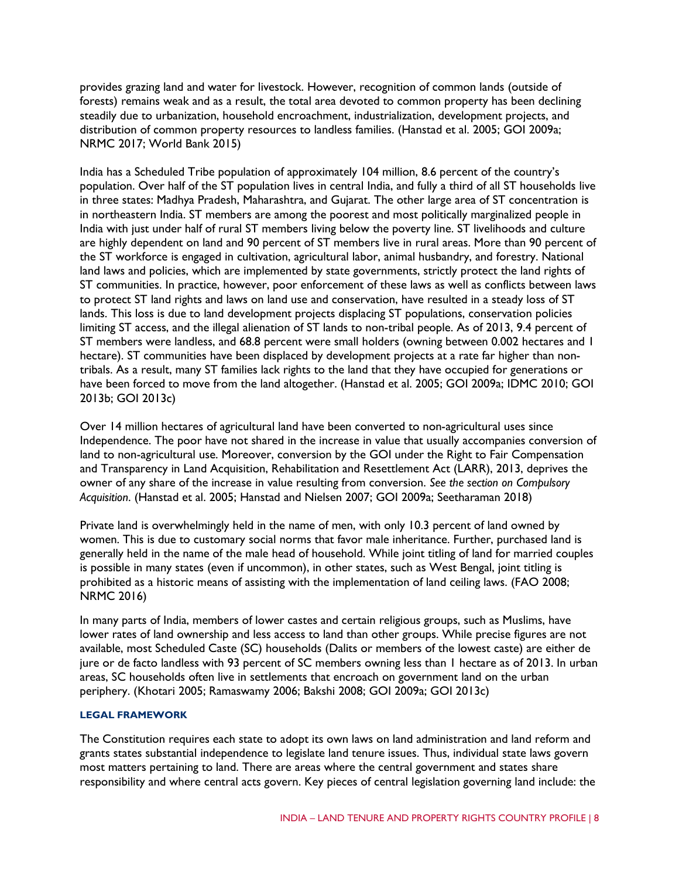provides grazing land and water for livestock. However, recognition of common lands (outside of forests) remains weak and as a result, the total area devoted to common property has been declining steadily due to urbanization, household encroachment, industrialization, development projects, and distribution of common property resources to landless families. (Hanstad et al. 2005; GOI 2009a; NRMC 2017; World Bank 2015)

India has a Scheduled Tribe population of approximately 104 million, 8.6 percent of the country's population. Over half of the ST population lives in central India, and fully a third of all ST households live in three states: Madhya Pradesh, Maharashtra, and Gujarat. The other large area of ST concentration is in northeastern India. ST members are among the poorest and most politically marginalized people in India with just under half of rural ST members living below the poverty line. ST livelihoods and culture are highly dependent on land and 90 percent of ST members live in rural areas. More than 90 percent of the ST workforce is engaged in cultivation, agricultural labor, animal husbandry, and forestry. National land laws and policies, which are implemented by state governments, strictly protect the land rights of ST communities. In practice, however, poor enforcement of these laws as well as conflicts between laws to protect ST land rights and laws on land use and conservation, have resulted in a steady loss of ST lands. This loss is due to land development projects displacing ST populations, conservation policies limiting ST access, and the illegal alienation of ST lands to non-tribal people. As of 2013, 9.4 percent of ST members were landless, and 68.8 percent were small holders (owning between 0.002 hectares and 1 hectare). ST communities have been displaced by development projects at a rate far higher than nontribals. As a result, many ST families lack rights to the land that they have occupied for generations or have been forced to move from the land altogether. (Hanstad et al. 2005; GOI 2009a; IDMC 2010; GOI 2013b; GOI 2013c)

Over 14 million hectares of agricultural land have been converted to non-agricultural uses since Independence. The poor have not shared in the increase in value that usually accompanies conversion of land to non-agricultural use. Moreover, conversion by the GOI under the Right to Fair Compensation and Transparency in Land Acquisition, Rehabilitation and Resettlement Act (LARR), 2013, deprives the owner of any share of the increase in value resulting from conversion. *See the section on Compulsory Acquisition*. (Hanstad et al. 2005; Hanstad and Nielsen 2007; GOI 2009a; Seetharaman 2018)

Private land is overwhelmingly held in the name of men, with only 10.3 percent of land owned by women. This is due to customary social norms that favor male inheritance. Further, purchased land is generally held in the name of the male head of household. While joint titling of land for married couples is possible in many states (even if uncommon), in other states, such as West Bengal, joint titling is prohibited as a historic means of assisting with the implementation of land ceiling laws. (FAO 2008; NRMC 2016)

In many parts of India, members of lower castes and certain religious groups, such as Muslims, have lower rates of land ownership and less access to land than other groups. While precise figures are not available, most Scheduled Caste (SC) households (Dalits or members of the lowest caste) are either de jure or de facto landless with 93 percent of SC members owning less than 1 hectare as of 2013. In urban areas, SC households often live in settlements that encroach on government land on the urban periphery. (Khotari 2005; Ramaswamy 2006; Bakshi 2008; GOI 2009a; GOI 2013c)

#### **LEGAL FRAMEWORK**

The Constitution requires each state to adopt its own laws on land administration and land reform and grants states substantial independence to legislate land tenure issues. Thus, individual state laws govern most matters pertaining to land. There are areas where the central government and states share responsibility and where central acts govern. Key pieces of central legislation governing land include: the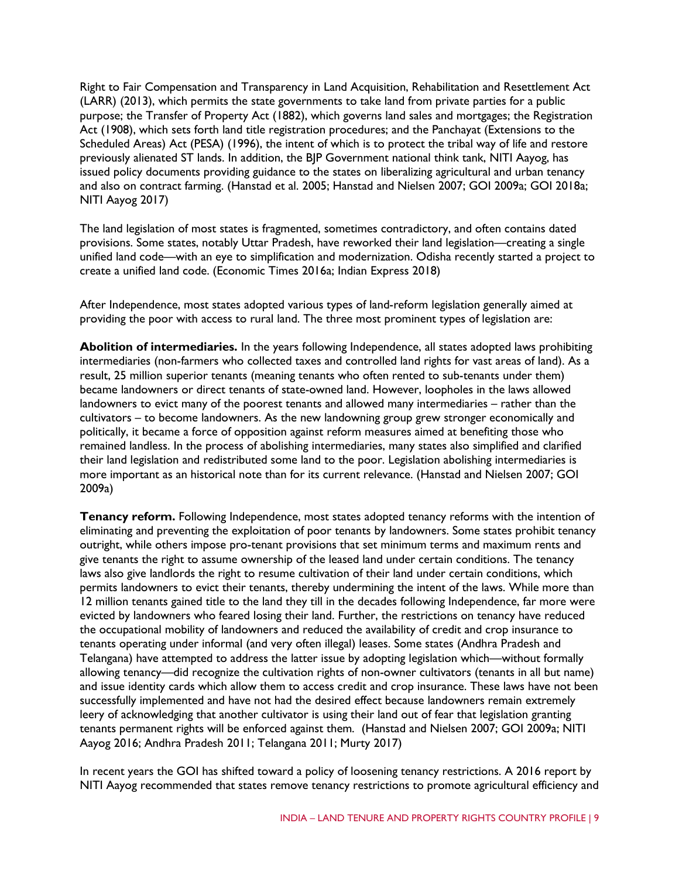Right to Fair Compensation and Transparency in Land Acquisition, Rehabilitation and Resettlement Act (LARR) (2013), which permits the state governments to take land from private parties for a public purpose; the Transfer of Property Act (1882), which governs land sales and mortgages; the Registration Act (1908), which sets forth land title registration procedures; and the Panchayat (Extensions to the Scheduled Areas) Act (PESA) (1996), the intent of which is to protect the tribal way of life and restore previously alienated ST lands. In addition, the BJP Government national think tank, NITI Aayog, has issued policy documents providing guidance to the states on liberalizing agricultural and urban tenancy and also on contract farming. (Hanstad et al. 2005; Hanstad and Nielsen 2007; GOI 2009a; GOI 2018a; NITI Aayog 2017)

The land legislation of most states is fragmented, sometimes contradictory, and often contains dated provisions. Some states, notably Uttar Pradesh, have reworked their land legislation—creating a single unified land code—with an eye to simplification and modernization. Odisha recently started a project to create a unified land code. (Economic Times 2016a; Indian Express 2018)

After Independence, most states adopted various types of land-reform legislation generally aimed at providing the poor with access to rural land. The three most prominent types of legislation are:

**Abolition of intermediaries.** In the years following Independence, all states adopted laws prohibiting intermediaries (non-farmers who collected taxes and controlled land rights for vast areas of land). As a result, 25 million superior tenants (meaning tenants who often rented to sub-tenants under them) became landowners or direct tenants of state-owned land. However, loopholes in the laws allowed landowners to evict many of the poorest tenants and allowed many intermediaries – rather than the cultivators – to become landowners. As the new landowning group grew stronger economically and politically, it became a force of opposition against reform measures aimed at benefiting those who remained landless. In the process of abolishing intermediaries, many states also simplified and clarified their land legislation and redistributed some land to the poor. Legislation abolishing intermediaries is more important as an historical note than for its current relevance. (Hanstad and Nielsen 2007; GOI 2009a)

**Tenancy reform.** Following Independence, most states adopted tenancy reforms with the intention of eliminating and preventing the exploitation of poor tenants by landowners. Some states prohibit tenancy outright, while others impose pro-tenant provisions that set minimum terms and maximum rents and give tenants the right to assume ownership of the leased land under certain conditions. The tenancy laws also give landlords the right to resume cultivation of their land under certain conditions, which permits landowners to evict their tenants, thereby undermining the intent of the laws. While more than 12 million tenants gained title to the land they till in the decades following Independence, far more were evicted by landowners who feared losing their land. Further, the restrictions on tenancy have reduced the occupational mobility of landowners and reduced the availability of credit and crop insurance to tenants operating under informal (and very often illegal) leases. Some states (Andhra Pradesh and Telangana) have attempted to address the latter issue by adopting legislation which—without formally allowing tenancy—did recognize the cultivation rights of non-owner cultivators (tenants in all but name) and issue identity cards which allow them to access credit and crop insurance. These laws have not been successfully implemented and have not had the desired effect because landowners remain extremely leery of acknowledging that another cultivator is using their land out of fear that legislation granting tenants permanent rights will be enforced against them. (Hanstad and Nielsen 2007; GOI 2009a; NITI Aayog 2016; Andhra Pradesh 2011; Telangana 2011; Murty 2017)

In recent years the GOI has shifted toward a policy of loosening tenancy restrictions. A 2016 report by NITI Aayog recommended that states remove tenancy restrictions to promote agricultural efficiency and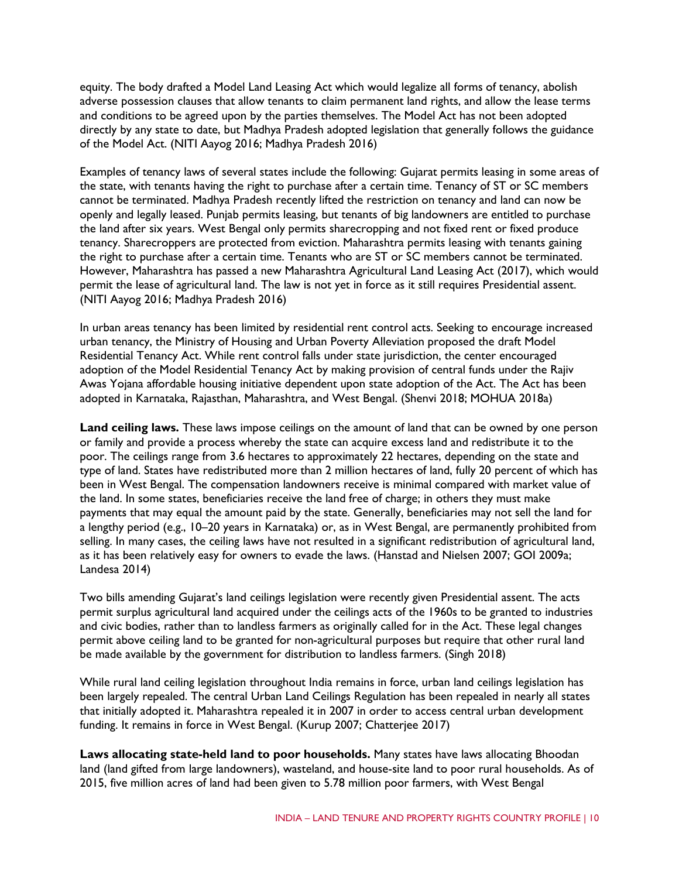equity. The body drafted a Model Land Leasing Act which would legalize all forms of tenancy, abolish adverse possession clauses that allow tenants to claim permanent land rights, and allow the lease terms and conditions to be agreed upon by the parties themselves. The Model Act has not been adopted directly by any state to date, but Madhya Pradesh adopted legislation that generally follows the guidance of the Model Act. (NITI Aayog 2016; Madhya Pradesh 2016)

Examples of tenancy laws of several states include the following: Gujarat permits leasing in some areas of the state, with tenants having the right to purchase after a certain time. Tenancy of ST or SC members cannot be terminated. Madhya Pradesh recently lifted the restriction on tenancy and land can now be openly and legally leased. Punjab permits leasing, but tenants of big landowners are entitled to purchase the land after six years. West Bengal only permits sharecropping and not fixed rent or fixed produce tenancy. Sharecroppers are protected from eviction. Maharashtra permits leasing with tenants gaining the right to purchase after a certain time. Tenants who are ST or SC members cannot be terminated. However, Maharashtra has passed a new Maharashtra Agricultural Land Leasing Act (2017), which would permit the lease of agricultural land. The law is not yet in force as it still requires Presidential assent. (NITI Aayog 2016; Madhya Pradesh 2016)

In urban areas tenancy has been limited by residential rent control acts. Seeking to encourage increased urban tenancy, the Ministry of Housing and Urban Poverty Alleviation proposed the draft Model Residential Tenancy Act. While rent control falls under state jurisdiction, the center encouraged adoption of the Model Residential Tenancy Act by making provision of central funds under the Rajiv Awas Yojana affordable housing initiative dependent upon state adoption of the Act. The Act has been adopted in Karnataka, Rajasthan, Maharashtra, and West Bengal. (Shenvi 2018; MOHUA 2018a)

**Land ceiling laws.** These laws impose ceilings on the amount of land that can be owned by one person or family and provide a process whereby the state can acquire excess land and redistribute it to the poor. The ceilings range from 3.6 hectares to approximately 22 hectares, depending on the state and type of land. States have redistributed more than 2 million hectares of land, fully 20 percent of which has been in West Bengal. The compensation landowners receive is minimal compared with market value of the land. In some states, beneficiaries receive the land free of charge; in others they must make payments that may equal the amount paid by the state. Generally, beneficiaries may not sell the land for a lengthy period (e.g., 10–20 years in Karnataka) or, as in West Bengal, are permanently prohibited from selling. In many cases, the ceiling laws have not resulted in a significant redistribution of agricultural land, as it has been relatively easy for owners to evade the laws. (Hanstad and Nielsen 2007; GOI 2009a; Landesa 2014)

Two bills amending Gujarat's land ceilings legislation were recently given Presidential assent. The acts permit surplus agricultural land acquired under the ceilings acts of the 1960s to be granted to industries and civic bodies, rather than to landless farmers as originally called for in the Act. These legal changes permit above ceiling land to be granted for non-agricultural purposes but require that other rural land be made available by the government for distribution to landless farmers. (Singh 2018)

While rural land ceiling legislation throughout India remains in force, urban land ceilings legislation has been largely repealed. The central Urban Land Ceilings Regulation has been repealed in nearly all states that initially adopted it. Maharashtra repealed it in 2007 in order to access central urban development funding. It remains in force in West Bengal. (Kurup 2007; Chatterjee 2017)

**Laws allocating state-held land to poor households.** Many states have laws allocating Bhoodan land (land gifted from large landowners), wasteland, and house-site land to poor rural households. As of 2015, five million acres of land had been given to 5.78 million poor farmers, with West Bengal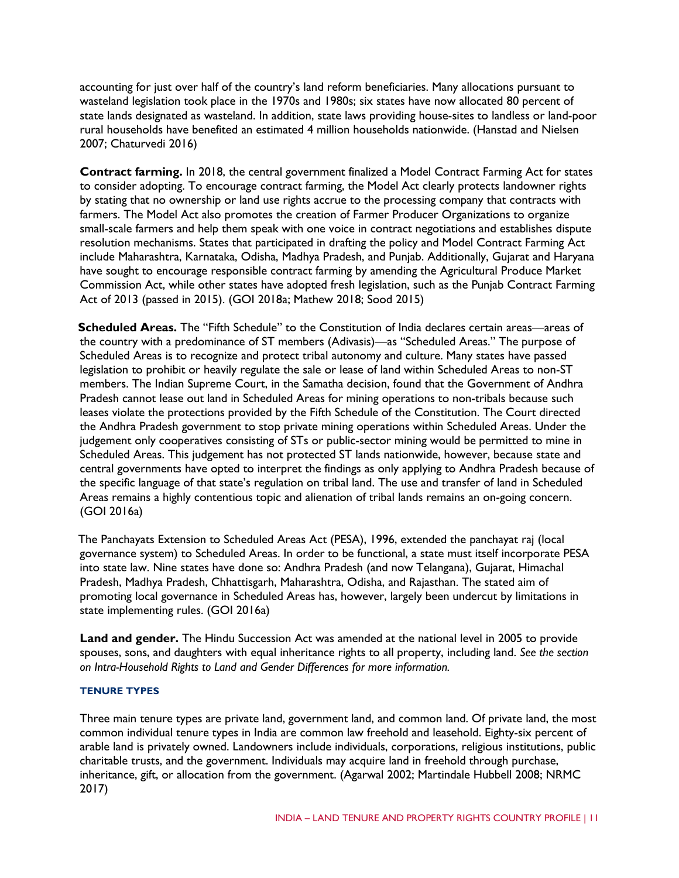accounting for just over half of the country's land reform beneficiaries. Many allocations pursuant to wasteland legislation took place in the 1970s and 1980s; six states have now allocated 80 percent of state lands designated as wasteland. In addition, state laws providing house-sites to landless or land-poor rural households have benefited an estimated 4 million households nationwide. (Hanstad and Nielsen 2007; Chaturvedi 2016)

**Contract farming.** In 2018, the central government finalized a Model Contract Farming Act for states to consider adopting. To encourage contract farming, the Model Act clearly protects landowner rights by stating that no ownership or land use rights accrue to the processing company that contracts with farmers. The Model Act also promotes the creation of Farmer Producer Organizations to organize small-scale farmers and help them speak with one voice in contract negotiations and establishes dispute resolution mechanisms. States that participated in drafting the policy and Model Contract Farming Act include Maharashtra, Karnataka, Odisha, Madhya Pradesh, and Punjab. Additionally, Gujarat and Haryana have sought to encourage responsible contract farming by amending the Agricultural Produce Market Commission Act, while other states have adopted fresh legislation, such as the Punjab Contract Farming Act of 2013 (passed in 2015). (GOI 2018a; Mathew 2018; Sood 2015)

**Scheduled Areas.** The "Fifth Schedule" to the Constitution of India declares certain areas—areas of the country with a predominance of ST members (Adivasis)—as "Scheduled Areas." The purpose of Scheduled Areas is to recognize and protect tribal autonomy and culture. Many states have passed legislation to prohibit or heavily regulate the sale or lease of land within Scheduled Areas to non-ST members. The Indian Supreme Court, in the Samatha decision, found that the Government of Andhra Pradesh cannot lease out land in Scheduled Areas for mining operations to non-tribals because such leases violate the protections provided by the Fifth Schedule of the Constitution. The Court directed the Andhra Pradesh government to stop private mining operations within Scheduled Areas. Under the judgement only cooperatives consisting of STs or public-sector mining would be permitted to mine in Scheduled Areas. This judgement has not protected ST lands nationwide, however, because state and central governments have opted to interpret the findings as only applying to Andhra Pradesh because of the specific language of that state's regulation on tribal land. The use and transfer of land in Scheduled Areas remains a highly contentious topic and alienation of tribal lands remains an on-going concern. (GOI 2016a)

The Panchayats Extension to Scheduled Areas Act (PESA), 1996, extended the panchayat raj (local governance system) to Scheduled Areas. In order to be functional, a state must itself incorporate PESA into state law. Nine states have done so: Andhra Pradesh (and now Telangana), Gujarat, Himachal Pradesh, Madhya Pradesh, Chhattisgarh, Maharashtra, Odisha, and Rajasthan. The stated aim of promoting local governance in Scheduled Areas has, however, largely been undercut by limitations in state implementing rules. (GOI 2016a)

**Land and gender.** The Hindu Succession Act was amended at the national level in 2005 to provide spouses, sons, and daughters with equal inheritance rights to all property, including land. *See the section on Intra-Household Rights to Land and Gender Differences for more information.* 

#### **TENURE TYPES**

Three main tenure types are private land, government land, and common land. Of private land, the most common individual tenure types in India are common law freehold and leasehold. Eighty-six percent of arable land is privately owned. Landowners include individuals, corporations, religious institutions, public charitable trusts, and the government. Individuals may acquire land in freehold through purchase, inheritance, gift, or allocation from the government. (Agarwal 2002; Martindale Hubbell 2008; NRMC 2017)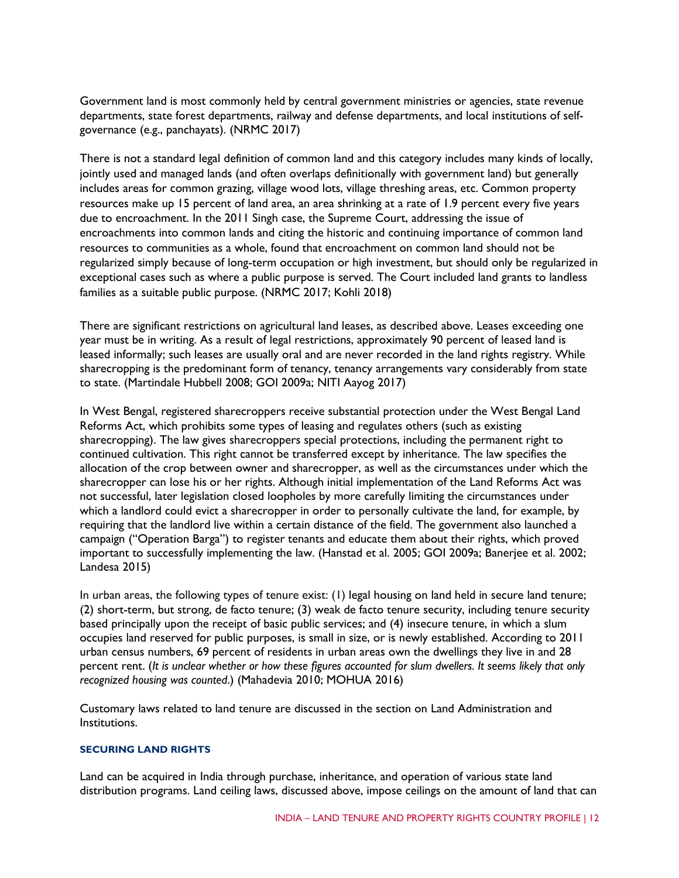Government land is most commonly held by central government ministries or agencies, state revenue departments, state forest departments, railway and defense departments, and local institutions of selfgovernance (e.g., panchayats). (NRMC 2017)

There is not a standard legal definition of common land and this category includes many kinds of locally, jointly used and managed lands (and often overlaps definitionally with government land) but generally includes areas for common grazing, village wood lots, village threshing areas, etc. Common property resources make up 15 percent of land area, an area shrinking at a rate of 1.9 percent every five years due to encroachment. In the 2011 Singh case, the Supreme Court, addressing the issue of encroachments into common lands and citing the historic and continuing importance of common land resources to communities as a whole, found that encroachment on common land should not be regularized simply because of long-term occupation or high investment, but should only be regularized in exceptional cases such as where a public purpose is served. The Court included land grants to landless families as a suitable public purpose. (NRMC 2017; Kohli 2018)

There are significant restrictions on agricultural land leases, as described above. Leases exceeding one year must be in writing. As a result of legal restrictions, approximately 90 percent of leased land is leased informally; such leases are usually oral and are never recorded in the land rights registry. While sharecropping is the predominant form of tenancy, tenancy arrangements vary considerably from state to state. (Martindale Hubbell 2008; GOI 2009a; NITI Aayog 2017)

In West Bengal, registered sharecroppers receive substantial protection under the West Bengal Land Reforms Act, which prohibits some types of leasing and regulates others (such as existing sharecropping). The law gives sharecroppers special protections, including the permanent right to continued cultivation. This right cannot be transferred except by inheritance. The law specifies the allocation of the crop between owner and sharecropper, as well as the circumstances under which the sharecropper can lose his or her rights. Although initial implementation of the Land Reforms Act was not successful, later legislation closed loopholes by more carefully limiting the circumstances under which a landlord could evict a sharecropper in order to personally cultivate the land, for example, by requiring that the landlord live within a certain distance of the field. The government also launched a campaign ("Operation Barga") to register tenants and educate them about their rights, which proved important to successfully implementing the law. (Hanstad et al. 2005; GOI 2009a; Banerjee et al. 2002; Landesa 2015)

In urban areas, the following types of tenure exist: (1) legal housing on land held in secure land tenure; (2) short-term, but strong, de facto tenure; (3) weak de facto tenure security, including tenure security based principally upon the receipt of basic public services; and (4) insecure tenure, in which a slum occupies land reserved for public purposes, is small in size, or is newly established. According to 2011 urban census numbers, 69 percent of residents in urban areas own the dwellings they live in and 28 percent rent. (*It is unclear whether or how these figures accounted for slum dwellers. It seems likely that only recognized housing was counted*.) (Mahadevia 2010; MOHUA 2016)

Customary laws related to land tenure are discussed in the section on Land Administration and Institutions.

#### **SECURING LAND RIGHTS**

Land can be acquired in India through purchase, inheritance, and operation of various state land distribution programs. Land ceiling laws, discussed above, impose ceilings on the amount of land that can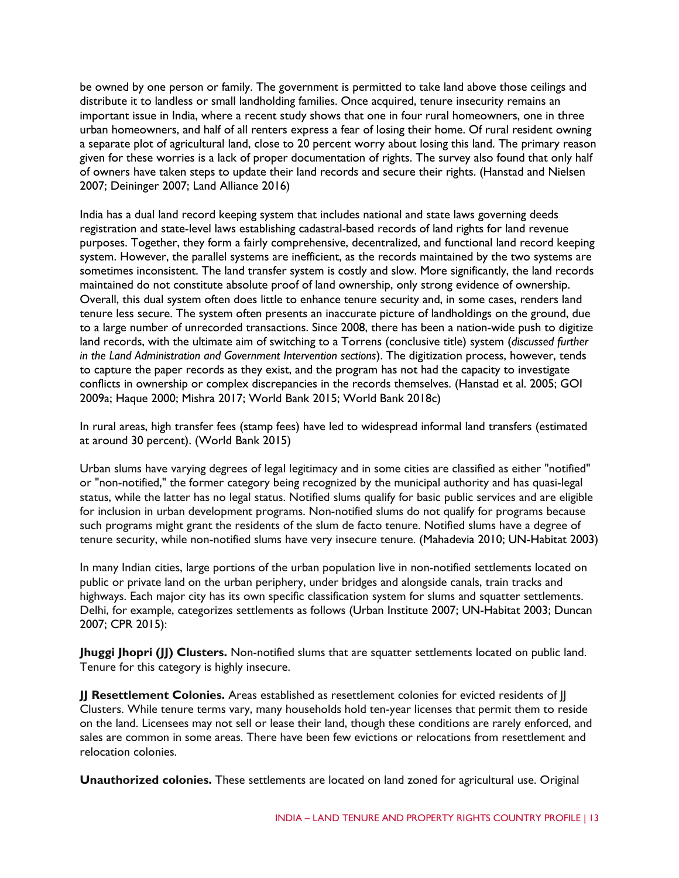be owned by one person or family. The government is permitted to take land above those ceilings and distribute it to landless or small landholding families. Once acquired, tenure insecurity remains an important issue in India, where a recent study shows that one in four rural homeowners, one in three urban homeowners, and half of all renters express a fear of losing their home. Of rural resident owning a separate plot of agricultural land, close to 20 percent worry about losing this land. The primary reason given for these worries is a lack of proper documentation of rights. The survey also found that only half of owners have taken steps to update their land records and secure their rights. (Hanstad and Nielsen 2007; Deininger 2007; Land Alliance 2016)

India has a dual land record keeping system that includes national and state laws governing deeds registration and state-level laws establishing cadastral-based records of land rights for land revenue purposes. Together, they form a fairly comprehensive, decentralized, and functional land record keeping system. However, the parallel systems are inefficient, as the records maintained by the two systems are sometimes inconsistent. The land transfer system is costly and slow. More significantly, the land records maintained do not constitute absolute proof of land ownership, only strong evidence of ownership. Overall, this dual system often does little to enhance tenure security and, in some cases, renders land tenure less secure. The system often presents an inaccurate picture of landholdings on the ground, due to a large number of unrecorded transactions. Since 2008, there has been a nation-wide push to digitize land records, with the ultimate aim of switching to a Torrens (conclusive title) system (*discussed further in the Land Administration and Government Intervention sections*). The digitization process, however, tends to capture the paper records as they exist, and the program has not had the capacity to investigate conflicts in ownership or complex discrepancies in the records themselves. (Hanstad et al. 2005; GOI 2009a; Haque 2000; Mishra 2017; World Bank 2015; World Bank 2018c)

In rural areas, high transfer fees (stamp fees) have led to widespread informal land transfers (estimated at around 30 percent). (World Bank 2015)

Urban slums have varying degrees of legal legitimacy and in some cities are classified as either "notified" or "non-notified," the former category being recognized by the municipal authority and has quasi-legal status, while the latter has no legal status. Notified slums qualify for basic public services and are eligible for inclusion in urban development programs. Non-notified slums do not qualify for programs because such programs might grant the residents of the slum de facto tenure. Notified slums have a degree of tenure security, while non-notified slums have very insecure tenure. (Mahadevia 2010; UN-Habitat 2003)

In many Indian cities, large portions of the urban population live in non-notified settlements located on public or private land on the urban periphery, under bridges and alongside canals, train tracks and highways. Each major city has its own specific classification system for slums and squatter settlements. Delhi, for example, categorizes settlements as follows (Urban Institute 2007; UN-Habitat 2003; Duncan 2007; CPR 2015):

**Jhuggi Jhopri (JJ) Clusters.** Non-notified slums that are squatter settlements located on public land. Tenure for this category is highly insecure.

**JJ Resettlement Colonies.** Areas established as resettlement colonies for evicted residents of JJ Clusters. While tenure terms vary, many households hold ten-year licenses that permit them to reside on the land. Licensees may not sell or lease their land, though these conditions are rarely enforced, and sales are common in some areas. There have been few evictions or relocations from resettlement and relocation colonies.

**Unauthorized colonies.** These settlements are located on land zoned for agricultural use. Original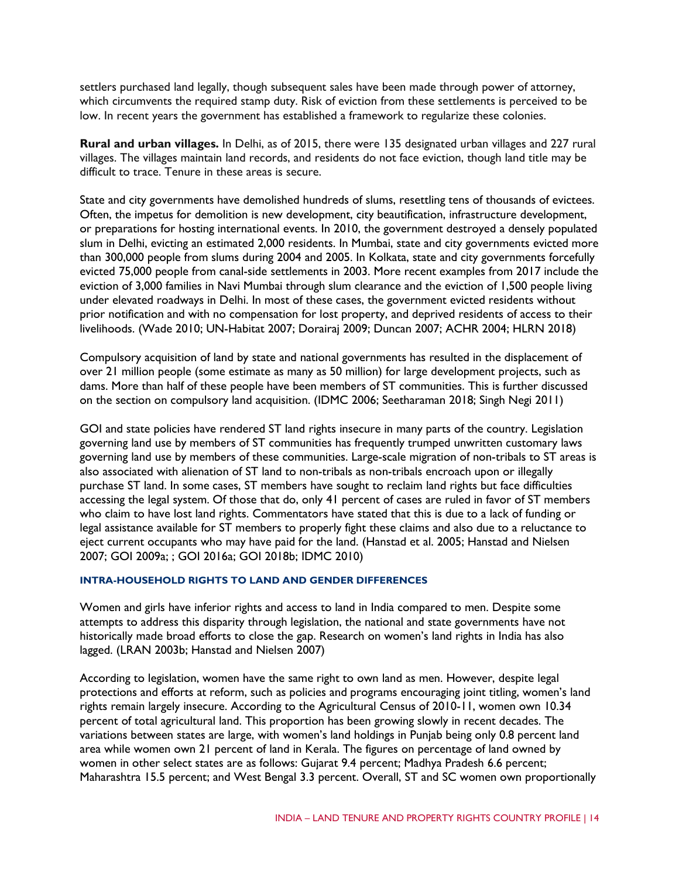settlers purchased land legally, though subsequent sales have been made through power of attorney, which circumvents the required stamp duty. Risk of eviction from these settlements is perceived to be low. In recent years the government has established a framework to regularize these colonies.

**Rural and urban villages.** In Delhi, as of 2015, there were 135 designated urban villages and 227 rural villages. The villages maintain land records, and residents do not face eviction, though land title may be difficult to trace. Tenure in these areas is secure.

State and city governments have demolished hundreds of slums, resettling tens of thousands of evictees. Often, the impetus for demolition is new development, city beautification, infrastructure development, or preparations for hosting international events. In 2010, the government destroyed a densely populated slum in Delhi, evicting an estimated 2,000 residents. In Mumbai, state and city governments evicted more than 300,000 people from slums during 2004 and 2005. In Kolkata, state and city governments forcefully evicted 75,000 people from canal-side settlements in 2003. More recent examples from 2017 include the eviction of 3,000 families in Navi Mumbai through slum clearance and the eviction of 1,500 people living under elevated roadways in Delhi. In most of these cases, the government evicted residents without prior notification and with no compensation for lost property, and deprived residents of access to their livelihoods. (Wade 2010; UN-Habitat 2007; Dorairaj 2009; Duncan 2007; ACHR 2004; HLRN 2018)

Compulsory acquisition of land by state and national governments has resulted in the displacement of over 21 million people (some estimate as many as 50 million) for large development projects, such as dams. More than half of these people have been members of ST communities. This is further discussed on the section on compulsory land acquisition. (IDMC 2006; Seetharaman 2018; Singh Negi 2011)

GOI and state policies have rendered ST land rights insecure in many parts of the country. Legislation governing land use by members of ST communities has frequently trumped unwritten customary laws governing land use by members of these communities. Large-scale migration of non-tribals to ST areas is also associated with alienation of ST land to non-tribals as non-tribals encroach upon or illegally purchase ST land. In some cases, ST members have sought to reclaim land rights but face difficulties accessing the legal system. Of those that do, only 41 percent of cases are ruled in favor of ST members who claim to have lost land rights. Commentators have stated that this is due to a lack of funding or legal assistance available for ST members to properly fight these claims and also due to a reluctance to eject current occupants who may have paid for the land. (Hanstad et al. 2005; Hanstad and Nielsen 2007; GOI 2009a; ; GOI 2016a; GOI 2018b; IDMC 2010)

#### **INTRA-HOUSEHOLD RIGHTS TO LAND AND GENDER DIFFERENCES**

Women and girls have inferior rights and access to land in India compared to men. Despite some attempts to address this disparity through legislation, the national and state governments have not historically made broad efforts to close the gap. Research on women's land rights in India has also lagged. (LRAN 2003b; Hanstad and Nielsen 2007)

According to legislation, women have the same right to own land as men. However, despite legal protections and efforts at reform, such as policies and programs encouraging joint titling, women's land rights remain largely insecure. According to the Agricultural Census of 2010-11, women own 10.34 percent of total agricultural land. This proportion has been growing slowly in recent decades. The variations between states are large, with women's land holdings in Punjab being only 0.8 percent land area while women own 21 percent of land in Kerala. The figures on percentage of land owned by women in other select states are as follows: Gujarat 9.4 percent; Madhya Pradesh 6.6 percent; Maharashtra 15.5 percent; and West Bengal 3.3 percent. Overall, ST and SC women own proportionally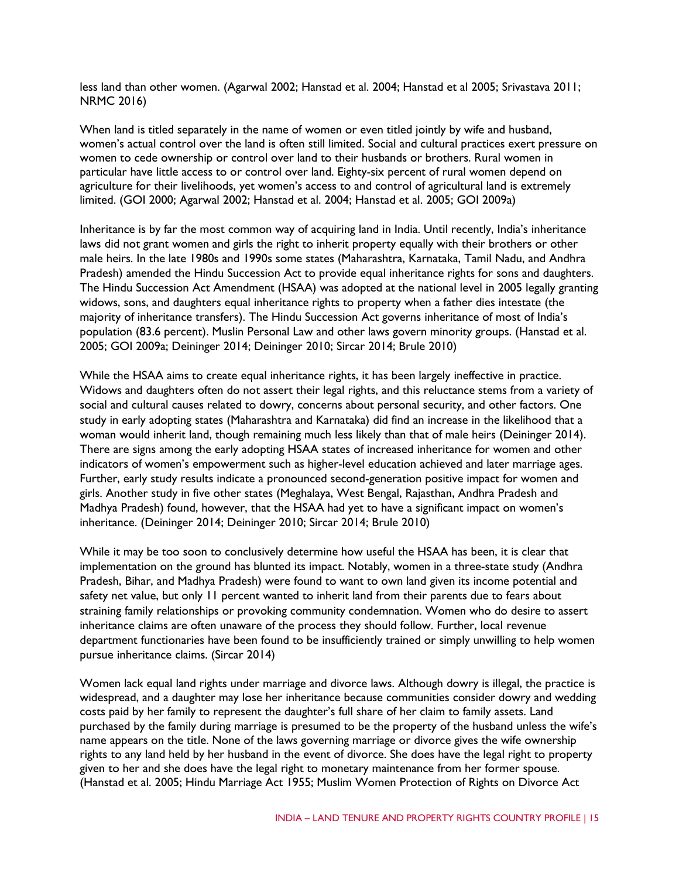less land than other women. (Agarwal 2002; Hanstad et al. 2004; Hanstad et al 2005; Srivastava 2011; NRMC 2016)

When land is titled separately in the name of women or even titled jointly by wife and husband, women's actual control over the land is often still limited. Social and cultural practices exert pressure on women to cede ownership or control over land to their husbands or brothers. Rural women in particular have little access to or control over land. Eighty-six percent of rural women depend on agriculture for their livelihoods, yet women's access to and control of agricultural land is extremely limited. (GOI 2000; Agarwal 2002; Hanstad et al. 2004; Hanstad et al. 2005; GOI 2009a)

Inheritance is by far the most common way of acquiring land in India. Until recently, India's inheritance laws did not grant women and girls the right to inherit property equally with their brothers or other male heirs. In the late 1980s and 1990s some states (Maharashtra, Karnataka, Tamil Nadu, and Andhra Pradesh) amended the Hindu Succession Act to provide equal inheritance rights for sons and daughters. The Hindu Succession Act Amendment (HSAA) was adopted at the national level in 2005 legally granting widows, sons, and daughters equal inheritance rights to property when a father dies intestate (the majority of inheritance transfers). The Hindu Succession Act governs inheritance of most of India's population (83.6 percent). Muslin Personal Law and other laws govern minority groups. (Hanstad et al. 2005; GOI 2009a; Deininger 2014; Deininger 2010; Sircar 2014; Brule 2010)

While the HSAA aims to create equal inheritance rights, it has been largely ineffective in practice. Widows and daughters often do not assert their legal rights, and this reluctance stems from a variety of social and cultural causes related to dowry, concerns about personal security, and other factors. One study in early adopting states (Maharashtra and Karnataka) did find an increase in the likelihood that a woman would inherit land, though remaining much less likely than that of male heirs (Deininger 2014). There are signs among the early adopting HSAA states of increased inheritance for women and other indicators of women's empowerment such as higher-level education achieved and later marriage ages. Further, early study results indicate a pronounced second-generation positive impact for women and girls. Another study in five other states (Meghalaya, West Bengal, Rajasthan, Andhra Pradesh and Madhya Pradesh) found, however, that the HSAA had yet to have a significant impact on women's inheritance. (Deininger 2014; Deininger 2010; Sircar 2014; Brule 2010)

While it may be too soon to conclusively determine how useful the HSAA has been, it is clear that implementation on the ground has blunted its impact. Notably, women in a three-state study (Andhra Pradesh, Bihar, and Madhya Pradesh) were found to want to own land given its income potential and safety net value, but only 11 percent wanted to inherit land from their parents due to fears about straining family relationships or provoking community condemnation. Women who do desire to assert inheritance claims are often unaware of the process they should follow. Further, local revenue department functionaries have been found to be insufficiently trained or simply unwilling to help women pursue inheritance claims. (Sircar 2014)

Women lack equal land rights under marriage and divorce laws. Although dowry is illegal, the practice is widespread, and a daughter may lose her inheritance because communities consider dowry and wedding costs paid by her family to represent the daughter's full share of her claim to family assets. Land purchased by the family during marriage is presumed to be the property of the husband unless the wife's name appears on the title. None of the laws governing marriage or divorce gives the wife ownership rights to any land held by her husband in the event of divorce. She does have the legal right to property given to her and she does have the legal right to monetary maintenance from her former spouse. (Hanstad et al. 2005; Hindu Marriage Act 1955; Muslim Women Protection of Rights on Divorce Act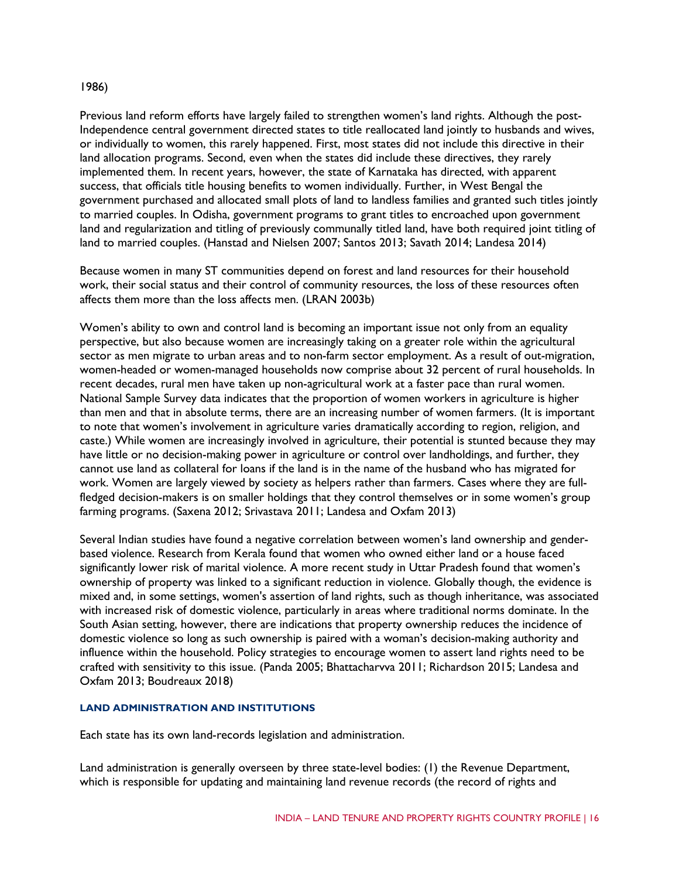#### 1986)

Previous land reform efforts have largely failed to strengthen women's land rights. Although the post-Independence central government directed states to title reallocated land jointly to husbands and wives, or individually to women, this rarely happened. First, most states did not include this directive in their land allocation programs. Second, even when the states did include these directives, they rarely implemented them. In recent years, however, the state of Karnataka has directed, with apparent success, that officials title housing benefits to women individually. Further, in West Bengal the government purchased and allocated small plots of land to landless families and granted such titles jointly to married couples. In Odisha, government programs to grant titles to encroached upon government land and regularization and titling of previously communally titled land, have both required joint titling of land to married couples. (Hanstad and Nielsen 2007; Santos 2013; Savath 2014; Landesa 2014)

Because women in many ST communities depend on forest and land resources for their household work, their social status and their control of community resources, the loss of these resources often affects them more than the loss affects men. (LRAN 2003b)

Women's ability to own and control land is becoming an important issue not only from an equality perspective, but also because women are increasingly taking on a greater role within the agricultural sector as men migrate to urban areas and to non-farm sector employment. As a result of out-migration, women-headed or women-managed households now comprise about 32 percent of rural households. In recent decades, rural men have taken up non-agricultural work at a faster pace than rural women. National Sample Survey data indicates that the proportion of women workers in agriculture is higher than men and that in absolute terms, there are an increasing number of women farmers. (It is important to note that women's involvement in agriculture varies dramatically according to region, religion, and caste.) While women are increasingly involved in agriculture, their potential is stunted because they may have little or no decision-making power in agriculture or control over landholdings, and further, they cannot use land as collateral for loans if the land is in the name of the husband who has migrated for work. Women are largely viewed by society as helpers rather than farmers. Cases where they are fullfledged decision-makers is on smaller holdings that they control themselves or in some women's group farming programs. (Saxena 2012; Srivastava 2011; Landesa and Oxfam 2013)

Several Indian studies have found a negative correlation between women's land ownership and genderbased violence. Research from Kerala found that women who owned either land or a house faced significantly lower risk of marital violence. A more recent study in Uttar Pradesh found that women's ownership of property was linked to a significant reduction in violence. Globally though, the evidence is mixed and, in some settings, women's assertion of land rights, such as though inheritance, was associated with increased risk of domestic violence, particularly in areas where traditional norms dominate. In the South Asian setting, however, there are indications that property ownership reduces the incidence of domestic violence so long as such ownership is paired with a woman's decision-making authority and influence within the household. Policy strategies to encourage women to assert land rights need to be crafted with sensitivity to this issue. (Panda 2005; Bhattacharvva 2011; Richardson 2015; Landesa and Oxfam 2013; Boudreaux 2018)

#### **LAND ADMINISTRATION AND INSTITUTIONS**

Each state has its own land-records legislation and administration.

Land administration is generally overseen by three state-level bodies: (1) the Revenue Department, which is responsible for updating and maintaining land revenue records (the record of rights and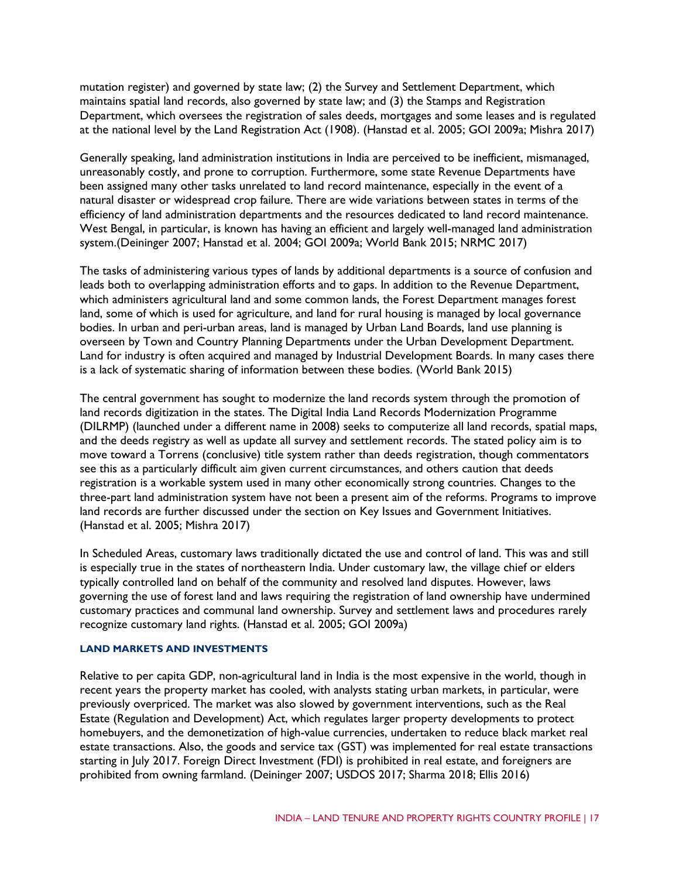mutation register) and governed by state law; (2) the Survey and Settlement Department, which maintains spatial land records, also governed by state law; and (3) the Stamps and Registration Department, which oversees the registration of sales deeds, mortgages and some leases and is regulated at the national level by the Land Registration Act (1908). (Hanstad et al. 2005; GOI 2009a; Mishra 2017)

Generally speaking, land administration institutions in India are perceived to be inefficient, mismanaged, unreasonably costly, and prone to corruption. Furthermore, some state Revenue Departments have been assigned many other tasks unrelated to land record maintenance, especially in the event of a natural disaster or widespread crop failure. There are wide variations between states in terms of the efficiency of land administration departments and the resources dedicated to land record maintenance. West Bengal, in particular, is known has having an efficient and largely well-managed land administration system.(Deininger 2007; Hanstad et al. 2004; GOI 2009a; World Bank 2015; NRMC 2017)

The tasks of administering various types of lands by additional departments is a source of confusion and leads both to overlapping administration efforts and to gaps. In addition to the Revenue Department, which administers agricultural land and some common lands, the Forest Department manages forest land, some of which is used for agriculture, and land for rural housing is managed by local governance bodies. In urban and peri-urban areas, land is managed by Urban Land Boards, land use planning is overseen by Town and Country Planning Departments under the Urban Development Department. Land for industry is often acquired and managed by Industrial Development Boards. In many cases there is a lack of systematic sharing of information between these bodies. (World Bank 2015)

The central government has sought to modernize the land records system through the promotion of land records digitization in the states. The Digital India Land Records Modernization Programme (DILRMP) (launched under a different name in 2008) seeks to computerize all land records, spatial maps, and the deeds registry as well as update all survey and settlement records. The stated policy aim is to move toward a Torrens (conclusive) title system rather than deeds registration, though commentators see this as a particularly difficult aim given current circumstances, and others caution that deeds registration is a workable system used in many other economically strong countries. Changes to the three-part land administration system have not been a present aim of the reforms. Programs to improve land records are further discussed under the section on Key Issues and Government Initiatives. (Hanstad et al. 2005; Mishra 2017)

In Scheduled Areas, customary laws traditionally dictated the use and control of land. This was and still is especially true in the states of northeastern India. Under customary law, the village chief or elders typically controlled land on behalf of the community and resolved land disputes. However, laws governing the use of forest land and laws requiring the registration of land ownership have undermined customary practices and communal land ownership. Survey and settlement laws and procedures rarely recognize customary land rights. (Hanstad et al. 2005; GOI 2009a)

#### **LAND MARKETS AND INVESTMENTS**

Relative to per capita GDP, non-agricultural land in India is the most expensive in the world, though in recent years the property market has cooled, with analysts stating urban markets, in particular, were previously overpriced. The market was also slowed by government interventions, such as the Real Estate (Regulation and Development) Act, which regulates larger property developments to protect homebuyers, and the demonetization of high-value currencies, undertaken to reduce black market real estate transactions. Also, the goods and service tax (GST) was implemented for real estate transactions starting in July 2017. Foreign Direct Investment (FDI) is prohibited in real estate, and foreigners are prohibited from owning farmland. (Deininger 2007; USDOS 2017; Sharma 2018; Ellis 2016)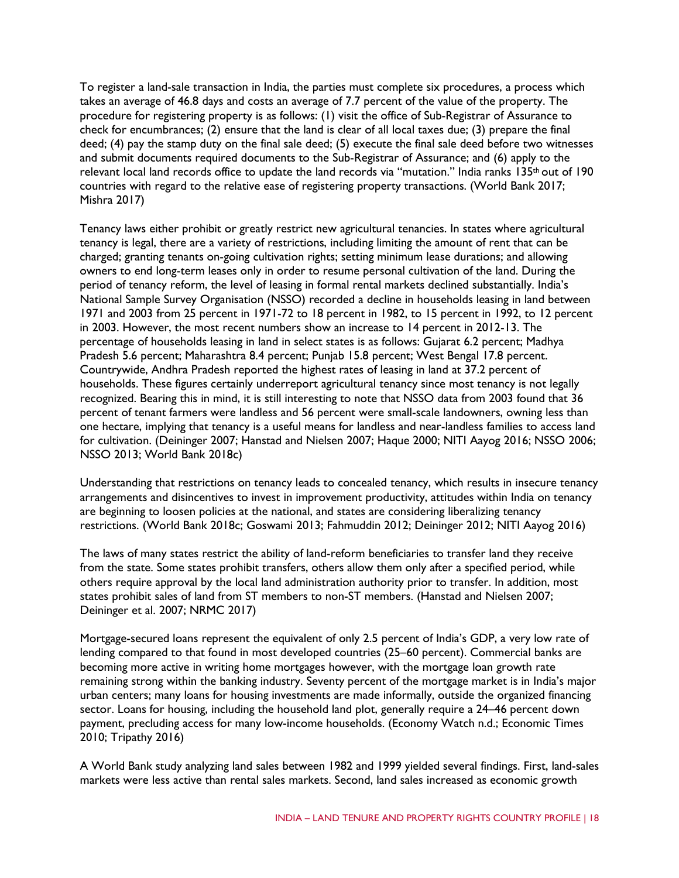To register a land-sale transaction in India, the parties must complete six procedures, a process which takes an average of 46.8 days and costs an average of 7.7 percent of the value of the property. The procedure for registering property is as follows: (1) visit the office of Sub-Registrar of Assurance to check for encumbrances; (2) ensure that the land is clear of all local taxes due; (3) prepare the final deed; (4) pay the stamp duty on the final sale deed; (5) execute the final sale deed before two witnesses and submit documents required documents to the Sub-Registrar of Assurance; and (6) apply to the relevant local land records office to update the land records via "mutation." India ranks 135<sup>th</sup> out of 190 countries with regard to the relative ease of registering property transactions. (World Bank 2017; Mishra 2017)

Tenancy laws either prohibit or greatly restrict new agricultural tenancies. In states where agricultural tenancy is legal, there are a variety of restrictions, including limiting the amount of rent that can be charged; granting tenants on-going cultivation rights; setting minimum lease durations; and allowing owners to end long-term leases only in order to resume personal cultivation of the land. During the period of tenancy reform, the level of leasing in formal rental markets declined substantially. India's National Sample Survey Organisation (NSSO) recorded a decline in households leasing in land between 1971 and 2003 from 25 percent in 1971-72 to 18 percent in 1982, to 15 percent in 1992, to 12 percent in 2003. However, the most recent numbers show an increase to 14 percent in 2012-13. The percentage of households leasing in land in select states is as follows: Gujarat 6.2 percent; Madhya Pradesh 5.6 percent; Maharashtra 8.4 percent; Punjab 15.8 percent; West Bengal 17.8 percent. Countrywide, Andhra Pradesh reported the highest rates of leasing in land at 37.2 percent of households. These figures certainly underreport agricultural tenancy since most tenancy is not legally recognized. Bearing this in mind, it is still interesting to note that NSSO data from 2003 found that 36 percent of tenant farmers were landless and 56 percent were small-scale landowners, owning less than one hectare, implying that tenancy is a useful means for landless and near-landless families to access land for cultivation. (Deininger 2007; Hanstad and Nielsen 2007; Haque 2000; NITI Aayog 2016; NSSO 2006; NSSO 2013; World Bank 2018c)

Understanding that restrictions on tenancy leads to concealed tenancy, which results in insecure tenancy arrangements and disincentives to invest in improvement productivity, attitudes within India on tenancy are beginning to loosen policies at the national, and states are considering liberalizing tenancy restrictions. (World Bank 2018c; Goswami 2013; Fahmuddin 2012; Deininger 2012; NITI Aayog 2016)

The laws of many states restrict the ability of land-reform beneficiaries to transfer land they receive from the state. Some states prohibit transfers, others allow them only after a specified period, while others require approval by the local land administration authority prior to transfer. In addition, most states prohibit sales of land from ST members to non-ST members. (Hanstad and Nielsen 2007; Deininger et al. 2007; NRMC 2017)

Mortgage-secured loans represent the equivalent of only 2.5 percent of India's GDP, a very low rate of lending compared to that found in most developed countries (25–60 percent). Commercial banks are becoming more active in writing home mortgages however, with the mortgage loan growth rate remaining strong within the banking industry. Seventy percent of the mortgage market is in India's major urban centers; many loans for housing investments are made informally, outside the organized financing sector. Loans for housing, including the household land plot, generally require a 24–46 percent down payment, precluding access for many low-income households. (Economy Watch n.d.; Economic Times 2010; Tripathy 2016)

A World Bank study analyzing land sales between 1982 and 1999 yielded several findings. First, land-sales markets were less active than rental sales markets. Second, land sales increased as economic growth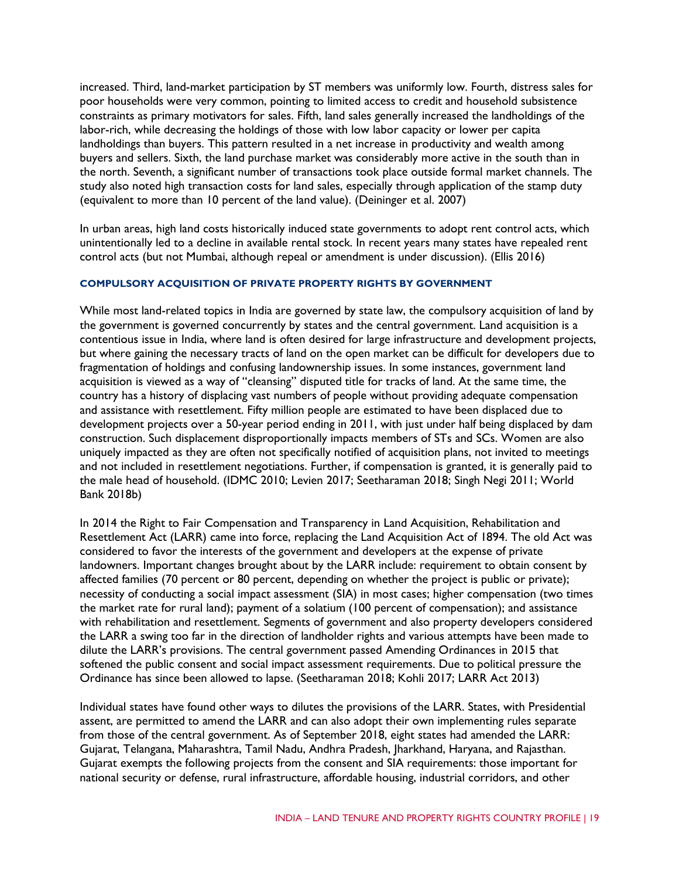increased. Third, land-market participation by ST members was uniformly low. Fourth, distress sales for poor households were very common, pointing to limited access to credit and household subsistence constraints as primary motivators for sales. Fifth, land sales generally increased the landholdings of the labor-rich, while decreasing the holdings of those with low labor capacity or lower per capita landholdings than buyers. This pattern resulted in a net increase in productivity and wealth among buyers and sellers. Sixth, the land purchase market was considerably more active in the south than in the north. Seventh, a significant number of transactions took place outside formal market channels. The study also noted high transaction costs for land sales, especially through application of the stamp duty (equivalent to more than 10 percent of the land value). (Deininger et al. 2007)

In urban areas, high land costs historically induced state governments to adopt rent control acts, which unintentionally led to a decline in available rental stock. In recent years many states have repealed rent control acts (but not Mumbai, although repeal or amendment is under discussion). (Ellis 2016)

#### **COMPULSORY ACQUISITION OF PRIVATE PROPERTY RIGHTS BY GOVERNMENT**

While most land-related topics in India are governed by state law, the compulsory acquisition of land by the government is governed concurrently by states and the central government. Land acquisition is a contentious issue in India, where land is often desired for large infrastructure and development projects, but where gaining the necessary tracts of land on the open market can be difficult for developers due to fragmentation of holdings and confusing landownership issues. In some instances, government land acquisition is viewed as a way of "cleansing" disputed title for tracks of land. At the same time, the country has a history of displacing vast numbers of people without providing adequate compensation and assistance with resettlement. Fifty million people are estimated to have been displaced due to development projects over a 50-year period ending in 2011, with just under half being displaced by dam construction. Such displacement disproportionally impacts members of STs and SCs. Women are also uniquely impacted as they are often not specifically notified of acquisition plans, not invited to meetings and not included in resettlement negotiations. Further, if compensation is granted, it is generally paid to the male head of household. (IDMC 2010; Levien 2017; Seetharaman 2018; Singh Negi 2011; World Bank 2018b)

In 2014 the Right to Fair Compensation and Transparency in Land Acquisition, Rehabilitation and Resettlement Act (LARR) came into force, replacing the Land Acquisition Act of 1894. The old Act was considered to favor the interests of the government and developers at the expense of private landowners. Important changes brought about by the LARR include: requirement to obtain consent by affected families (70 percent or 80 percent, depending on whether the project is public or private); necessity of conducting a social impact assessment (SIA) in most cases; higher compensation (two times the market rate for rural land); payment of a solatium (100 percent of compensation); and assistance with rehabilitation and resettlement. Segments of government and also property developers considered the LARR a swing too far in the direction of landholder rights and various attempts have been made to dilute the LARR's provisions. The central government passed Amending Ordinances in 2015 that softened the public consent and social impact assessment requirements. Due to political pressure the Ordinance has since been allowed to lapse. (Seetharaman 2018; Kohli 2017; LARR Act 2013)

Individual states have found other ways to dilutes the provisions of the LARR. States, with Presidential assent, are permitted to amend the LARR and can also adopt their own implementing rules separate from those of the central government. As of September 2018, eight states had amended the LARR: Gujarat, Telangana, Maharashtra, Tamil Nadu, Andhra Pradesh, Jharkhand, Haryana, and Rajasthan. Gujarat exempts the following projects from the consent and SIA requirements: those important for national security or defense, rural infrastructure, affordable housing, industrial corridors, and other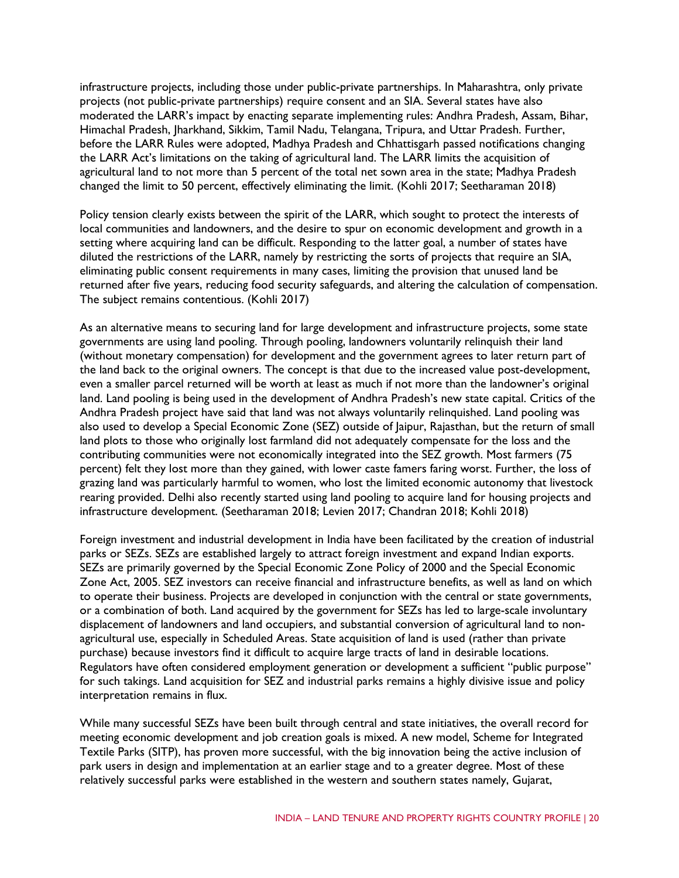infrastructure projects, including those under public-private partnerships. In Maharashtra, only private projects (not public-private partnerships) require consent and an SIA. Several states have also moderated the LARR's impact by enacting separate implementing rules: Andhra Pradesh, Assam, Bihar, Himachal Pradesh, Jharkhand, Sikkim, Tamil Nadu, Telangana, Tripura, and Uttar Pradesh. Further, before the LARR Rules were adopted, Madhya Pradesh and Chhattisgarh passed notifications changing the LARR Act's limitations on the taking of agricultural land. The LARR limits the acquisition of agricultural land to not more than 5 percent of the total net sown area in the state; Madhya Pradesh changed the limit to 50 percent, effectively eliminating the limit. (Kohli 2017; Seetharaman 2018)

Policy tension clearly exists between the spirit of the LARR, which sought to protect the interests of local communities and landowners, and the desire to spur on economic development and growth in a setting where acquiring land can be difficult. Responding to the latter goal, a number of states have diluted the restrictions of the LARR, namely by restricting the sorts of projects that require an SIA, eliminating public consent requirements in many cases, limiting the provision that unused land be returned after five years, reducing food security safeguards, and altering the calculation of compensation. The subject remains contentious. (Kohli 2017)

As an alternative means to securing land for large development and infrastructure projects, some state governments are using land pooling. Through pooling, landowners voluntarily relinquish their land (without monetary compensation) for development and the government agrees to later return part of the land back to the original owners. The concept is that due to the increased value post-development, even a smaller parcel returned will be worth at least as much if not more than the landowner's original land. Land pooling is being used in the development of Andhra Pradesh's new state capital. Critics of the Andhra Pradesh project have said that land was not always voluntarily relinquished. Land pooling was also used to develop a Special Economic Zone (SEZ) outside of Jaipur, Rajasthan, but the return of small land plots to those who originally lost farmland did not adequately compensate for the loss and the contributing communities were not economically integrated into the SEZ growth. Most farmers (75 percent) felt they lost more than they gained, with lower caste famers faring worst. Further, the loss of grazing land was particularly harmful to women, who lost the limited economic autonomy that livestock rearing provided. Delhi also recently started using land pooling to acquire land for housing projects and infrastructure development. (Seetharaman 2018; Levien 2017; Chandran 2018; Kohli 2018)

Foreign investment and industrial development in India have been facilitated by the creation of industrial parks or SEZs. SEZs are established largely to attract foreign investment and expand Indian exports. SEZs are primarily governed by the Special Economic Zone Policy of 2000 and the Special Economic Zone Act, 2005. SEZ investors can receive financial and infrastructure benefits, as well as land on which to operate their business. Projects are developed in conjunction with the central or state governments, or a combination of both. Land acquired by the government for SEZs has led to large-scale involuntary displacement of landowners and land occupiers, and substantial conversion of agricultural land to nonagricultural use, especially in Scheduled Areas. State acquisition of land is used (rather than private purchase) because investors find it difficult to acquire large tracts of land in desirable locations. Regulators have often considered employment generation or development a sufficient "public purpose" for such takings. Land acquisition for SEZ and industrial parks remains a highly divisive issue and policy interpretation remains in flux.

While many successful SEZs have been built through central and state initiatives, the overall record for meeting economic development and job creation goals is mixed. A new model, Scheme for Integrated Textile Parks (SITP), has proven more successful, with the big innovation being the active inclusion of park users in design and implementation at an earlier stage and to a greater degree. Most of these relatively successful parks were established in the western and southern states namely, Gujarat,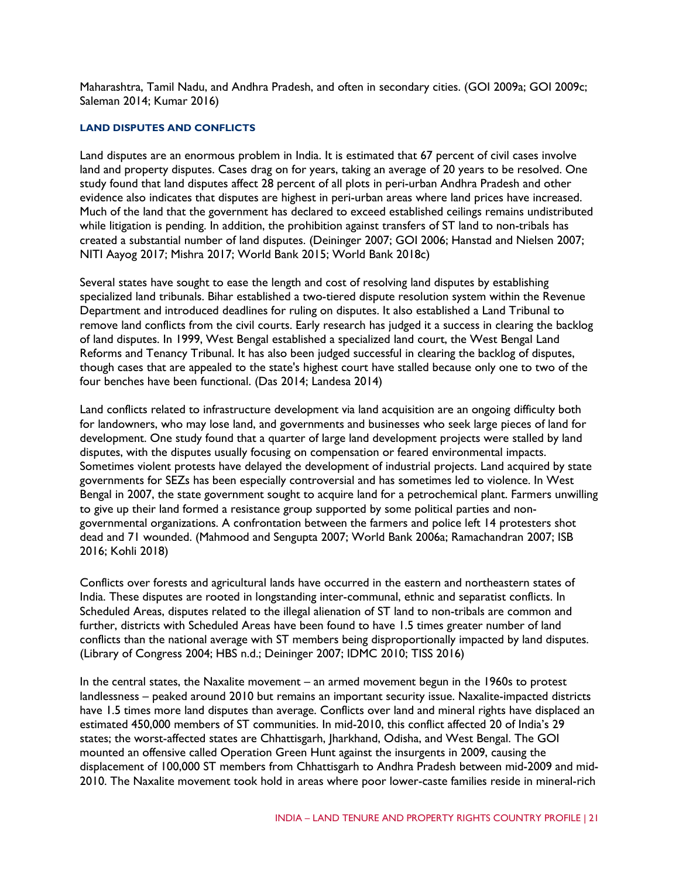Maharashtra, Tamil Nadu, and Andhra Pradesh, and often in secondary cities. (GOI 2009a; GOI 2009c; Saleman 2014; Kumar 2016)

#### **LAND DISPUTES AND CONFLICTS**

Land disputes are an enormous problem in India. It is estimated that 67 percent of civil cases involve land and property disputes. Cases drag on for years, taking an average of 20 years to be resolved. One study found that land disputes affect 28 percent of all plots in peri-urban Andhra Pradesh and other evidence also indicates that disputes are highest in peri-urban areas where land prices have increased. Much of the land that the government has declared to exceed established ceilings remains undistributed while litigation is pending. In addition, the prohibition against transfers of ST land to non-tribals has created a substantial number of land disputes. (Deininger 2007; GOI 2006; Hanstad and Nielsen 2007; NITI Aayog 2017; Mishra 2017; World Bank 2015; World Bank 2018c)

Several states have sought to ease the length and cost of resolving land disputes by establishing specialized land tribunals. Bihar established a two-tiered dispute resolution system within the Revenue Department and introduced deadlines for ruling on disputes. It also established a Land Tribunal to remove land conflicts from the civil courts. Early research has judged it a success in clearing the backlog of land disputes. In 1999, West Bengal established a specialized land court, the West Bengal Land Reforms and Tenancy Tribunal. It has also been judged successful in clearing the backlog of disputes, though cases that are appealed to the state's highest court have stalled because only one to two of the four benches have been functional. (Das 2014; Landesa 2014)

Land conflicts related to infrastructure development via land acquisition are an ongoing difficulty both for landowners, who may lose land, and governments and businesses who seek large pieces of land for development. One study found that a quarter of large land development projects were stalled by land disputes, with the disputes usually focusing on compensation or feared environmental impacts. Sometimes violent protests have delayed the development of industrial projects. Land acquired by state governments for SEZs has been especially controversial and has sometimes led to violence. In West Bengal in 2007, the state government sought to acquire land for a petrochemical plant. Farmers unwilling to give up their land formed a resistance group supported by some political parties and nongovernmental organizations. A confrontation between the farmers and police left 14 protesters shot dead and 71 wounded. (Mahmood and Sengupta 2007; World Bank 2006a; Ramachandran 2007; ISB 2016; Kohli 2018)

Conflicts over forests and agricultural lands have occurred in the eastern and northeastern states of India. These disputes are rooted in longstanding inter-communal, ethnic and separatist conflicts. In Scheduled Areas, disputes related to the illegal alienation of ST land to non-tribals are common and further, districts with Scheduled Areas have been found to have 1.5 times greater number of land conflicts than the national average with ST members being disproportionally impacted by land disputes. (Library of Congress 2004; HBS n.d.; Deininger 2007; IDMC 2010; TISS 2016)

In the central states, the Naxalite movement – an armed movement begun in the 1960s to protest landlessness – peaked around 2010 but remains an important security issue. Naxalite-impacted districts have 1.5 times more land disputes than average. Conflicts over land and mineral rights have displaced an estimated 450,000 members of ST communities. In mid-2010, this conflict affected 20 of India's 29 states; the worst-affected states are Chhattisgarh, Jharkhand, Odisha, and West Bengal. The GOI mounted an offensive called Operation Green Hunt against the insurgents in 2009, causing the displacement of 100,000 ST members from Chhattisgarh to Andhra Pradesh between mid-2009 and mid-2010. The Naxalite movement took hold in areas where poor lower-caste families reside in mineral-rich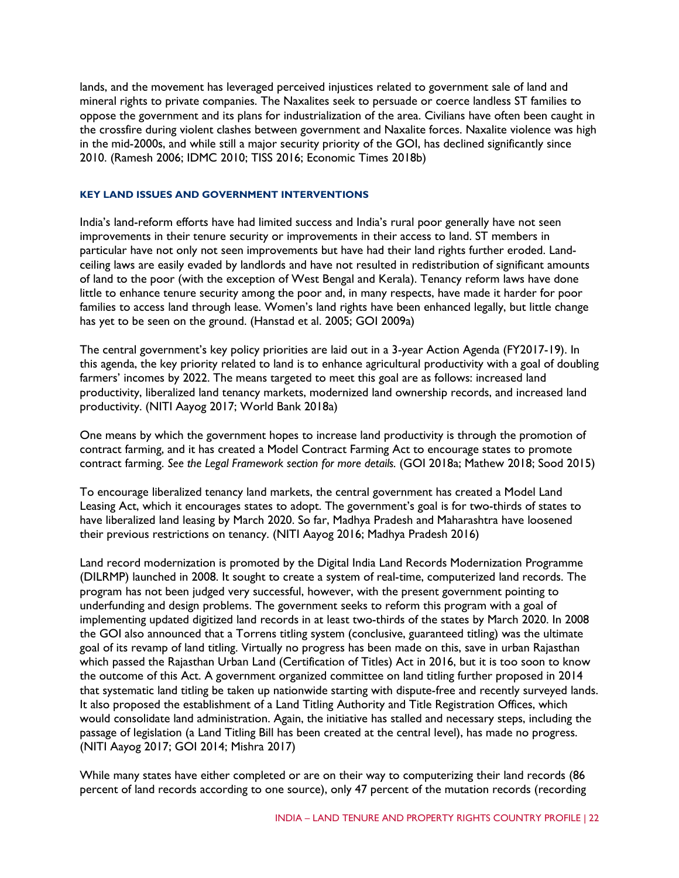lands, and the movement has leveraged perceived injustices related to government sale of land and mineral rights to private companies. The Naxalites seek to persuade or coerce landless ST families to oppose the government and its plans for industrialization of the area. Civilians have often been caught in the crossfire during violent clashes between government and Naxalite forces. Naxalite violence was high in the mid-2000s, and while still a major security priority of the GOI, has declined significantly since 2010. (Ramesh 2006; IDMC 2010; TISS 2016; Economic Times 2018b)

#### **KEY LAND ISSUES AND GOVERNMENT INTERVENTIONS**

India's land-reform efforts have had limited success and India's rural poor generally have not seen improvements in their tenure security or improvements in their access to land. ST members in particular have not only not seen improvements but have had their land rights further eroded. Landceiling laws are easily evaded by landlords and have not resulted in redistribution of significant amounts of land to the poor (with the exception of West Bengal and Kerala). Tenancy reform laws have done little to enhance tenure security among the poor and, in many respects, have made it harder for poor families to access land through lease. Women's land rights have been enhanced legally, but little change has yet to be seen on the ground. (Hanstad et al. 2005; GOI 2009a)

The central government's key policy priorities are laid out in a 3-year Action Agenda (FY2017-19). In this agenda, the key priority related to land is to enhance agricultural productivity with a goal of doubling farmers' incomes by 2022. The means targeted to meet this goal are as follows: increased land productivity, liberalized land tenancy markets, modernized land ownership records, and increased land productivity. (NITI Aayog 2017; World Bank 2018a)

One means by which the government hopes to increase land productivity is through the promotion of contract farming, and it has created a Model Contract Farming Act to encourage states to promote contract farming. *See the Legal Framework section for more details.* (GOI 2018a; Mathew 2018; Sood 2015)

To encourage liberalized tenancy land markets, the central government has created a Model Land Leasing Act, which it encourages states to adopt. The government's goal is for two-thirds of states to have liberalized land leasing by March 2020. So far, Madhya Pradesh and Maharashtra have loosened their previous restrictions on tenancy. (NITI Aayog 2016; Madhya Pradesh 2016)

Land record modernization is promoted by the Digital India Land Records Modernization Programme (DILRMP) launched in 2008. It sought to create a system of real-time, computerized land records. The program has not been judged very successful, however, with the present government pointing to underfunding and design problems. The government seeks to reform this program with a goal of implementing updated digitized land records in at least two-thirds of the states by March 2020. In 2008 the GOI also announced that a Torrens titling system (conclusive, guaranteed titling) was the ultimate goal of its revamp of land titling. Virtually no progress has been made on this, save in urban Rajasthan which passed the Rajasthan Urban Land (Certification of Titles) Act in 2016, but it is too soon to know the outcome of this Act. A government organized committee on land titling further proposed in 2014 that systematic land titling be taken up nationwide starting with dispute-free and recently surveyed lands. It also proposed the establishment of a Land Titling Authority and Title Registration Offices, which would consolidate land administration. Again, the initiative has stalled and necessary steps, including the passage of legislation (a Land Titling Bill has been created at the central level), has made no progress. (NITI Aayog 2017; GOI 2014; Mishra 2017)

While many states have either completed or are on their way to computerizing their land records (86 percent of land records according to one source), only 47 percent of the mutation records (recording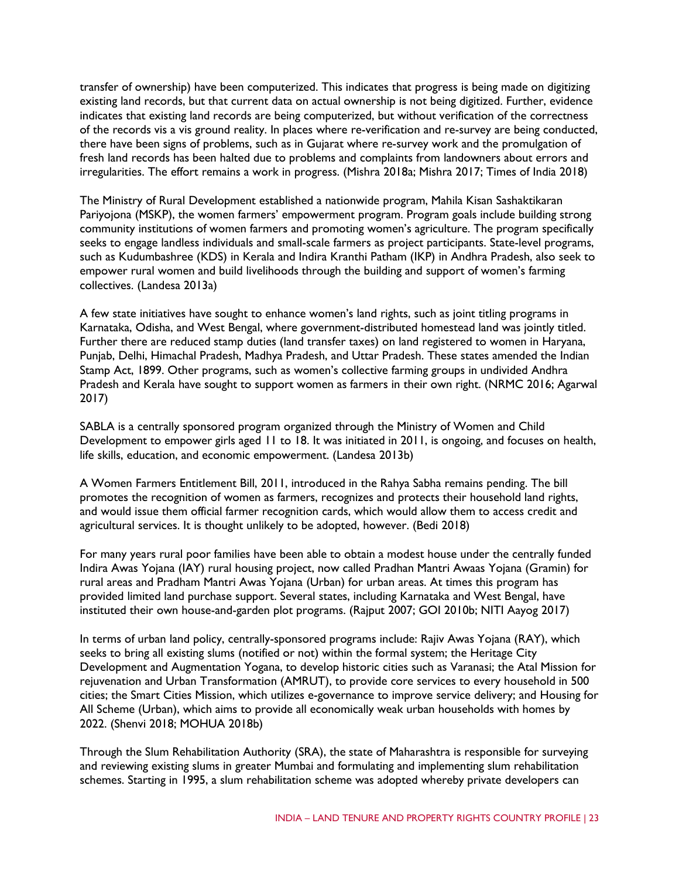transfer of ownership) have been computerized. This indicates that progress is being made on digitizing existing land records, but that current data on actual ownership is not being digitized. Further, evidence indicates that existing land records are being computerized, but without verification of the correctness of the records vis a vis ground reality. In places where re-verification and re-survey are being conducted, there have been signs of problems, such as in Gujarat where re-survey work and the promulgation of fresh land records has been halted due to problems and complaints from landowners about errors and irregularities. The effort remains a work in progress. (Mishra 2018a; Mishra 2017; Times of India 2018)

The Ministry of Rural Development established a nationwide program, Mahila Kisan Sashaktikaran Pariyojona (MSKP), the women farmers' empowerment program. Program goals include building strong community institutions of women farmers and promoting women's agriculture. The program specifically seeks to engage landless individuals and small-scale farmers as project participants. State-level programs, such as Kudumbashree (KDS) in Kerala and Indira Kranthi Patham (IKP) in Andhra Pradesh, also seek to empower rural women and build livelihoods through the building and support of women's farming collectives. (Landesa 2013a)

A few state initiatives have sought to enhance women's land rights, such as joint titling programs in Karnataka, Odisha, and West Bengal, where government-distributed homestead land was jointly titled. Further there are reduced stamp duties (land transfer taxes) on land registered to women in Haryana, Punjab, Delhi, Himachal Pradesh, Madhya Pradesh, and Uttar Pradesh. These states amended the Indian Stamp Act, 1899. Other programs, such as women's collective farming groups in undivided Andhra Pradesh and Kerala have sought to support women as farmers in their own right. (NRMC 2016; Agarwal 2017)

SABLA is a centrally sponsored program organized through the Ministry of Women and Child Development to empower girls aged 11 to 18. It was initiated in 2011, is ongoing, and focuses on health, life skills, education, and economic empowerment. (Landesa 2013b)

A Women Farmers Entitlement Bill, 2011, introduced in the Rahya Sabha remains pending. The bill promotes the recognition of women as farmers, recognizes and protects their household land rights, and would issue them official farmer recognition cards, which would allow them to access credit and agricultural services. It is thought unlikely to be adopted, however. (Bedi 2018)

For many years rural poor families have been able to obtain a modest house under the centrally funded Indira Awas Yojana (IAY) rural housing project, now called Pradhan Mantri Awaas Yojana (Gramin) for rural areas and Pradham Mantri Awas Yojana (Urban) for urban areas. At times this program has provided limited land purchase support. Several states, including Karnataka and West Bengal, have instituted their own house-and-garden plot programs. (Rajput 2007; GOI 2010b; NITI Aayog 2017)

In terms of urban land policy, centrally-sponsored programs include: Rajiv Awas Yojana (RAY), which seeks to bring all existing slums (notified or not) within the formal system; the Heritage City Development and Augmentation Yogana, to develop historic cities such as Varanasi; the Atal Mission for rejuvenation and Urban Transformation (AMRUT), to provide core services to every household in 500 cities; the Smart Cities Mission, which utilizes e-governance to improve service delivery; and Housing for All Scheme (Urban), which aims to provide all economically weak urban households with homes by 2022. (Shenvi 2018; MOHUA 2018b)

Through the Slum Rehabilitation Authority (SRA), the state of Maharashtra is responsible for surveying and reviewing existing slums in greater Mumbai and formulating and implementing slum rehabilitation schemes. Starting in 1995, a slum rehabilitation scheme was adopted whereby private developers can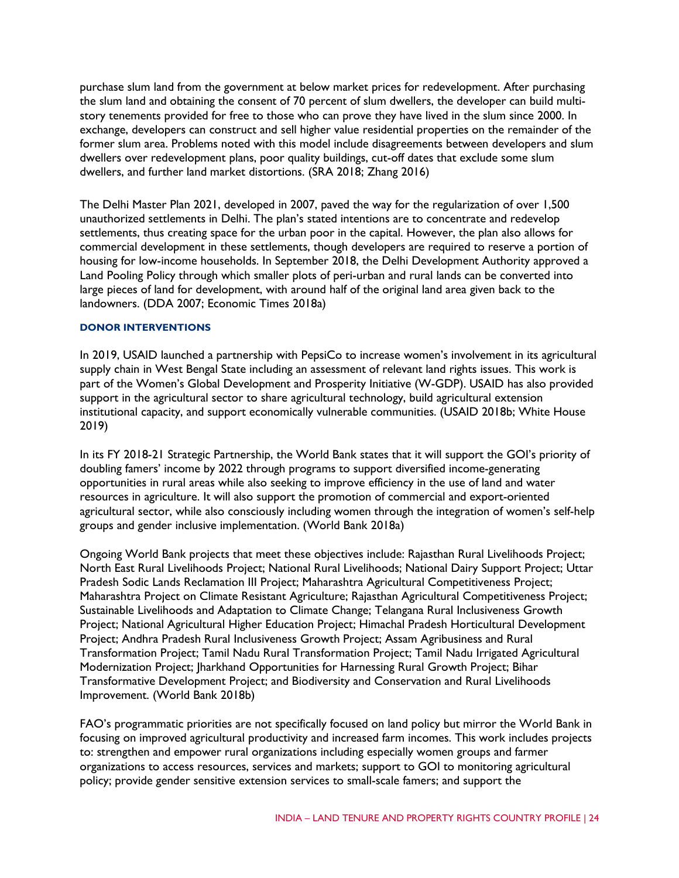purchase slum land from the government at below market prices for redevelopment. After purchasing the slum land and obtaining the consent of 70 percent of slum dwellers, the developer can build multistory tenements provided for free to those who can prove they have lived in the slum since 2000. In exchange, developers can construct and sell higher value residential properties on the remainder of the former slum area. Problems noted with this model include disagreements between developers and slum dwellers over redevelopment plans, poor quality buildings, cut-off dates that exclude some slum dwellers, and further land market distortions. (SRA 2018; Zhang 2016)

The Delhi Master Plan 2021, developed in 2007, paved the way for the regularization of over 1,500 unauthorized settlements in Delhi. The plan's stated intentions are to concentrate and redevelop settlements, thus creating space for the urban poor in the capital. However, the plan also allows for commercial development in these settlements, though developers are required to reserve a portion of housing for low-income households. In September 2018, the Delhi Development Authority approved a Land Pooling Policy through which smaller plots of peri-urban and rural lands can be converted into large pieces of land for development, with around half of the original land area given back to the landowners. (DDA 2007; Economic Times 2018a)

#### **DONOR INTERVENTIONS**

In 2019, USAID launched a partnership with PepsiCo to increase women's involvement in its agricultural supply chain in West Bengal State including an assessment of relevant land rights issues. This work is part of the Women's Global Development and Prosperity Initiative (W-GDP). USAID has also provided support in the agricultural sector to share agricultural technology, build agricultural extension institutional capacity, and support economically vulnerable communities. (USAID 2018b; White House 2019)

In its FY 2018-21 Strategic Partnership, the World Bank states that it will support the GOI's priority of doubling famers' income by 2022 through programs to support diversified income-generating opportunities in rural areas while also seeking to improve efficiency in the use of land and water resources in agriculture. It will also support the promotion of commercial and export-oriented agricultural sector, while also consciously including women through the integration of women's self-help groups and gender inclusive implementation. (World Bank 2018a)

Ongoing World Bank projects that meet these objectives include: Rajasthan Rural Livelihoods Project; North East Rural Livelihoods Project; National Rural Livelihoods; National Dairy Support Project; Uttar Pradesh Sodic Lands Reclamation III Project; Maharashtra Agricultural Competitiveness Project; Maharashtra Project on Climate Resistant Agriculture; Rajasthan Agricultural Competitiveness Project; Sustainable Livelihoods and Adaptation to Climate Change; Telangana Rural Inclusiveness Growth Project; National Agricultural Higher Education Project; Himachal Pradesh Horticultural Development Project; Andhra Pradesh Rural Inclusiveness Growth Project; Assam Agribusiness and Rural Transformation Project; Tamil Nadu Rural Transformation Project; Tamil Nadu Irrigated Agricultural Modernization Project; Jharkhand Opportunities for Harnessing Rural Growth Project; Bihar Transformative Development Project; and Biodiversity and Conservation and Rural Livelihoods Improvement. (World Bank 2018b)

FAO's programmatic priorities are not specifically focused on land policy but mirror the World Bank in focusing on improved agricultural productivity and increased farm incomes. This work includes projects to: strengthen and empower rural organizations including especially women groups and farmer organizations to access resources, services and markets; support to GOI to monitoring agricultural policy; provide gender sensitive extension services to small-scale famers; and support the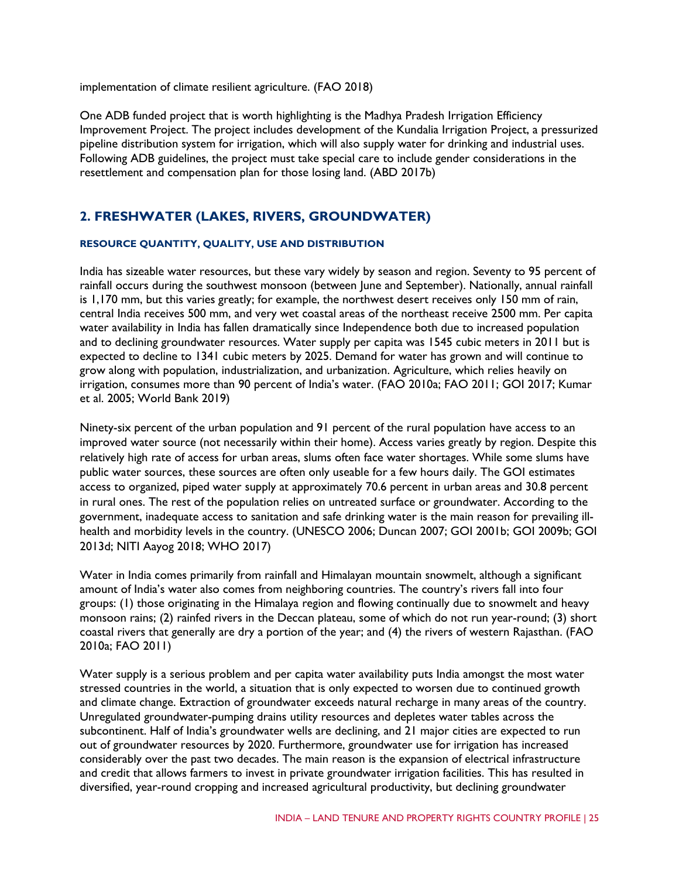implementation of climate resilient agriculture. (FAO 2018)

One ADB funded project that is worth highlighting is the Madhya Pradesh Irrigation Efficiency Improvement Project. The project includes development of the Kundalia Irrigation Project, a pressurized pipeline distribution system for irrigation, which will also supply water for drinking and industrial uses. Following ADB guidelines, the project must take special care to include gender considerations in the resettlement and compensation plan for those losing land. (ABD 2017b)

## **2. FRESHWATER (LAKES, RIVERS, GROUNDWATER)**

#### **RESOURCE QUANTITY, QUALITY, USE AND DISTRIBUTION**

India has sizeable water resources, but these vary widely by season and region. Seventy to 95 percent of rainfall occurs during the southwest monsoon (between June and September). Nationally, annual rainfall is 1,170 mm, but this varies greatly; for example, the northwest desert receives only 150 mm of rain, central India receives 500 mm, and very wet coastal areas of the northeast receive 2500 mm. Per capita water availability in India has fallen dramatically since Independence both due to increased population and to declining groundwater resources. Water supply per capita was 1545 cubic meters in 2011 but is expected to decline to 1341 cubic meters by 2025. Demand for water has grown and will continue to grow along with population, industrialization, and urbanization. Agriculture, which relies heavily on irrigation, consumes more than 90 percent of India's water. (FAO 2010a; FAO 2011; GOI 2017; Kumar et al. 2005; World Bank 2019)

Ninety-six percent of the urban population and 91 percent of the rural population have access to an improved water source (not necessarily within their home). Access varies greatly by region. Despite this relatively high rate of access for urban areas, slums often face water shortages. While some slums have public water sources, these sources are often only useable for a few hours daily. The GOI estimates access to organized, piped water supply at approximately 70.6 percent in urban areas and 30.8 percent in rural ones. The rest of the population relies on untreated surface or groundwater. According to the government, inadequate access to sanitation and safe drinking water is the main reason for prevailing illhealth and morbidity levels in the country. (UNESCO 2006; Duncan 2007; GOI 2001b; GOI 2009b; GOI 2013d; NITI Aayog 2018; WHO 2017)

Water in India comes primarily from rainfall and Himalayan mountain snowmelt, although a significant amount of India's water also comes from neighboring countries. The country's rivers fall into four groups: (1) those originating in the Himalaya region and flowing continually due to snowmelt and heavy monsoon rains; (2) rainfed rivers in the Deccan plateau, some of which do not run year-round; (3) short coastal rivers that generally are dry a portion of the year; and (4) the rivers of western Rajasthan. (FAO 2010a; FAO 2011)

Water supply is a serious problem and per capita water availability puts India amongst the most water stressed countries in the world, a situation that is only expected to worsen due to continued growth and climate change. Extraction of groundwater exceeds natural recharge in many areas of the country. Unregulated groundwater-pumping drains utility resources and depletes water tables across the subcontinent. Half of India's groundwater wells are declining, and 21 major cities are expected to run out of groundwater resources by 2020. Furthermore, groundwater use for irrigation has increased considerably over the past two decades. The main reason is the expansion of electrical infrastructure and credit that allows farmers to invest in private groundwater irrigation facilities. This has resulted in diversified, year-round cropping and increased agricultural productivity, but declining groundwater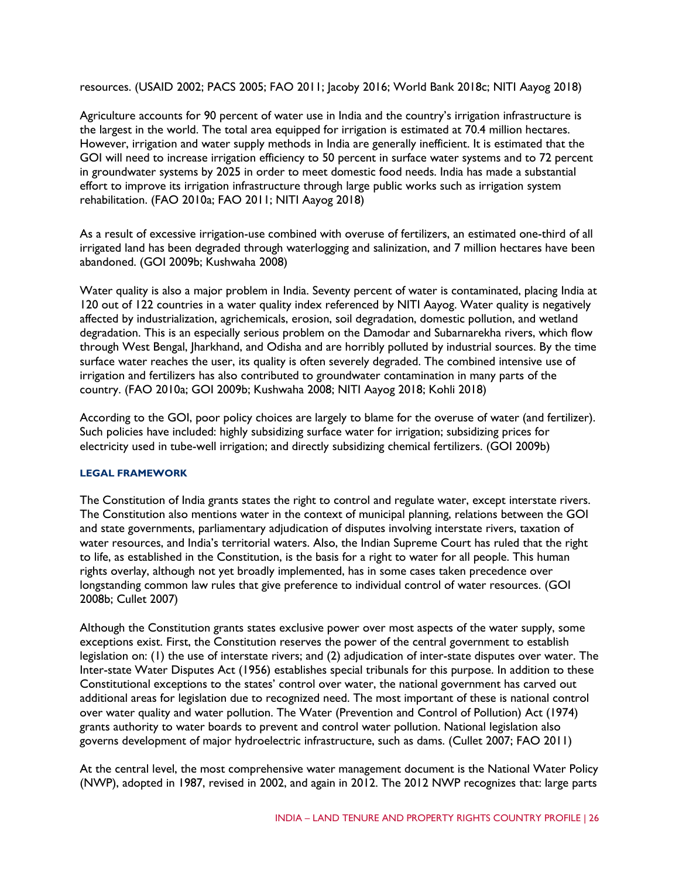resources. (USAID 2002; PACS 2005; FAO 2011; Jacoby 2016; World Bank 2018c; NITI Aayog 2018)

Agriculture accounts for 90 percent of water use in India and the country's irrigation infrastructure is the largest in the world. The total area equipped for irrigation is estimated at 70.4 million hectares. However, irrigation and water supply methods in India are generally inefficient. It is estimated that the GOI will need to increase irrigation efficiency to 50 percent in surface water systems and to 72 percent in groundwater systems by 2025 in order to meet domestic food needs. India has made a substantial effort to improve its irrigation infrastructure through large public works such as irrigation system rehabilitation. (FAO 2010a; FAO 2011; NITI Aayog 2018)

As a result of excessive irrigation-use combined with overuse of fertilizers, an estimated one-third of all irrigated land has been degraded through waterlogging and salinization, and 7 million hectares have been abandoned. (GOI 2009b; Kushwaha 2008)

Water quality is also a major problem in India. Seventy percent of water is contaminated, placing India at 120 out of 122 countries in a water quality index referenced by NITI Aayog. Water quality is negatively affected by industrialization, agrichemicals, erosion, soil degradation, domestic pollution, and wetland degradation. This is an especially serious problem on the Damodar and Subarnarekha rivers, which flow through West Bengal, Jharkhand, and Odisha and are horribly polluted by industrial sources. By the time surface water reaches the user, its quality is often severely degraded. The combined intensive use of irrigation and fertilizers has also contributed to groundwater contamination in many parts of the country. (FAO 2010a; GOI 2009b; Kushwaha 2008; NITI Aayog 2018; Kohli 2018)

According to the GOI, poor policy choices are largely to blame for the overuse of water (and fertilizer). Such policies have included: highly subsidizing surface water for irrigation; subsidizing prices for electricity used in tube-well irrigation; and directly subsidizing chemical fertilizers. (GOI 2009b)

#### **LEGAL FRAMEWORK**

The Constitution of India grants states the right to control and regulate water, except interstate rivers. The Constitution also mentions water in the context of municipal planning, relations between the GOI and state governments, parliamentary adjudication of disputes involving interstate rivers, taxation of water resources, and India's territorial waters. Also, the Indian Supreme Court has ruled that the right to life, as established in the Constitution, is the basis for a right to water for all people. This human rights overlay, although not yet broadly implemented, has in some cases taken precedence over longstanding common law rules that give preference to individual control of water resources. (GOI 2008b; Cullet 2007)

Although the Constitution grants states exclusive power over most aspects of the water supply, some exceptions exist. First, the Constitution reserves the power of the central government to establish legislation on: (1) the use of interstate rivers; and (2) adjudication of inter-state disputes over water. The Inter-state Water Disputes Act (1956) establishes special tribunals for this purpose. In addition to these Constitutional exceptions to the states' control over water, the national government has carved out additional areas for legislation due to recognized need. The most important of these is national control over water quality and water pollution. The Water (Prevention and Control of Pollution) Act (1974) grants authority to water boards to prevent and control water pollution. National legislation also governs development of major hydroelectric infrastructure, such as dams. (Cullet 2007; FAO 2011)

At the central level, the most comprehensive water management document is the National Water Policy (NWP), adopted in 1987, revised in 2002, and again in 2012. The 2012 NWP recognizes that: large parts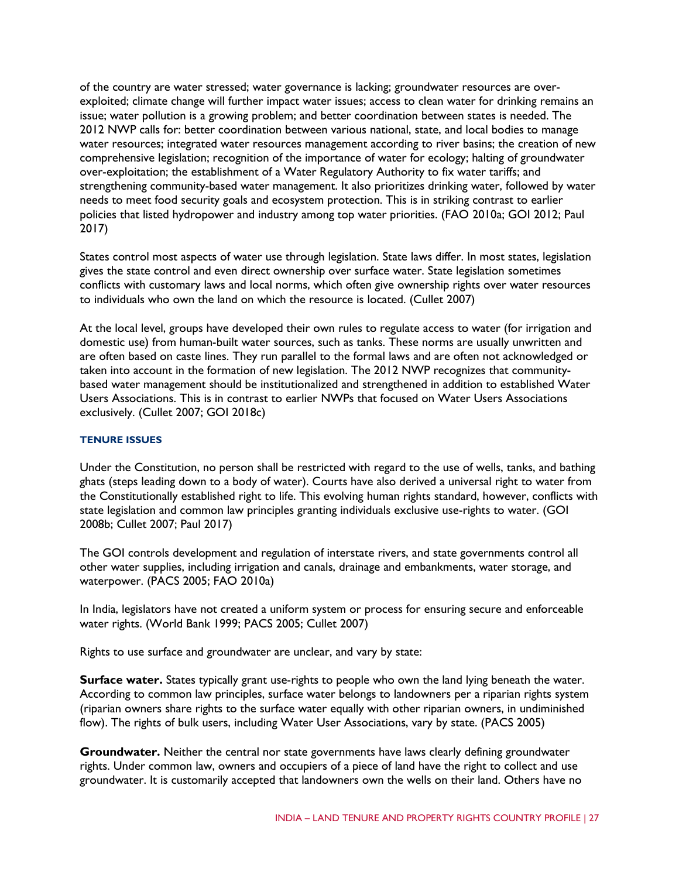of the country are water stressed; water governance is lacking; groundwater resources are overexploited; climate change will further impact water issues; access to clean water for drinking remains an issue; water pollution is a growing problem; and better coordination between states is needed. The 2012 NWP calls for: better coordination between various national, state, and local bodies to manage water resources; integrated water resources management according to river basins; the creation of new comprehensive legislation; recognition of the importance of water for ecology; halting of groundwater over-exploitation; the establishment of a Water Regulatory Authority to fix water tariffs; and strengthening community-based water management. It also prioritizes drinking water, followed by water needs to meet food security goals and ecosystem protection. This is in striking contrast to earlier policies that listed hydropower and industry among top water priorities. (FAO 2010a; GOI 2012; Paul 2017)

States control most aspects of water use through legislation. State laws differ. In most states, legislation gives the state control and even direct ownership over surface water. State legislation sometimes conflicts with customary laws and local norms, which often give ownership rights over water resources to individuals who own the land on which the resource is located. (Cullet 2007)

At the local level, groups have developed their own rules to regulate access to water (for irrigation and domestic use) from human-built water sources, such as tanks. These norms are usually unwritten and are often based on caste lines. They run parallel to the formal laws and are often not acknowledged or taken into account in the formation of new legislation. The 2012 NWP recognizes that communitybased water management should be institutionalized and strengthened in addition to established Water Users Associations. This is in contrast to earlier NWPs that focused on Water Users Associations exclusively. (Cullet 2007; GOI 2018c)

#### **TENURE ISSUES**

Under the Constitution, no person shall be restricted with regard to the use of wells, tanks, and bathing ghats (steps leading down to a body of water). Courts have also derived a universal right to water from the Constitutionally established right to life. This evolving human rights standard, however, conflicts with state legislation and common law principles granting individuals exclusive use-rights to water. (GOI 2008b; Cullet 2007; Paul 2017)

The GOI controls development and regulation of interstate rivers, and state governments control all other water supplies, including irrigation and canals, drainage and embankments, water storage, and waterpower. (PACS 2005; FAO 2010a)

In India, legislators have not created a uniform system or process for ensuring secure and enforceable water rights. (World Bank 1999; PACS 2005; Cullet 2007)

Rights to use surface and groundwater are unclear, and vary by state:

**Surface water.** States typically grant use-rights to people who own the land lying beneath the water. According to common law principles, surface water belongs to landowners per a riparian rights system (riparian owners share rights to the surface water equally with other riparian owners, in undiminished flow). The rights of bulk users, including Water User Associations, vary by state. (PACS 2005)

**Groundwater.** Neither the central nor state governments have laws clearly defining groundwater rights. Under common law, owners and occupiers of a piece of land have the right to collect and use groundwater. It is customarily accepted that landowners own the wells on their land. Others have no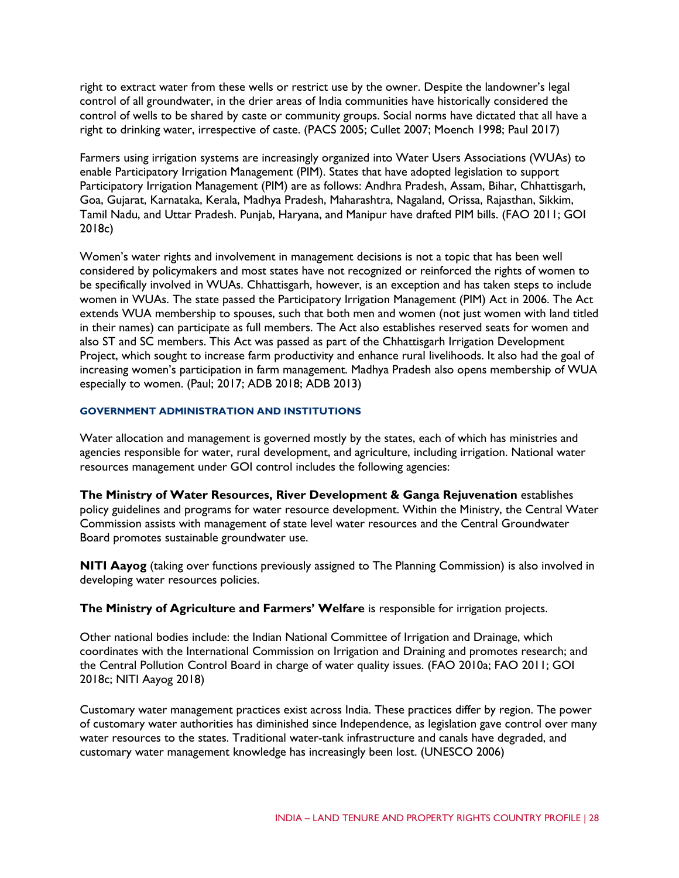right to extract water from these wells or restrict use by the owner. Despite the landowner's legal control of all groundwater, in the drier areas of India communities have historically considered the control of wells to be shared by caste or community groups. Social norms have dictated that all have a right to drinking water, irrespective of caste. (PACS 2005; Cullet 2007; Moench 1998; Paul 2017)

Farmers using irrigation systems are increasingly organized into Water Users Associations (WUAs) to enable Participatory Irrigation Management (PIM). States that have adopted legislation to support Participatory Irrigation Management (PIM) are as follows: Andhra Pradesh, Assam, Bihar, Chhattisgarh, Goa, Gujarat, Karnataka, Kerala, Madhya Pradesh, Maharashtra, Nagaland, Orissa, Rajasthan, Sikkim, Tamil Nadu, and Uttar Pradesh. Punjab, Haryana, and Manipur have drafted PIM bills. (FAO 2011; GOI 2018c)

Women's water rights and involvement in management decisions is not a topic that has been well considered by policymakers and most states have not recognized or reinforced the rights of women to be specifically involved in WUAs. Chhattisgarh, however, is an exception and has taken steps to include women in WUAs. The state passed the Participatory Irrigation Management (PIM) Act in 2006. The Act extends WUA membership to spouses, such that both men and women (not just women with land titled in their names) can participate as full members. The Act also establishes reserved seats for women and also ST and SC members. This Act was passed as part of the Chhattisgarh Irrigation Development Project, which sought to increase farm productivity and enhance rural livelihoods. It also had the goal of increasing women's participation in farm management. Madhya Pradesh also opens membership of WUA especially to women. (Paul; 2017; ADB 2018; ADB 2013)

#### **GOVERNMENT ADMINISTRATION AND INSTITUTIONS**

Water allocation and management is governed mostly by the states, each of which has ministries and agencies responsible for water, rural development, and agriculture, including irrigation. National water resources management under GOI control includes the following agencies:

**The Ministry of Water Resources, River Development & Ganga Rejuvenation** establishes policy guidelines and programs for water resource development. Within the Ministry, the Central Water Commission assists with management of state level water resources and the Central Groundwater Board promotes sustainable groundwater use.

**NITI Aayog** (taking over functions previously assigned to The Planning Commission) is also involved in developing water resources policies.

**The Ministry of Agriculture and Farmers' Welfare** is responsible for irrigation projects.

Other national bodies include: the Indian National Committee of Irrigation and Drainage, which coordinates with the International Commission on Irrigation and Draining and promotes research; and the Central Pollution Control Board in charge of water quality issues. (FAO 2010a; FAO 2011; GOI 2018c; NITI Aayog 2018)

Customary water management practices exist across India. These practices differ by region. The power of customary water authorities has diminished since Independence, as legislation gave control over many water resources to the states. Traditional water-tank infrastructure and canals have degraded, and customary water management knowledge has increasingly been lost. (UNESCO 2006)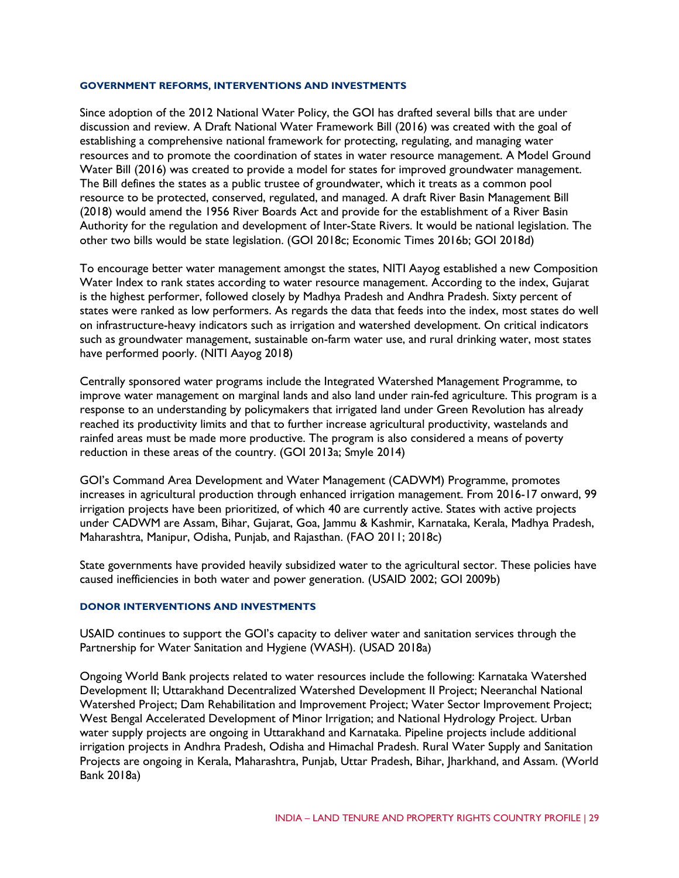#### **GOVERNMENT REFORMS, INTERVENTIONS AND INVESTMENTS**

Since adoption of the 2012 National Water Policy, the GOI has drafted several bills that are under discussion and review. A Draft National Water Framework Bill (2016) was created with the goal of establishing a comprehensive national framework for protecting, regulating, and managing water resources and to promote the coordination of states in water resource management. A Model Ground Water Bill (2016) was created to provide a model for states for improved groundwater management. The Bill defines the states as a public trustee of groundwater, which it treats as a common pool resource to be protected, conserved, regulated, and managed. A draft River Basin Management Bill (2018) would amend the 1956 River Boards Act and provide for the establishment of a River Basin Authority for the regulation and development of Inter-State Rivers. It would be national legislation. The other two bills would be state legislation. (GOI 2018c; Economic Times 2016b; GOI 2018d)

To encourage better water management amongst the states, NITI Aayog established a new Composition Water Index to rank states according to water resource management. According to the index, Gujarat is the highest performer, followed closely by Madhya Pradesh and Andhra Pradesh. Sixty percent of states were ranked as low performers. As regards the data that feeds into the index, most states do well on infrastructure-heavy indicators such as irrigation and watershed development. On critical indicators such as groundwater management, sustainable on-farm water use, and rural drinking water, most states have performed poorly. (NITI Aayog 2018)

Centrally sponsored water programs include the Integrated Watershed Management Programme, to improve water management on marginal lands and also land under rain-fed agriculture. This program is a response to an understanding by policymakers that irrigated land under Green Revolution has already reached its productivity limits and that to further increase agricultural productivity, wastelands and rainfed areas must be made more productive. The program is also considered a means of poverty reduction in these areas of the country. (GOI 2013a; Smyle 2014)

GOI's Command Area Development and Water Management (CADWM) Programme, promotes increases in agricultural production through enhanced irrigation management. From 2016-17 onward, 99 irrigation projects have been prioritized, of which 40 are currently active. States with active projects under CADWM are Assam, Bihar, Gujarat, Goa, Jammu & Kashmir, Karnataka, Kerala, Madhya Pradesh, Maharashtra, Manipur, Odisha, Punjab, and Rajasthan. (FAO 2011; 2018c)

State governments have provided heavily subsidized water to the agricultural sector. These policies have caused inefficiencies in both water and power generation. (USAID 2002; GOI 2009b)

#### **DONOR INTERVENTIONS AND INVESTMENTS**

USAID continues to support the GOI's capacity to deliver water and sanitation services through the Partnership for Water Sanitation and Hygiene (WASH). (USAD 2018a)

Ongoing World Bank projects related to water resources include the following: Karnataka Watershed Development II; Uttarakhand Decentralized Watershed Development II Project; Neeranchal National Watershed Project; Dam Rehabilitation and Improvement Project; Water Sector Improvement Project; West Bengal Accelerated Development of Minor Irrigation; and National Hydrology Project. Urban water supply projects are ongoing in Uttarakhand and Karnataka. Pipeline projects include additional irrigation projects in Andhra Pradesh, Odisha and Himachal Pradesh. Rural Water Supply and Sanitation Projects are ongoing in Kerala, Maharashtra, Punjab, Uttar Pradesh, Bihar, Jharkhand, and Assam. (World Bank 2018a)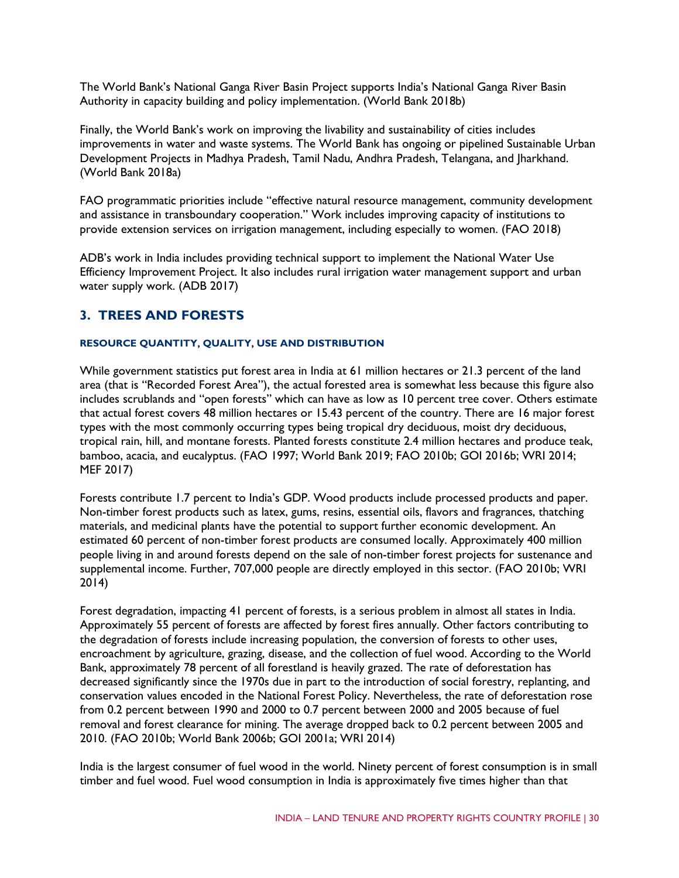The World Bank's National Ganga River Basin Project supports India's National Ganga River Basin Authority in capacity building and policy implementation. (World Bank 2018b)

Finally, the World Bank's work on improving the livability and sustainability of cities includes improvements in water and waste systems. The World Bank has ongoing or pipelined Sustainable Urban Development Projects in Madhya Pradesh, Tamil Nadu, Andhra Pradesh, Telangana, and Jharkhand. (World Bank 2018a)

FAO programmatic priorities include "effective natural resource management, community development and assistance in transboundary cooperation." Work includes improving capacity of institutions to provide extension services on irrigation management, including especially to women. (FAO 2018)

ADB's work in India includes providing technical support to implement the National Water Use Efficiency Improvement Project. It also includes rural irrigation water management support and urban water supply work. (ADB 2017)

## **3. TREES AND FORESTS**

#### **RESOURCE QUANTITY, QUALITY, USE AND DISTRIBUTION**

While government statistics put forest area in India at 61 million hectares or 21.3 percent of the land area (that is "Recorded Forest Area"), the actual forested area is somewhat less because this figure also includes scrublands and "open forests" which can have as low as 10 percent tree cover. Others estimate that actual forest covers 48 million hectares or 15.43 percent of the country. There are 16 major forest types with the most commonly occurring types being tropical dry deciduous, moist dry deciduous, tropical rain, hill, and montane forests. Planted forests constitute 2.4 million hectares and produce teak, bamboo, acacia, and eucalyptus. (FAO 1997; World Bank 2019; FAO 2010b; GOI 2016b; WRI 2014; MEF 2017)

Forests contribute 1.7 percent to India's GDP. Wood products include processed products and paper. Non-timber forest products such as latex, gums, resins, essential oils, flavors and fragrances, thatching materials, and medicinal plants have the potential to support further economic development. An estimated 60 percent of non-timber forest products are consumed locally. Approximately 400 million people living in and around forests depend on the sale of non-timber forest projects for sustenance and supplemental income. Further, 707,000 people are directly employed in this sector. (FAO 2010b; WRI 2014)

Forest degradation, impacting 41 percent of forests, is a serious problem in almost all states in India. Approximately 55 percent of forests are affected by forest fires annually. Other factors contributing to the degradation of forests include increasing population, the conversion of forests to other uses, encroachment by agriculture, grazing, disease, and the collection of fuel wood. According to the World Bank, approximately 78 percent of all forestland is heavily grazed. The rate of deforestation has decreased significantly since the 1970s due in part to the introduction of social forestry, replanting, and conservation values encoded in the National Forest Policy. Nevertheless, the rate of deforestation rose from 0.2 percent between 1990 and 2000 to 0.7 percent between 2000 and 2005 because of fuel removal and forest clearance for mining. The average dropped back to 0.2 percent between 2005 and 2010. (FAO 2010b; World Bank 2006b; GOI 2001a; WRI 2014)

India is the largest consumer of fuel wood in the world. Ninety percent of forest consumption is in small timber and fuel wood. Fuel wood consumption in India is approximately five times higher than that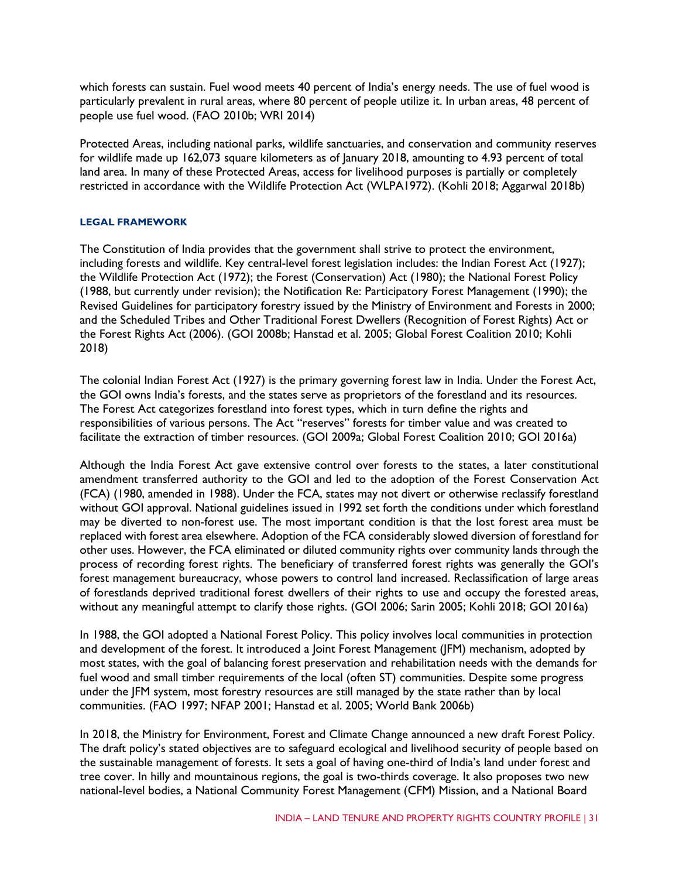which forests can sustain. Fuel wood meets 40 percent of India's energy needs. The use of fuel wood is particularly prevalent in rural areas, where 80 percent of people utilize it. In urban areas, 48 percent of people use fuel wood. (FAO 2010b; WRI 2014)

Protected Areas, including national parks, wildlife sanctuaries, and conservation and community reserves for wildlife made up 162,073 square kilometers as of January 2018, amounting to 4.93 percent of total land area. In many of these Protected Areas, access for livelihood purposes is partially or completely restricted in accordance with the Wildlife Protection Act (WLPA1972). (Kohli 2018; Aggarwal 2018b)

#### **LEGAL FRAMEWORK**

The Constitution of India provides that the government shall strive to protect the environment, including forests and wildlife. Key central-level forest legislation includes: the Indian Forest Act (1927); the Wildlife Protection Act (1972); the Forest (Conservation) Act (1980); the National Forest Policy (1988, but currently under revision); the Notification Re: Participatory Forest Management (1990); the Revised Guidelines for participatory forestry issued by the Ministry of Environment and Forests in 2000; and the Scheduled Tribes and Other Traditional Forest Dwellers (Recognition of Forest Rights) Act or the Forest Rights Act (2006). (GOI 2008b; Hanstad et al. 2005; Global Forest Coalition 2010; Kohli 2018)

The colonial Indian Forest Act (1927) is the primary governing forest law in India. Under the Forest Act, the GOI owns India's forests, and the states serve as proprietors of the forestland and its resources. The Forest Act categorizes forestland into forest types, which in turn define the rights and responsibilities of various persons. The Act "reserves" forests for timber value and was created to facilitate the extraction of timber resources. (GOI 2009a; Global Forest Coalition 2010; GOI 2016a)

Although the India Forest Act gave extensive control over forests to the states, a later constitutional amendment transferred authority to the GOI and led to the adoption of the Forest Conservation Act (FCA) (1980, amended in 1988). Under the FCA, states may not divert or otherwise reclassify forestland without GOI approval. National guidelines issued in 1992 set forth the conditions under which forestland may be diverted to non-forest use. The most important condition is that the lost forest area must be replaced with forest area elsewhere. Adoption of the FCA considerably slowed diversion of forestland for other uses. However, the FCA eliminated or diluted community rights over community lands through the process of recording forest rights. The beneficiary of transferred forest rights was generally the GOI's forest management bureaucracy, whose powers to control land increased. Reclassification of large areas of forestlands deprived traditional forest dwellers of their rights to use and occupy the forested areas, without any meaningful attempt to clarify those rights. (GOI 2006; Sarin 2005; Kohli 2018; GOI 2016a)

In 1988, the GOI adopted a National Forest Policy. This policy involves local communities in protection and development of the forest. It introduced a Joint Forest Management (JFM) mechanism, adopted by most states, with the goal of balancing forest preservation and rehabilitation needs with the demands for fuel wood and small timber requirements of the local (often ST) communities. Despite some progress under the JFM system, most forestry resources are still managed by the state rather than by local communities. (FAO 1997; NFAP 2001; Hanstad et al. 2005; World Bank 2006b)

In 2018, the Ministry for Environment, Forest and Climate Change announced a new draft Forest Policy. The draft policy's stated objectives are to safeguard ecological and livelihood security of people based on the sustainable management of forests. It sets a goal of having one-third of India's land under forest and tree cover. In hilly and mountainous regions, the goal is two-thirds coverage. It also proposes two new national-level bodies, a National Community Forest Management (CFM) Mission, and a National Board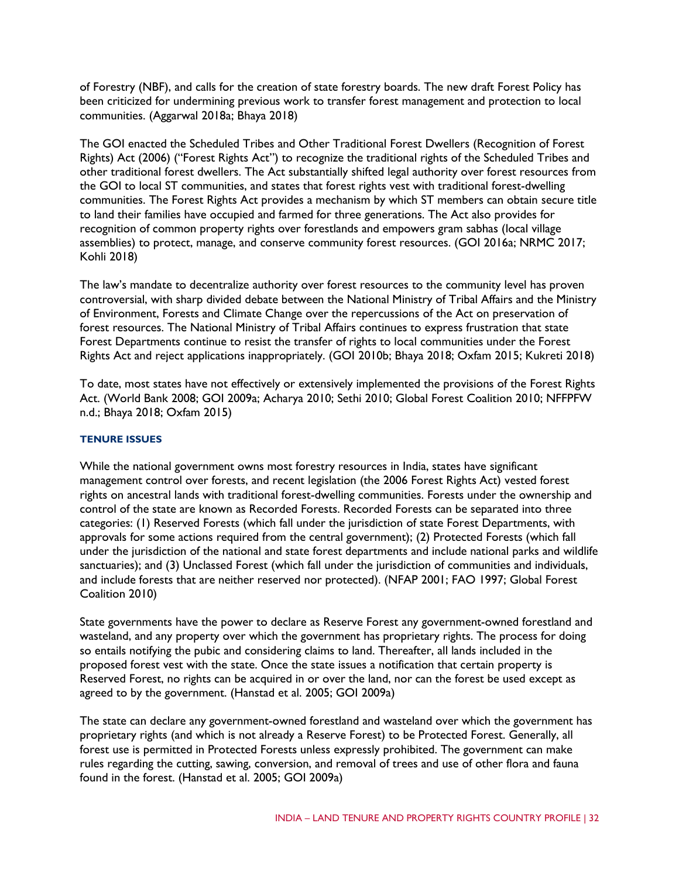of Forestry (NBF), and calls for the creation of state forestry boards. The new draft Forest Policy has been criticized for undermining previous work to transfer forest management and protection to local communities. (Aggarwal 2018a; Bhaya 2018)

The GOI enacted the Scheduled Tribes and Other Traditional Forest Dwellers (Recognition of Forest Rights) Act (2006) ("Forest Rights Act") to recognize the traditional rights of the Scheduled Tribes and other traditional forest dwellers. The Act substantially shifted legal authority over forest resources from the GOI to local ST communities, and states that forest rights vest with traditional forest-dwelling communities. The Forest Rights Act provides a mechanism by which ST members can obtain secure title to land their families have occupied and farmed for three generations. The Act also provides for recognition of common property rights over forestlands and empowers gram sabhas (local village assemblies) to protect, manage, and conserve community forest resources. (GOI 2016a; NRMC 2017; Kohli 2018)

The law's mandate to decentralize authority over forest resources to the community level has proven controversial, with sharp divided debate between the National Ministry of Tribal Affairs and the Ministry of Environment, Forests and Climate Change over the repercussions of the Act on preservation of forest resources. The National Ministry of Tribal Affairs continues to express frustration that state Forest Departments continue to resist the transfer of rights to local communities under the Forest Rights Act and reject applications inappropriately. (GOI 2010b; Bhaya 2018; Oxfam 2015; Kukreti 2018)

To date, most states have not effectively or extensively implemented the provisions of the Forest Rights Act. (World Bank 2008; GOI 2009a; Acharya 2010; Sethi 2010; Global Forest Coalition 2010; NFFPFW n.d.; Bhaya 2018; Oxfam 2015)

#### **TENURE ISSUES**

While the national government owns most forestry resources in India, states have significant management control over forests, and recent legislation (the 2006 Forest Rights Act) vested forest rights on ancestral lands with traditional forest-dwelling communities. Forests under the ownership and control of the state are known as Recorded Forests. Recorded Forests can be separated into three categories: (1) Reserved Forests (which fall under the jurisdiction of state Forest Departments, with approvals for some actions required from the central government); (2) Protected Forests (which fall under the jurisdiction of the national and state forest departments and include national parks and wildlife sanctuaries); and (3) Unclassed Forest (which fall under the jurisdiction of communities and individuals, and include forests that are neither reserved nor protected). (NFAP 2001; FAO 1997; Global Forest Coalition 2010)

State governments have the power to declare as Reserve Forest any government-owned forestland and wasteland, and any property over which the government has proprietary rights. The process for doing so entails notifying the pubic and considering claims to land. Thereafter, all lands included in the proposed forest vest with the state. Once the state issues a notification that certain property is Reserved Forest, no rights can be acquired in or over the land, nor can the forest be used except as agreed to by the government. (Hanstad et al. 2005; GOI 2009a)

The state can declare any government-owned forestland and wasteland over which the government has proprietary rights (and which is not already a Reserve Forest) to be Protected Forest. Generally, all forest use is permitted in Protected Forests unless expressly prohibited. The government can make rules regarding the cutting, sawing, conversion, and removal of trees and use of other flora and fauna found in the forest. (Hanstad et al. 2005; GOI 2009a)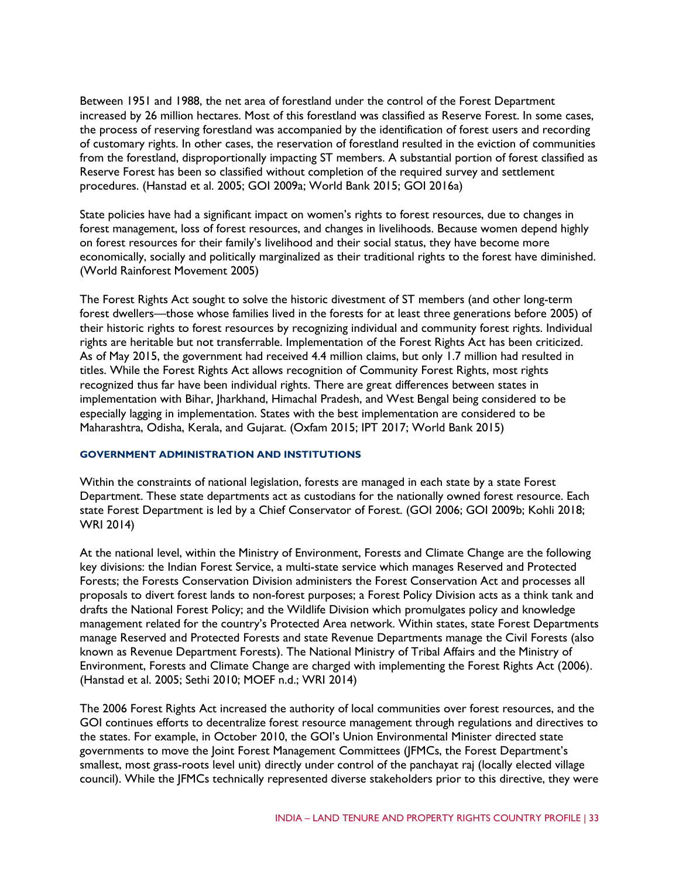Between 1951 and 1988, the net area of forestland under the control of the Forest Department increased by 26 million hectares. Most of this forestland was classified as Reserve Forest. In some cases, the process of reserving forestland was accompanied by the identification of forest users and recording of customary rights. In other cases, the reservation of forestland resulted in the eviction of communities from the forestland, disproportionally impacting ST members. A substantial portion of forest classified as Reserve Forest has been so classified without completion of the required survey and settlement procedures. (Hanstad et al. 2005; GOI 2009a; World Bank 2015; GOI 2016a)

State policies have had a significant impact on women's rights to forest resources, due to changes in forest management, loss of forest resources, and changes in livelihoods. Because women depend highly on forest resources for their family's livelihood and their social status, they have become more economically, socially and politically marginalized as their traditional rights to the forest have diminished. (World Rainforest Movement 2005)

The Forest Rights Act sought to solve the historic divestment of ST members (and other long-term forest dwellers—those whose families lived in the forests for at least three generations before 2005) of their historic rights to forest resources by recognizing individual and community forest rights. Individual rights are heritable but not transferrable. Implementation of the Forest Rights Act has been criticized. As of May 2015, the government had received 4.4 million claims, but only 1.7 million had resulted in titles. While the Forest Rights Act allows recognition of Community Forest Rights, most rights recognized thus far have been individual rights. There are great differences between states in implementation with Bihar, Jharkhand, Himachal Pradesh, and West Bengal being considered to be especially lagging in implementation. States with the best implementation are considered to be Maharashtra, Odisha, Kerala, and Gujarat. (Oxfam 2015; IPT 2017; World Bank 2015)

#### **GOVERNMENT ADMINISTRATION AND INSTITUTIONS**

Within the constraints of national legislation, forests are managed in each state by a state Forest Department. These state departments act as custodians for the nationally owned forest resource. Each state Forest Department is led by a Chief Conservator of Forest. (GOI 2006; GOI 2009b; Kohli 2018; WRI 2014)

At the national level, within the Ministry of Environment, Forests and Climate Change are the following key divisions: the Indian Forest Service, a multi-state service which manages Reserved and Protected Forests; the Forests Conservation Division administers the Forest Conservation Act and processes all proposals to divert forest lands to non-forest purposes; a Forest Policy Division acts as a think tank and drafts the National Forest Policy; and the Wildlife Division which promulgates policy and knowledge management related for the country's Protected Area network. Within states, state Forest Departments manage Reserved and Protected Forests and state Revenue Departments manage the Civil Forests (also known as Revenue Department Forests). The National Ministry of Tribal Affairs and the Ministry of Environment, Forests and Climate Change are charged with implementing the Forest Rights Act (2006). (Hanstad et al. 2005; Sethi 2010; MOEF n.d.; WRI 2014)

The 2006 Forest Rights Act increased the authority of local communities over forest resources, and the GOI continues efforts to decentralize forest resource management through regulations and directives to the states. For example, in October 2010, the GOI's Union Environmental Minister directed state governments to move the Joint Forest Management Committees (JFMCs, the Forest Department's smallest, most grass-roots level unit) directly under control of the panchayat raj (locally elected village council). While the JFMCs technically represented diverse stakeholders prior to this directive, they were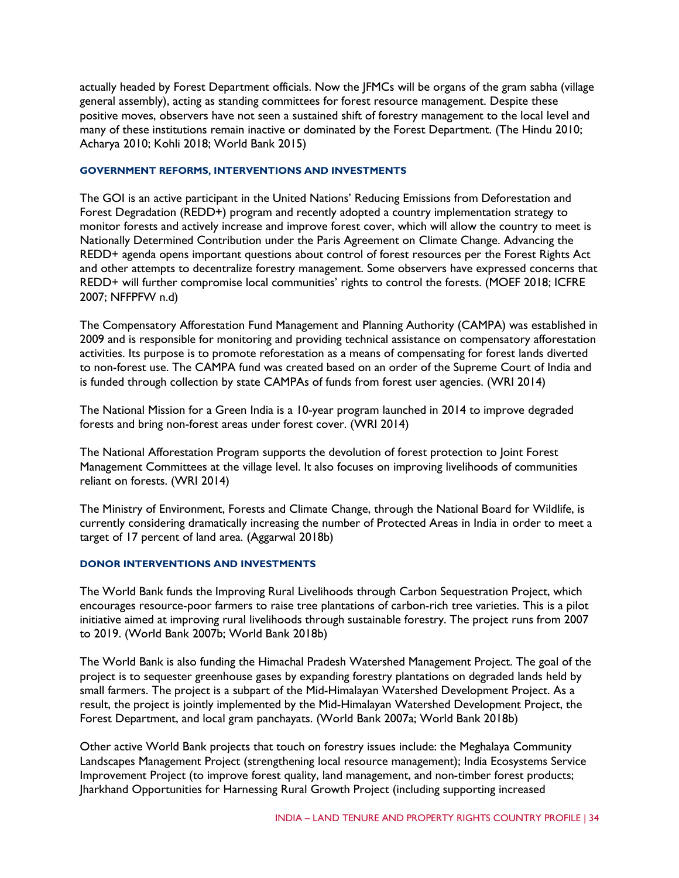actually headed by Forest Department officials. Now the JFMCs will be organs of the gram sabha (village general assembly), acting as standing committees for forest resource management. Despite these positive moves, observers have not seen a sustained shift of forestry management to the local level and many of these institutions remain inactive or dominated by the Forest Department. (The Hindu 2010; Acharya 2010; Kohli 2018; World Bank 2015)

#### **GOVERNMENT REFORMS, INTERVENTIONS AND INVESTMENTS**

The GOI is an active participant in the United Nations' Reducing Emissions from Deforestation and Forest Degradation (REDD+) program and recently adopted a country implementation strategy to monitor forests and actively increase and improve forest cover, which will allow the country to meet is Nationally Determined Contribution under the Paris Agreement on Climate Change. Advancing the REDD+ agenda opens important questions about control of forest resources per the Forest Rights Act and other attempts to decentralize forestry management. Some observers have expressed concerns that REDD+ will further compromise local communities' rights to control the forests. (MOEF 2018; ICFRE 2007; NFFPFW n.d)

The Compensatory Afforestation Fund Management and Planning Authority (CAMPA) was established in 2009 and is responsible for monitoring and providing technical assistance on compensatory afforestation activities. Its purpose is to promote reforestation as a means of compensating for forest lands diverted to non-forest use. The CAMPA fund was created based on an order of the Supreme Court of India and is funded through collection by state CAMPAs of funds from forest user agencies. (WRI 2014)

The National Mission for a Green India is a 10-year program launched in 2014 to improve degraded forests and bring non-forest areas under forest cover. (WRI 2014)

The National Afforestation Program supports the devolution of forest protection to Joint Forest Management Committees at the village level. It also focuses on improving livelihoods of communities reliant on forests. (WRI 2014)

The Ministry of Environment, Forests and Climate Change, through the National Board for Wildlife, is currently considering dramatically increasing the number of Protected Areas in India in order to meet a target of 17 percent of land area. (Aggarwal 2018b)

#### **DONOR INTERVENTIONS AND INVESTMENTS**

The World Bank funds the Improving Rural Livelihoods through Carbon Sequestration Project, which encourages resource-poor farmers to raise tree plantations of carbon-rich tree varieties. This is a pilot initiative aimed at improving rural livelihoods through sustainable forestry. The project runs from 2007 to 2019. (World Bank 2007b; World Bank 2018b)

The World Bank is also funding the Himachal Pradesh Watershed Management Project. The goal of the project is to sequester greenhouse gases by expanding forestry plantations on degraded lands held by small farmers. The project is a subpart of the Mid-Himalayan Watershed Development Project. As a result, the project is jointly implemented by the Mid-Himalayan Watershed Development Project, the Forest Department, and local gram panchayats. (World Bank 2007a; World Bank 2018b)

Other active World Bank projects that touch on forestry issues include: the Meghalaya Community Landscapes Management Project (strengthening local resource management); India Ecosystems Service Improvement Project (to improve forest quality, land management, and non-timber forest products; Jharkhand Opportunities for Harnessing Rural Growth Project (including supporting increased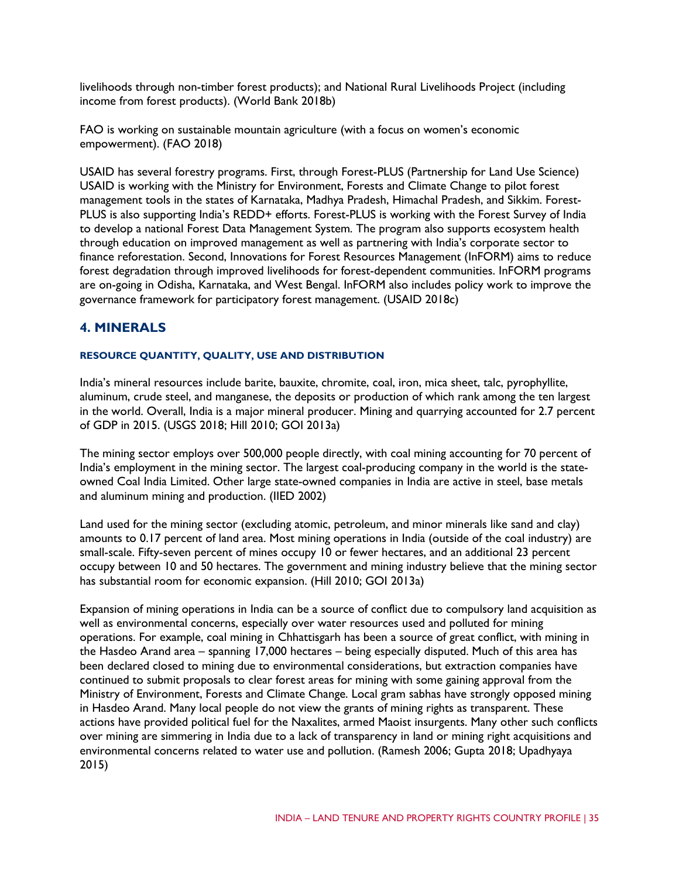livelihoods through non-timber forest products); and National Rural Livelihoods Project (including income from forest products). (World Bank 2018b)

FAO is working on sustainable mountain agriculture (with a focus on women's economic empowerment). (FAO 2018)

USAID has several forestry programs. First, through Forest-PLUS (Partnership for Land Use Science) USAID is working with the Ministry for Environment, Forests and Climate Change to pilot forest management tools in the states of Karnataka, Madhya Pradesh, Himachal Pradesh, and Sikkim. Forest-PLUS is also supporting India's REDD+ efforts. Forest-PLUS is working with the Forest Survey of India to develop a national Forest Data Management System. The program also supports ecosystem health through education on improved management as well as partnering with India's corporate sector to finance reforestation. Second, Innovations for Forest Resources Management (InFORM) aims to reduce forest degradation through improved livelihoods for forest-dependent communities. InFORM programs are on-going in Odisha, Karnataka, and West Bengal. InFORM also includes policy work to improve the governance framework for participatory forest management. (USAID 2018c)

## **4. MINERALS**

#### **RESOURCE QUANTITY, QUALITY, USE AND DISTRIBUTION**

India's mineral resources include barite, bauxite, chromite, coal, iron, mica sheet, talc, pyrophyllite, aluminum, crude steel, and manganese, the deposits or production of which rank among the ten largest in the world. Overall, India is a major mineral producer. Mining and quarrying accounted for 2.7 percent of GDP in 2015. (USGS 2018; Hill 2010; GOI 2013a)

The mining sector employs over 500,000 people directly, with coal mining accounting for 70 percent of India's employment in the mining sector. The largest coal-producing company in the world is the stateowned Coal India Limited. Other large state-owned companies in India are active in steel, base metals and aluminum mining and production. (IIED 2002)

Land used for the mining sector (excluding atomic, petroleum, and minor minerals like sand and clay) amounts to 0.17 percent of land area. Most mining operations in India (outside of the coal industry) are small-scale. Fifty-seven percent of mines occupy 10 or fewer hectares, and an additional 23 percent occupy between 10 and 50 hectares. The government and mining industry believe that the mining sector has substantial room for economic expansion. (Hill 2010; GOI 2013a)

Expansion of mining operations in India can be a source of conflict due to compulsory land acquisition as well as environmental concerns, especially over water resources used and polluted for mining operations. For example, coal mining in Chhattisgarh has been a source of great conflict, with mining in the Hasdeo Arand area – spanning 17,000 hectares – being especially disputed. Much of this area has been declared closed to mining due to environmental considerations, but extraction companies have continued to submit proposals to clear forest areas for mining with some gaining approval from the Ministry of Environment, Forests and Climate Change. Local gram sabhas have strongly opposed mining in Hasdeo Arand. Many local people do not view the grants of mining rights as transparent. These actions have provided political fuel for the Naxalites, armed Maoist insurgents. Many other such conflicts over mining are simmering in India due to a lack of transparency in land or mining right acquisitions and environmental concerns related to water use and pollution. (Ramesh 2006; Gupta 2018; Upadhyaya 2015)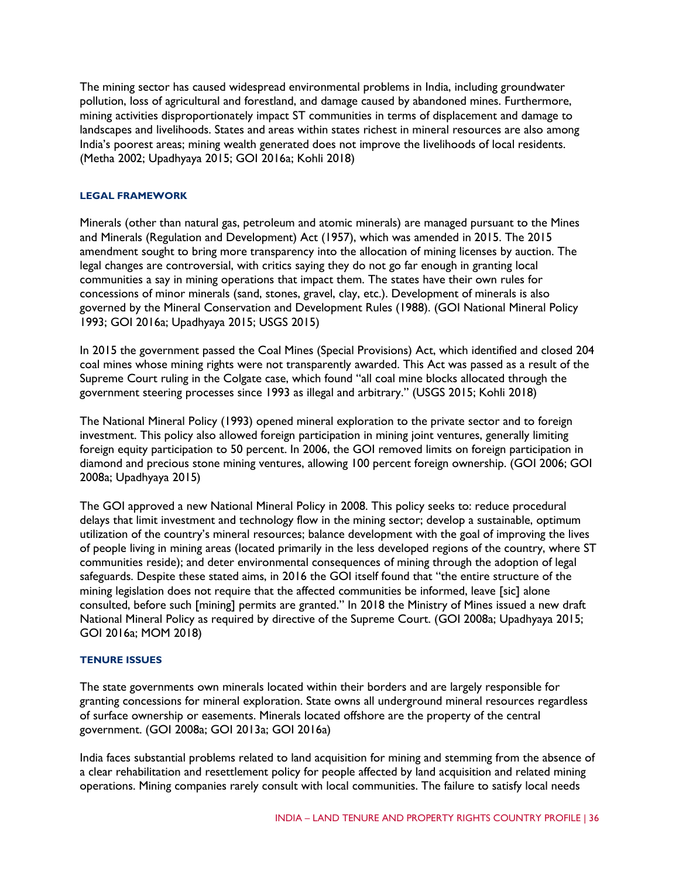The mining sector has caused widespread environmental problems in India, including groundwater pollution, loss of agricultural and forestland, and damage caused by abandoned mines. Furthermore, mining activities disproportionately impact ST communities in terms of displacement and damage to landscapes and livelihoods. States and areas within states richest in mineral resources are also among India's poorest areas; mining wealth generated does not improve the livelihoods of local residents. (Metha 2002; Upadhyaya 2015; GOI 2016a; Kohli 2018)

#### **LEGAL FRAMEWORK**

Minerals (other than natural gas, petroleum and atomic minerals) are managed pursuant to the Mines and Minerals (Regulation and Development) Act (1957), which was amended in 2015. The 2015 amendment sought to bring more transparency into the allocation of mining licenses by auction. The legal changes are controversial, with critics saying they do not go far enough in granting local communities a say in mining operations that impact them. The states have their own rules for concessions of minor minerals (sand, stones, gravel, clay, etc.). Development of minerals is also governed by the Mineral Conservation and Development Rules (1988). (GOI National Mineral Policy 1993; GOI 2016a; Upadhyaya 2015; USGS 2015)

In 2015 the government passed the Coal Mines (Special Provisions) Act, which identified and closed 204 coal mines whose mining rights were not transparently awarded. This Act was passed as a result of the Supreme Court ruling in the Colgate case, which found "all coal mine blocks allocated through the government steering processes since 1993 as illegal and arbitrary." (USGS 2015; Kohli 2018)

The National Mineral Policy (1993) opened mineral exploration to the private sector and to foreign investment. This policy also allowed foreign participation in mining joint ventures, generally limiting foreign equity participation to 50 percent. In 2006, the GOI removed limits on foreign participation in diamond and precious stone mining ventures, allowing 100 percent foreign ownership. (GOI 2006; GOI 2008a; Upadhyaya 2015)

The GOI approved a new National Mineral Policy in 2008. This policy seeks to: reduce procedural delays that limit investment and technology flow in the mining sector; develop a sustainable, optimum utilization of the country's mineral resources; balance development with the goal of improving the lives of people living in mining areas (located primarily in the less developed regions of the country, where ST communities reside); and deter environmental consequences of mining through the adoption of legal safeguards. Despite these stated aims, in 2016 the GOI itself found that "the entire structure of the mining legislation does not require that the affected communities be informed, leave [sic] alone consulted, before such [mining] permits are granted." In 2018 the Ministry of Mines issued a new draft National Mineral Policy as required by directive of the Supreme Court. (GOI 2008a; Upadhyaya 2015; GOI 2016a; MOM 2018)

#### **TENURE ISSUES**

The state governments own minerals located within their borders and are largely responsible for granting concessions for mineral exploration. State owns all underground mineral resources regardless of surface ownership or easements. Minerals located offshore are the property of the central government. (GOI 2008a; GOI 2013a; GOI 2016a)

India faces substantial problems related to land acquisition for mining and stemming from the absence of a clear rehabilitation and resettlement policy for people affected by land acquisition and related mining operations. Mining companies rarely consult with local communities. The failure to satisfy local needs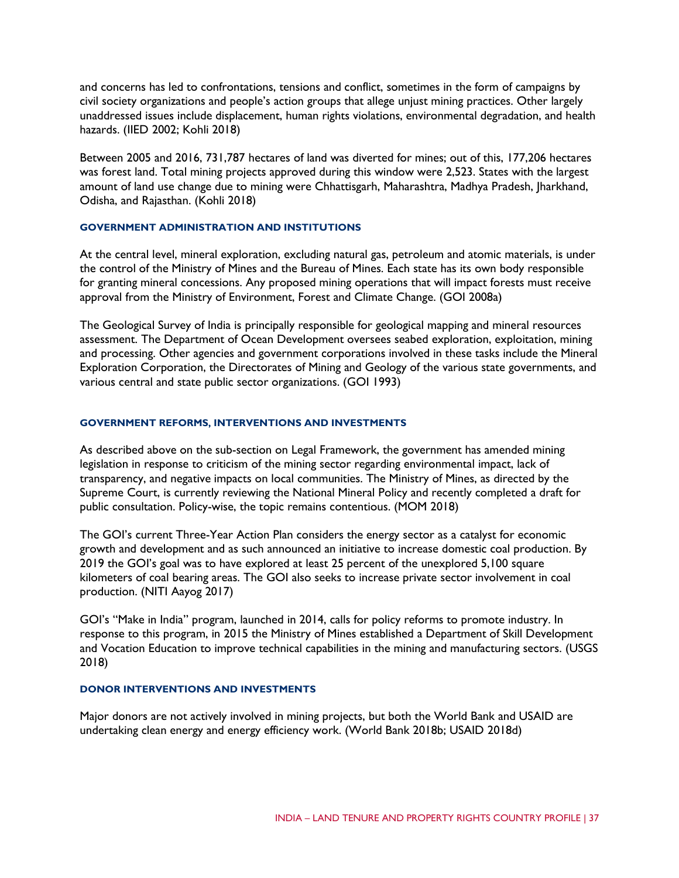and concerns has led to confrontations, tensions and conflict, sometimes in the form of campaigns by civil society organizations and people's action groups that allege unjust mining practices. Other largely unaddressed issues include displacement, human rights violations, environmental degradation, and health hazards. (IIED 2002; Kohli 2018)

Between 2005 and 2016, 731,787 hectares of land was diverted for mines; out of this, 177,206 hectares was forest land. Total mining projects approved during this window were 2,523. States with the largest amount of land use change due to mining were Chhattisgarh, Maharashtra, Madhya Pradesh, Jharkhand, Odisha, and Rajasthan. (Kohli 2018)

#### **GOVERNMENT ADMINISTRATION AND INSTITUTIONS**

At the central level, mineral exploration, excluding natural gas, petroleum and atomic materials, is under the control of the Ministry of Mines and the Bureau of Mines. Each state has its own body responsible for granting mineral concessions. Any proposed mining operations that will impact forests must receive approval from the Ministry of Environment, Forest and Climate Change. (GOI 2008a)

The Geological Survey of India is principally responsible for geological mapping and mineral resources assessment. The Department of Ocean Development oversees seabed exploration, exploitation, mining and processing. Other agencies and government corporations involved in these tasks include the Mineral Exploration Corporation, the Directorates of Mining and Geology of the various state governments, and various central and state public sector organizations. (GOI 1993)

#### **GOVERNMENT REFORMS, INTERVENTIONS AND INVESTMENTS**

As described above on the sub-section on Legal Framework, the government has amended mining legislation in response to criticism of the mining sector regarding environmental impact, lack of transparency, and negative impacts on local communities. The Ministry of Mines, as directed by the Supreme Court, is currently reviewing the National Mineral Policy and recently completed a draft for public consultation. Policy-wise, the topic remains contentious. (MOM 2018)

The GOI's current Three-Year Action Plan considers the energy sector as a catalyst for economic growth and development and as such announced an initiative to increase domestic coal production. By 2019 the GOI's goal was to have explored at least 25 percent of the unexplored 5,100 square kilometers of coal bearing areas. The GOI also seeks to increase private sector involvement in coal production. (NITI Aayog 2017)

GOI's "Make in India" program, launched in 2014, calls for policy reforms to promote industry. In response to this program, in 2015 the Ministry of Mines established a Department of Skill Development and Vocation Education to improve technical capabilities in the mining and manufacturing sectors. (USGS 2018)

#### **DONOR INTERVENTIONS AND INVESTMENTS**

Major donors are not actively involved in mining projects, but both the World Bank and USAID are undertaking clean energy and energy efficiency work. (World Bank 2018b; USAID 2018d)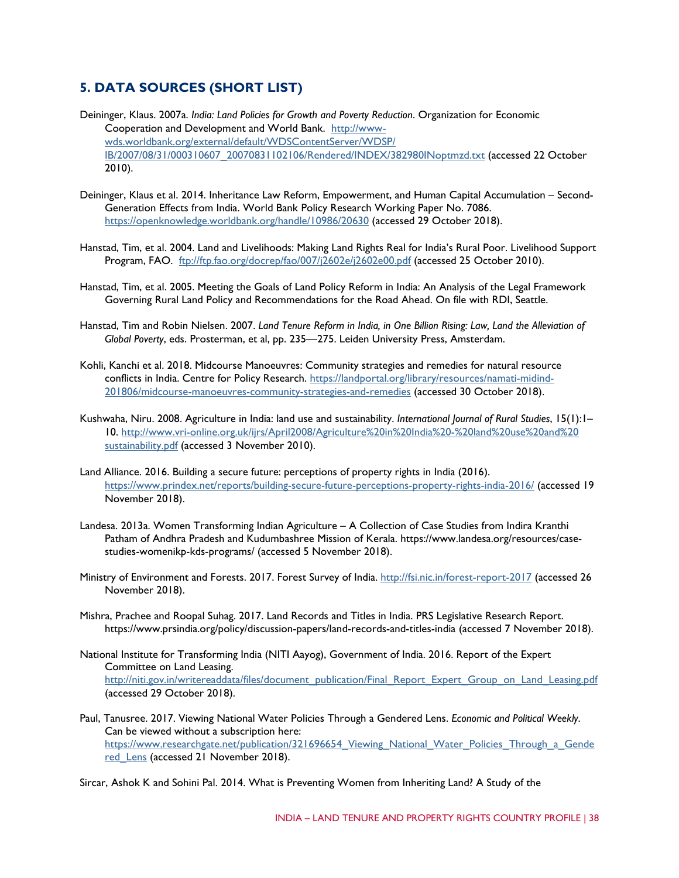## **5. DATA SOURCES (SHORT LIST)**

- Deininger, Klaus. 2007a. *India: Land Policies for Growth and Poverty Reduction*. Organization for Economic Cooperation and Development and World Bank. [http://www](http://www-wds.worldbank.org/external/default/WDSContentServer/WDSP/)[wds.worldbank.org/external/default/WDSContentServer/WDSP/](http://www-wds.worldbank.org/external/default/WDSContentServer/WDSP/) [IB/2007/08/31/000310607\\_20070831102106/Rendered/INDEX/382980INoptmzd.txt](http://www-wds.worldbank.org/external/default/WDSContentServer/WDSP/IB/2007/08/31/000310607_20070831102106/Rendered/INDEX/382980INoptmzd.txt) (accessed 22 October 2010).
- Deininger, Klaus et al. 2014. Inheritance Law Reform, Empowerment, and Human Capital Accumulation Second-Generation Effects from India. World Bank Policy Research Working Paper No. 7086. <https://openknowledge.worldbank.org/handle/10986/20630> (accessed 29 October 2018).
- Hanstad, Tim, et al. 2004. Land and Livelihoods: Making Land Rights Real for India's Rural Poor. Livelihood Support Program, FAO. <ftp://ftp.fao.org/docrep/fao/007/j2602e/j2602e00.pdf> (accessed 25 October 2010).
- Hanstad, Tim, et al. 2005. Meeting the Goals of Land Policy Reform in India: An Analysis of the Legal Framework Governing Rural Land Policy and Recommendations for the Road Ahead. On file with RDI, Seattle.
- Hanstad, Tim and Robin Nielsen. 2007. *Land Tenure Reform in India, in One Billion Rising: Law, Land the Alleviation of Global Poverty*, eds. Prosterman, et al, pp. 235—275. Leiden University Press, Amsterdam.
- Kohli, Kanchi et al. 2018. Midcourse Manoeuvres: Community strategies and remedies for natural resource conflicts in India. Centre for Policy Research. [https://landportal.org/library/resources/namati-midind-](https://landportal.org/library/resources/namati-midind-201806/midcourse-manoeuvres-community-strategies-and-remedies)[201806/midcourse-manoeuvres-community-strategies-and-remedies](https://landportal.org/library/resources/namati-midind-201806/midcourse-manoeuvres-community-strategies-and-remedies) (accessed 30 October 2018).
- Kushwaha, Niru. 2008. Agriculture in India: land use and sustainability. *International Journal of Rural Studies*, 15(1):1– 10. [http://www.vri-online.org.uk/ijrs/April2008/Agriculture%20in%20India%20-%20land%20use%20and%20](http://www.vri-online.org.uk/ijrs/April2008/Agriculture%20in%20India%20-%20land%20use%20and%20sustainability.pdf) [sustainability.pdf](http://www.vri-online.org.uk/ijrs/April2008/Agriculture%20in%20India%20-%20land%20use%20and%20sustainability.pdf) (accessed 3 November 2010).
- Land Alliance. 2016. Building a secure future: perceptions of property rights in India (2016). <https://www.prindex.net/reports/building-secure-future-perceptions-property-rights-india-2016/> (accessed 19 November 2018).
- Landesa. 2013a. Women Transforming Indian Agriculture A Collection of Case Studies from Indira Kranthi Patham of Andhra Pradesh and Kudumbashree Mission of Kerala. https://www.landesa.org/resources/casestudies-womenikp-kds-programs/ (accessed 5 November 2018).
- Ministry of Environment and Forests. 2017. Forest Survey of India.<http://fsi.nic.in/forest-report-2017> (accessed 26 November 2018).
- Mishra, Prachee and Roopal Suhag. 2017. Land Records and Titles in India. PRS Legislative Research Report. https://www.prsindia.org/policy/discussion-papers/land-records-and-titles-india (accessed 7 November 2018).
- National Institute for Transforming India (NITI Aayog), Government of India. 2016. Report of the Expert Committee on Land Leasing. [http://niti.gov.in/writereaddata/files/document\\_publication/Final\\_Report\\_Expert\\_Group\\_on\\_Land\\_Leasing.pdf](http://niti.gov.in/writereaddata/files/document_publication/Final_Report_Expert_Group_on_Land_Leasing.pdf) (accessed 29 October 2018).
- Paul, Tanusree. 2017. Viewing National Water Policies Through a Gendered Lens. *Economic and Political Weekly*. Can be viewed without a subscription here: [https://www.researchgate.net/publication/321696654\\_Viewing\\_National\\_Water\\_Policies\\_Through\\_a\\_Gende](https://www.researchgate.net/publication/321696654_Viewing_National_Water_Policies_Through_a_Gendered_Lens) [red\\_Lens](https://www.researchgate.net/publication/321696654_Viewing_National_Water_Policies_Through_a_Gendered_Lens) (accessed 21 November 2018).

Sircar, Ashok K and Sohini Pal. 2014. What is Preventing Women from Inheriting Land? A Study of the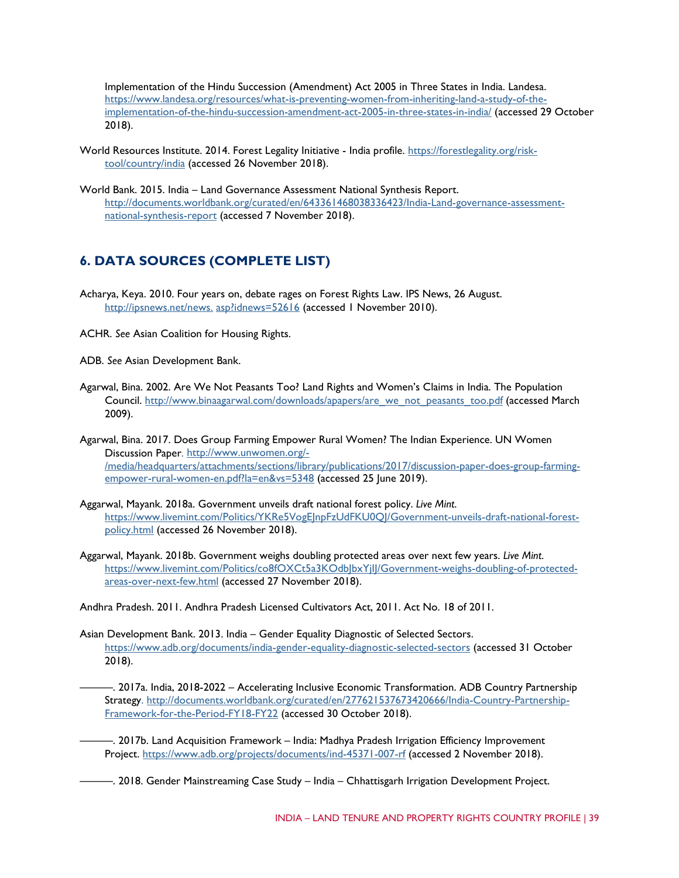Implementation of the Hindu Succession (Amendment) Act 2005 in Three States in India. Landesa. [https://www.landesa.org/resources/what-is-preventing-women-from-inheriting-land-a-study-of-the](https://www.landesa.org/resources/what-is-preventing-women-from-inheriting-land-a-study-of-the-implementation-of-the-hindu-succession-amendment-act-2005-in-three-states-in-india/)[implementation-of-the-hindu-succession-amendment-act-2005-in-three-states-in-india/](https://www.landesa.org/resources/what-is-preventing-women-from-inheriting-land-a-study-of-the-implementation-of-the-hindu-succession-amendment-act-2005-in-three-states-in-india/) (accessed 29 October 2018).

- World Resources Institute. 2014. Forest Legality Initiative India profile. [https://forestlegality.org/risk](https://forestlegality.org/risk-tool/country/india)[tool/country/india](https://forestlegality.org/risk-tool/country/india) (accessed 26 November 2018).
- World Bank. 2015. India Land Governance Assessment National Synthesis Report. [http://documents.worldbank.org/curated/en/643361468038336423/India-Land-governance-assessment](http://documents.worldbank.org/curated/en/643361468038336423/India-Land-governance-assessment-national-synthesis-report)[national-synthesis-report](http://documents.worldbank.org/curated/en/643361468038336423/India-Land-governance-assessment-national-synthesis-report) (accessed 7 November 2018).

## **6. DATA SOURCES (COMPLETE LIST)**

- Acharya, Keya. 2010. Four years on, debate rages on Forest Rights Law. IPS News, 26 August. http://ipsnews.net/news.[asp?idnews=52616](http://ipsnews.net/news.asp?idnews=52616) (accessed 1 November 2010).
- ACHR. *See* Asian Coalition for Housing Rights.

ADB. *See* Asian Development Bank.

- Agarwal, Bina. 2002. Are We Not Peasants Too? Land Rights and Women's Claims in India. The Population Council. [http://www.binaagarwal.com/downloads/apapers/are\\_we\\_not\\_peasants\\_too.pdf](http://www.binaagarwal.com/downloads/apapers/are_we_not_peasants_too.pdf) (accessed March 2009).
- Agarwal, Bina. 2017. Does Group Farming Empower Rural Women? The Indian Experience. UN Women Discussion Paper. [http://www.unwomen.org/-](http://www.unwomen.org/-/media/headquarters/attachments/sections/library/publications/2017/discussion-paper-does-group-farming-empower-rural-women-en.pdf?la=en&vs=5348) [/media/headquarters/attachments/sections/library/publications/2017/discussion-paper-does-group-farming](http://www.unwomen.org/-/media/headquarters/attachments/sections/library/publications/2017/discussion-paper-does-group-farming-empower-rural-women-en.pdf?la=en&vs=5348)[empower-rural-women-en.pdf?la=en&vs=5348](http://www.unwomen.org/-/media/headquarters/attachments/sections/library/publications/2017/discussion-paper-does-group-farming-empower-rural-women-en.pdf?la=en&vs=5348) (accessed 25 June 2019).
- Aggarwal, Mayank. 2018a. Government unveils draft national forest policy. *Live Mint*. https://www.livemint.com/Politics/YKRe5VogEInpFzUdFKU0QI/Government-unveils-draft-national-forest[policy.html](https://www.livemint.com/Politics/YKRe5VogEJnpFzUdFKU0QJ/Government-unveils-draft-national-forest-policy.html) (accessed 26 November 2018).
- Aggarwal, Mayank. 2018b. Government weighs doubling protected areas over next few years. *Live Mint*. [https://www.livemint.com/Politics/co8fOXCt5a3KOdbJbxYjIJ/Government-weighs-doubling-of-protected](https://www.livemint.com/Politics/co8fOXCt5a3KOdbJbxYjIJ/Government-weighs-doubling-of-protected-areas-over-next-few.html)[areas-over-next-few.html](https://www.livemint.com/Politics/co8fOXCt5a3KOdbJbxYjIJ/Government-weighs-doubling-of-protected-areas-over-next-few.html) (accessed 27 November 2018).

Andhra Pradesh. 2011. Andhra Pradesh Licensed Cultivators Act, 2011. Act No. 18 of 2011.

- Asian Development Bank. 2013. India Gender Equality Diagnostic of Selected Sectors. <https://www.adb.org/documents/india-gender-equality-diagnostic-selected-sectors> (accessed 31 October 2018).
	- ———. 2017a. India, 2018-2022 Accelerating Inclusive Economic Transformation. ADB Country Partnership Strategy. [http://documents.worldbank.org/curated/en/277621537673420666/India-Country-Partnership-](http://documents.worldbank.org/curated/en/277621537673420666/India-Country-Partnership-Framework-for-the-Period-FY18-FY22)[Framework-for-the-Period-FY18-FY22](http://documents.worldbank.org/curated/en/277621537673420666/India-Country-Partnership-Framework-for-the-Period-FY18-FY22) (accessed 30 October 2018).
	- ———. 2017b. Land Acquisition Framework India: Madhya Pradesh Irrigation Efficiency Improvement Project.<https://www.adb.org/projects/documents/ind-45371-007-rf> (accessed 2 November 2018).
	- ———. 2018. Gender Mainstreaming Case Study India Chhattisgarh Irrigation Development Project.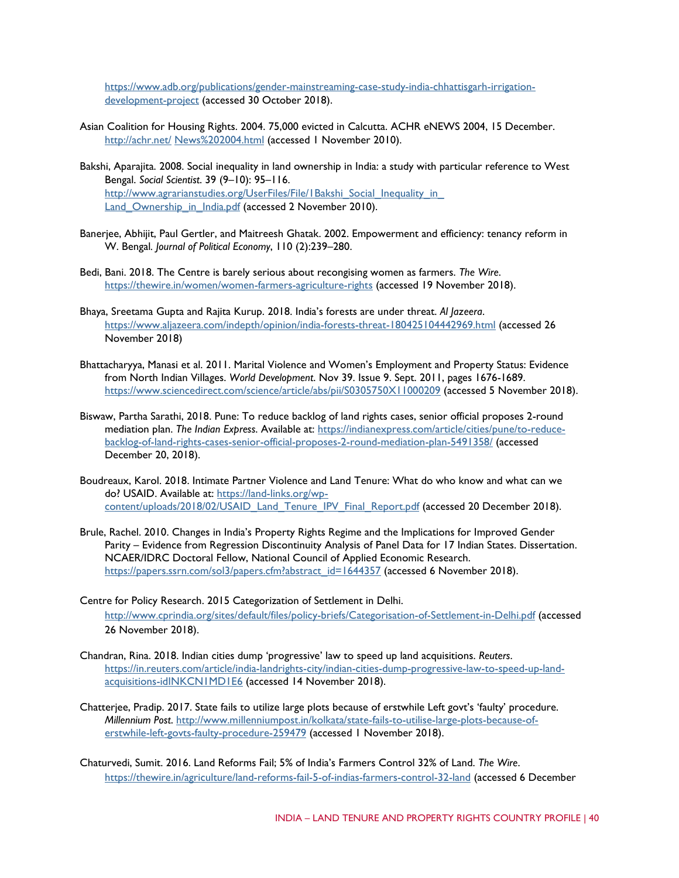[https://www.adb.org/publications/gender-mainstreaming-case-study-india-chhattisgarh-irrigation](https://www.adb.org/publications/gender-mainstreaming-case-study-india-chhattisgarh-irrigation-development-project)[development-project](https://www.adb.org/publications/gender-mainstreaming-case-study-india-chhattisgarh-irrigation-development-project) (accessed 30 October 2018).

- Asian Coalition for Housing Rights. 2004. 75,000 evicted in Calcutta. ACHR eNEWS 2004, 15 December. [http://achr.net/](http://achr.net/News%202004.html) [News%202004.html](http://achr.net/News%202004.html) (accessed 1 November 2010).
- Bakshi, Aparajita. 2008. Social inequality in land ownership in India: a study with particular reference to West Bengal. *Social Scientist*. 39 (9–10): 95–116. http://www.agrarianstudies.org/UserFiles/File/1Bakshi\_Social\_Inequality\_in Land Ownership in India.pdf [\(](http://www.agrarianstudies.org/UserFiles/File/1Bakshi_Social_Inequality_in_Land_Ownership_in_India.pdf)accessed 2 November 2010).
- Banerjee, Abhijit, Paul Gertler, and Maitreesh Ghatak. 2002. Empowerment and efficiency: tenancy reform in W. Bengal*. Journal of Political Economy*, 110 (2):239–280.
- Bedi, Bani. 2018. The Centre is barely serious about recongising women as farmers. *The Wire*. <https://thewire.in/women/women-farmers-agriculture-rights> (accessed 19 November 2018).
- Bhaya, Sreetama Gupta and Rajita Kurup. 2018. India's forests are under threat. *Al Jazeera*. <https://www.aljazeera.com/indepth/opinion/india-forests-threat-180425104442969.html> (accessed 26 November 2018)
- Bhattacharyya, Manasi et al. 2011. Marital Violence and Women's Employment and Property Status: Evidence from North Indian Villages. *World Development*. Nov 39. Issue 9. Sept. 2011, pages 1676-1689. <https://www.sciencedirect.com/science/article/abs/pii/S0305750X11000209> (accessed 5 November 2018).
- Biswaw, Partha Sarathi, 2018. Pune: To reduce backlog of land rights cases, senior official proposes 2-round mediation plan. *The Indian Express*. Available at: [https://indianexpress.com/article/cities/pune/to-reduce](https://indianexpress.com/article/cities/pune/to-reduce-backlog-of-land-rights-cases-senior-official-proposes-2-round-mediation-plan-5491358/)[backlog-of-land-rights-cases-senior-official-proposes-2-round-mediation-plan-5491358/](https://indianexpress.com/article/cities/pune/to-reduce-backlog-of-land-rights-cases-senior-official-proposes-2-round-mediation-plan-5491358/) (accessed December 20, 2018).
- Boudreaux, Karol. 2018. Intimate Partner Violence and Land Tenure: What do who know and what can we do? USAID. Available at: [https://land-links.org/wp](https://land-links.org/wp-content/uploads/2018/02/USAID_Land_Tenure_IPV_Final_Report.pdf)[content/uploads/2018/02/USAID\\_Land\\_Tenure\\_IPV\\_Final\\_Report.pdf](https://land-links.org/wp-content/uploads/2018/02/USAID_Land_Tenure_IPV_Final_Report.pdf) (accessed 20 December 2018).
- Brule, Rachel. 2010. Changes in India's Property Rights Regime and the Implications for Improved Gender Parity – Evidence from Regression Discontinuity Analysis of Panel Data for 17 Indian States. Dissertation. NCAER/IDRC Doctoral Fellow, National Council of Applied Economic Research. [https://papers.ssrn.com/sol3/papers.cfm?abstract\\_id=1644357](https://papers.ssrn.com/sol3/papers.cfm?abstract_id=1644357) (accessed 6 November 2018).
- Centre for Policy Research. 2015 Categorization of Settlement in Delhi. <http://www.cprindia.org/sites/default/files/policy-briefs/Categorisation-of-Settlement-in-Delhi.pdf> (accessed 26 November 2018).
- Chandran, Rina. 2018. Indian cities dump 'progressive' law to speed up land acquisitions. *Reuters*. [https://in.reuters.com/article/india-landrights-city/indian-cities-dump-progressive-law-to-speed-up-land](https://in.reuters.com/article/india-landrights-city/indian-cities-dump-progressive-law-to-speed-up-land-acquisitions-idINKCN1MD1E6)[acquisitions-idINKCN1MD1E6](https://in.reuters.com/article/india-landrights-city/indian-cities-dump-progressive-law-to-speed-up-land-acquisitions-idINKCN1MD1E6) (accessed 14 November 2018).
- Chatterjee, Pradip. 2017. State fails to utilize large plots because of erstwhile Left govt's 'faulty' procedure. *Millennium Post*. [http://www.millenniumpost.in/kolkata/state-fails-to-utilise-large-plots-because-of](http://www.millenniumpost.in/kolkata/state-fails-to-utilise-large-plots-because-of-erstwhile-left-govts-faulty-procedure-259479)[erstwhile-left-govts-faulty-procedure-259479](http://www.millenniumpost.in/kolkata/state-fails-to-utilise-large-plots-because-of-erstwhile-left-govts-faulty-procedure-259479) (accessed 1 November 2018).
- Chaturvedi, Sumit. 2016. Land Reforms Fail; 5% of India's Farmers Control 32% of Land. *The Wire*. <https://thewire.in/agriculture/land-reforms-fail-5-of-indias-farmers-control-32-land> (accessed 6 December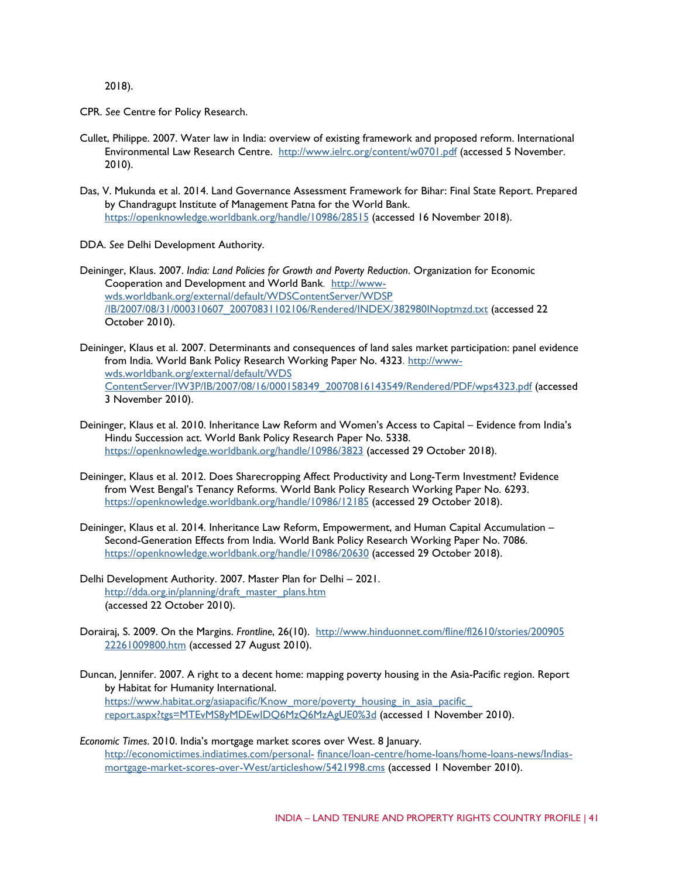2018).

CPR. *See* Centre for Policy Research.

- Cullet, Philippe. 2007. Water law in India: overview of existing framework and proposed reform. International Environmental Law Research Centre. <http://www.ielrc.org/content/w0701.pdf> [\(](http://www.ielrc.org/content/w0701.pdf)accessed 5 November. 2010).
- Das, V. Mukunda et al. 2014. Land Governance Assessment Framework for Bihar: Final State Report. Prepared by Chandragupt Institute of Management Patna for the World Bank. <https://openknowledge.worldbank.org/handle/10986/28515> (accessed 16 November 2018).
- DDA. *See* Delhi Development Authority.
- Deininger, Klaus. 2007. *India: Land Policies for Growth and Poverty Reduction*. Organization for Economic Cooperation and Development and World Bank. [http://www](http://www-wds.worldbank.org/external/default/WDSContentServer/WDSP/IB/2007/08/31/000310607_20070831102106/Rendered/INDEX/382980INoptmzd.txt)[wds.worldbank.org/external/default/WDSContentServer/WDSP](http://www-wds.worldbank.org/external/default/WDSContentServer/WDSP/IB/2007/08/31/000310607_20070831102106/Rendered/INDEX/382980INoptmzd.txt) [/IB/2007/08/31/000310607\\_20070831102106/Rendered/INDEX/382980INoptmzd.txt](http://www-wds.worldbank.org/external/default/WDSContentServer/WDSP/IB/2007/08/31/000310607_20070831102106/Rendered/INDEX/382980INoptmzd.txt) (accessed 22 October 2010).
- Deininger, Klaus et al. 2007. Determinants and consequences of land sales market participation: panel evidence from India. World Bank Policy Research Working Paper No. 4323. [http://www](http://www-wds.worldbank.org/external/default/WDSContentServer/IW3P/IB/2007/08/16/000158349_20070816143549/Rendered/PDF/wps4323.pdf)[wds.worldbank.org/external/default/WDS](http://www-wds.worldbank.org/external/default/WDSContentServer/IW3P/IB/2007/08/16/000158349_20070816143549/Rendered/PDF/wps4323.pdf) [ContentServer/IW3P/IB/2007/08/16/000158349\\_20070816143549/Rendered/PDF/wps4323.pdf](http://www-wds.worldbank.org/external/default/WDSContentServer/IW3P/IB/2007/08/16/000158349_20070816143549/Rendered/PDF/wps4323.pdf) (accessed 3 November 2010).
- Deininger, Klaus et al. 2010. Inheritance Law Reform and Women's Access to Capital Evidence from India's Hindu Succession act. World Bank Policy Research Paper No. 5338. <https://openknowledge.worldbank.org/handle/10986/3823> (accessed 29 October 2018).
- Deininger, Klaus et al. 2012. Does Sharecropping Affect Productivity and Long-Term Investment? Evidence from West Bengal's Tenancy Reforms. World Bank Policy Research Working Paper No. 6293. <https://openknowledge.worldbank.org/handle/10986/12185> (accessed 29 October 2018).
- Deininger, Klaus et al. 2014. Inheritance Law Reform, Empowerment, and Human Capital Accumulation Second-Generation Effects from India. World Bank Policy Research Working Paper No. 7086. <https://openknowledge.worldbank.org/handle/10986/20630> (accessed 29 October 2018).
- Delhi Development Authority. 2007. Master Plan for Delhi 2021. [http://dda.org.in/planning/draft\\_master\\_plans.htm](http://dda.org.in/planning/draft_master_plans.htm) (accessed 22 October 2010).
- Dorairaj, S. 2009. On the Margins. *Frontline*, 26(10). [http://www.hinduonnet.com/fline/fl2610/stories/200905](http://www.hinduonnet.com/fline/fl2610/stories/20090522261009800.htm) [22261009800.htm](http://www.hinduonnet.com/fline/fl2610/stories/20090522261009800.htm) (accessed 27 August 2010).
- Duncan, Jennifer. 2007. A right to a decent home: mapping poverty housing in the Asia-Pacific region. Report by Habitat for Humanity International. [https://www.habitat.org/asiapacific/Know\\_more/poverty\\_housing\\_in\\_asia\\_pacific\\_](https://www.habitat.org/asiapacific/Know_more/poverty_housing_in_asia_pacific_report.aspx?tgs=MTEvMS8yMDEwIDQ6MzQ6MzAgUE0%3d) [report.aspx?tgs=MTEvMS8yMDEwIDQ6MzQ6MzAgUE0%3d](https://www.habitat.org/asiapacific/Know_more/poverty_housing_in_asia_pacific_report.aspx?tgs=MTEvMS8yMDEwIDQ6MzQ6MzAgUE0%3d) [\(](https://www.habitat.org/asiapacific/Know_more/poverty_housing_in_asia_pacific_report.aspx?tgs=MTEvMS8yMDEwIDQ6MzQ6MzAgUE0%3d)accessed 1 November 2010).
- *Economic Times*. 2010. India's mortgage market scores over West. 8 January. [http://economictimes.indiatimes.com/personal-](http://economictimes.indiatimes.com/personal-finance/loan-centre/home-loans/home-loans-news/Indias-mortgage-market-scores-over-West/articleshow/5421998.cms) [finance/loan-centre/home-loans/home-loans-news/Indias](http://economictimes.indiatimes.com/personal-finance/loan-centre/home-loans/home-loans-news/Indias-mortgage-market-scores-over-West/articleshow/5421998.cms)[mortgage-market-scores-over-West/articleshow/5421998.cms](http://economictimes.indiatimes.com/personal-finance/loan-centre/home-loans/home-loans-news/Indias-mortgage-market-scores-over-West/articleshow/5421998.cms) (accessed 1 November 2010).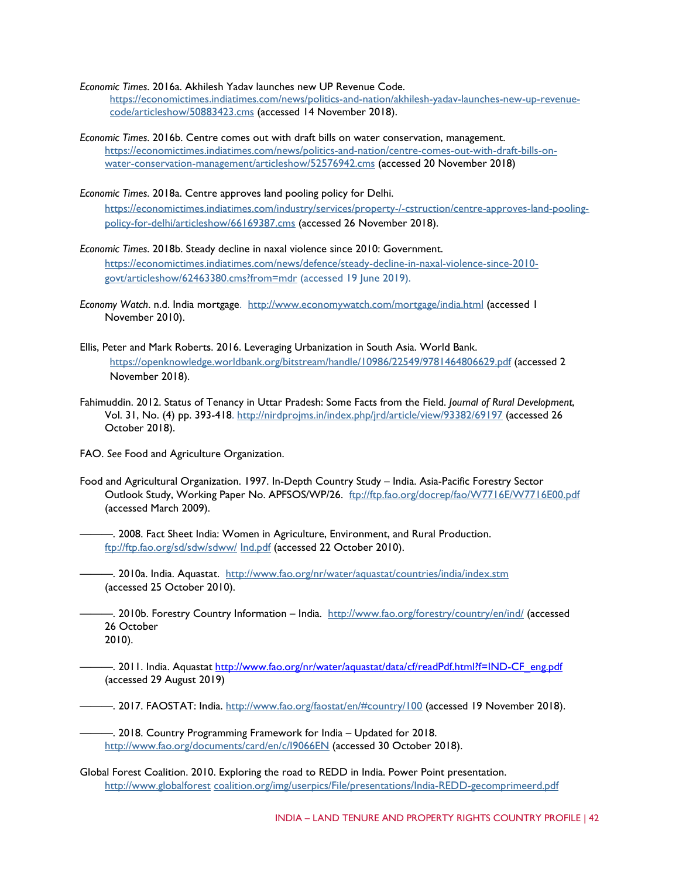*Economic Times*. 2016a. Akhilesh Yadav launches new UP Revenue Code.

[https://economictimes.indiatimes.com/news/politics-and-nation/akhilesh-yadav-launches-new-up-revenue](https://economictimes.indiatimes.com/news/politics-and-nation/akhilesh-yadav-launches-new-up-revenue-code/articleshow/50883423.cms)[code/articleshow/50883423.cms](https://economictimes.indiatimes.com/news/politics-and-nation/akhilesh-yadav-launches-new-up-revenue-code/articleshow/50883423.cms) (accessed 14 November 2018).

*Economic Times*. 2016b. Centre comes out with draft bills on water conservation, management. [https://economictimes.indiatimes.com/news/politics-and-nation/centre-comes-out-with-draft-bills-on](https://economictimes.indiatimes.com/news/politics-and-nation/centre-comes-out-with-draft-bills-on-water-conservation-management/articleshow/52576942.cms)[water-conservation-management/articleshow/52576942.cms](https://economictimes.indiatimes.com/news/politics-and-nation/centre-comes-out-with-draft-bills-on-water-conservation-management/articleshow/52576942.cms) (accessed 20 November 2018)

*Economic Times*. 2018a. Centre approves land pooling policy for Delhi. [https://economictimes.indiatimes.com/industry/services/property-/-cstruction/centre-approves-land-pooling](https://economictimes.indiatimes.com/industry/services/property-/-cstruction/centre-approves-land-pooling-policy-for-delhi/articleshow/66169387.cms)[policy-for-delhi/articleshow/66169387.cms](https://economictimes.indiatimes.com/industry/services/property-/-cstruction/centre-approves-land-pooling-policy-for-delhi/articleshow/66169387.cms) (accessed 26 November 2018).

- *Economic Times*. 2018b. Steady decline in naxal violence since 2010: Government. [https://economictimes.indiatimes.com/news/defence/steady-decline-in-naxal-violence-since-2010](https://economictimes.indiatimes.com/news/defence/steady-decline-in-naxal-violence-since-2010-govt/articleshow/62463380.cms?from=mdr) [govt/articleshow/62463380.cms?from=mdr](https://economictimes.indiatimes.com/news/defence/steady-decline-in-naxal-violence-since-2010-govt/articleshow/62463380.cms?from=mdr) (accessed 19 June 2019).
- *Economy Watch*. n.d. India mortgage. <http://www.economywatch.com/mortgage/india.html> (accessed 1 November 2010).
- Ellis, Peter and Mark Roberts. 2016. Leveraging Urbanization in South Asia. World Bank. <https://openknowledge.worldbank.org/bitstream/handle/10986/22549/9781464806629.pdf> (accessed 2 November 2018).
- Fahimuddin. 2012. Status of Tenancy in Uttar Pradesh: Some Facts from the Field. *Journal of Rural Development*, Vol. 31, No. (4) pp. 393-418.<http://nirdprojms.in/index.php/jrd/article/view/93382/69197> (accessed 26 October 2018).

FAO. *See* Food and Agriculture Organization.

Food and Agricultural Organization. 1997. In-Depth Country Study – India. Asia-Pacific Forestry Sector Outlook Study, Working Paper No. APFSOS/WP/26. <ftp://ftp.fao.org/docrep/fao/W7716E/W7716E00.pdf> (accessed March 2009).

———. 2008. Fact Sheet India: Women in Agriculture, Environment, and Rural Production. [ftp://ftp.fao.org/sd/sdw/sdww/](ftp://ftp.fao.org/sd/sdw/sdww/Ind.pdf) [Ind.pdf](ftp://ftp.fao.org/sd/sdw/sdww/Ind.pdf) (accessed 22 October 2010).

———. 2010a. India. Aquastat. <http://www.fao.org/nr/water/aquastat/countries/india/index.stm> (accessed 25 October 2010).

—. 2010b. Forestry Country Information – India. <http://www.fao.org/forestry/country/en/ind/> [\(](http://www.fao.org/forestry/country/en/ind/)accessed 26 October 2010).

———. 2011. India. Aquastat [http://www.fao.org/nr/water/aquastat/data/cf/readPdf.html?f=IND-CF\\_eng.pdf](http://www.fao.org/nr/water/aquastat/data/cf/readPdf.html?f=IND-CF_eng.pdf) (accessed 29 August 2019)

———. 2017. FAOSTAT: India.<http://www.fao.org/faostat/en/#country/100> (accessed 19 November 2018).

———. 2018. Country Programming Framework for India – Updated for 2018. <http://www.fao.org/documents/card/en/c/I9066EN> (accessed 30 October 2018).

Global Forest Coalition. 2010. Exploring the road to REDD in India. Power Point presentation. [http://www.globalforest](http://www.globalforestcoalition.org/img/userpics/File/presentations/India-REDD-gecomprimeerd.pdf) [coalition.org/img/userpics/File/presentations/India-REDD-gecomprimeerd.pdf](http://www.globalforestcoalition.org/img/userpics/File/presentations/India-REDD-gecomprimeerd.pdf)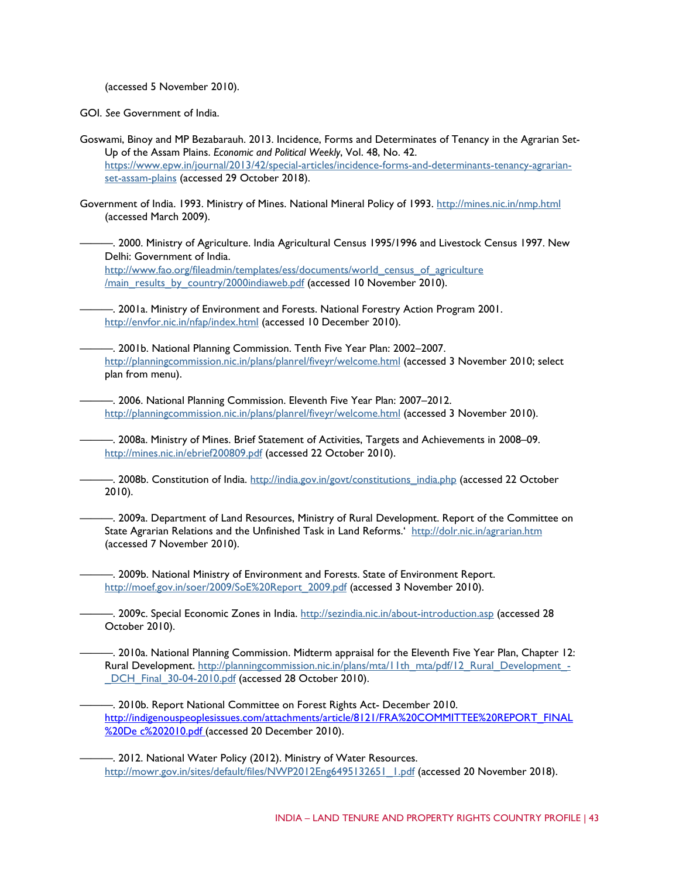(accessed 5 November 2010).

GOI. *See* Government of India.

- Goswami, Binoy and MP Bezabarauh. 2013. Incidence, Forms and Determinates of Tenancy in the Agrarian Set-Up of the Assam Plains. *Economic and Political Weekly*, Vol. 48, No. 42. [https://www.epw.in/journal/2013/42/special-articles/incidence-forms-and-determinants-tenancy-agrarian](https://www.epw.in/journal/2013/42/special-articles/incidence-forms-and-determinants-tenancy-agrarian-set-assam-plains)[set-assam-plains](https://www.epw.in/journal/2013/42/special-articles/incidence-forms-and-determinants-tenancy-agrarian-set-assam-plains) (accessed 29 October 2018).
- Government of India. 1993. Ministry of Mines. National Mineral Policy of 1993.<http://mines.nic.in/nmp.html> (accessed March 2009).
	- ———. 2000. Ministry of Agriculture. India Agricultural Census 1995/1996 and Livestock Census 1997. New Delhi: Government of India.

[http://www.fao.org/fileadmin/templates/ess/documents/world\\_census\\_of\\_agriculture](http://www.fao.org/fileadmin/templates/ess/documents/world_census_of_agriculture/main_results_by_country/2000indiaweb.pdf) [/main\\_results\\_by\\_country/2000indiaweb.pdf](http://www.fao.org/fileadmin/templates/ess/documents/world_census_of_agriculture/main_results_by_country/2000indiaweb.pdf) (accessed 10 November 2010).

- ———. 2001a. Ministry of Environment and Forests. National Forestry Action Program 200[1.](http://envfor.nic.in/nfap/index.html) <http://envfor.nic.in/nfap>[/index.html](http://envfor.nic.in/nfap/index.html) (accessed 10 December 2010).
- ———. 2001b. National Planning Commission. Tenth Five Year Plan: 2002–2007. <http://planningcommission.nic.in/plans/planrel/fiveyr/welcome.html> (accessed 3 November 2010; select plan from menu).
	- ———. 2006. National Planning Commission. Eleventh Five Year Plan: 2007–2012. <http://planningcommission.nic.in/plans/planrel/fiveyr/welcome.html> (accessed 3 November 2010).
- ———. 2008a. Ministry of Mines. Brief Statement of Activities, Targets and Achievements in 2008–09. <http://mines.nic.in/ebrief200809.pdf> [\(](http://mines.nic.in/ebrief200809.pdf)accessed 22 October 2010).
	- —. 2008b. Constitution of India. [http://india.gov.in/govt/constitutions\\_india.php](http://india.gov.in/govt/constitutions_india.php) [\(](http://india.gov.in/govt/constitutions_india.php)accessed 22 October 2010).
	- ———. 2009a. Department of Land Resources, Ministry of Rural Development. Report of the Committee on State Agrarian Relations and the Unfinished Task in Land Reforms.' <http://dolr.nic.in/agrarian.htm> (accessed 7 November 2010).
	- ———. 2009b. National Ministry of Environment and Forests. State of Environment Report. [http://moef.gov.in/soer/2009/SoE%20Report\\_2009.pdf](http://moef.gov.in/soer/2009/SoE%20Report_2009.pdf) (accessed 3 November 2010).
	- ———. 2009c. Special Economic Zones in India. <http://sezindia.nic.in/about-introduction.asp> [\(](http://sezindia.nic.in/about-introduction.asp)accessed 28 October 2010).
	- ———. 2010a. National Planning Commission. Midterm appraisal for the Eleventh Five Year Plan, Chapter 12: Rural Development. [http://planningcommission.nic.in/plans/mta/11th\\_mta/pdf/12\\_Rural\\_Development\\_-](http://planningcommission.nic.in/plans/mta/11th_mta/pdf/12_Rural_Development_-_DCH_Final_30-04-2010.pdf) DCH\_Final\_30-04-2010.pdf (accessed 28 October 2010).
	- ———. 2010b. Report National Committee on Forest Rights Act- December 2010[.](http://indigenouspeoplesissues.com/attachments/article/8121/FRA%20COMMITTEE%20REPORT_FINAL%20De%20c%202010.pdf) [http://indigenouspeoplesissues.com/attachments/article/8121/FRA%20COMMITTEE%20REPORT\\_FINAL](http://indigenouspeoplesissues.com/attachments/article/8121/FRA%20COMMITTEE%20REPORT_FINAL%20De%20c%202010.pdf) [%20De c%202010.pdf \(](http://indigenouspeoplesissues.com/attachments/article/8121/FRA%20COMMITTEE%20REPORT_FINAL%20De%20c%202010.pdf)accessed 20 December 2010).
	- ———. 2012. National Water Policy (2012). Ministry of Water Resources. [http://mowr.gov.in/sites/default/files/NWP2012Eng6495132651\\_1.pdf](http://mowr.gov.in/sites/default/files/NWP2012Eng6495132651_1.pdf) (accessed 20 November 2018).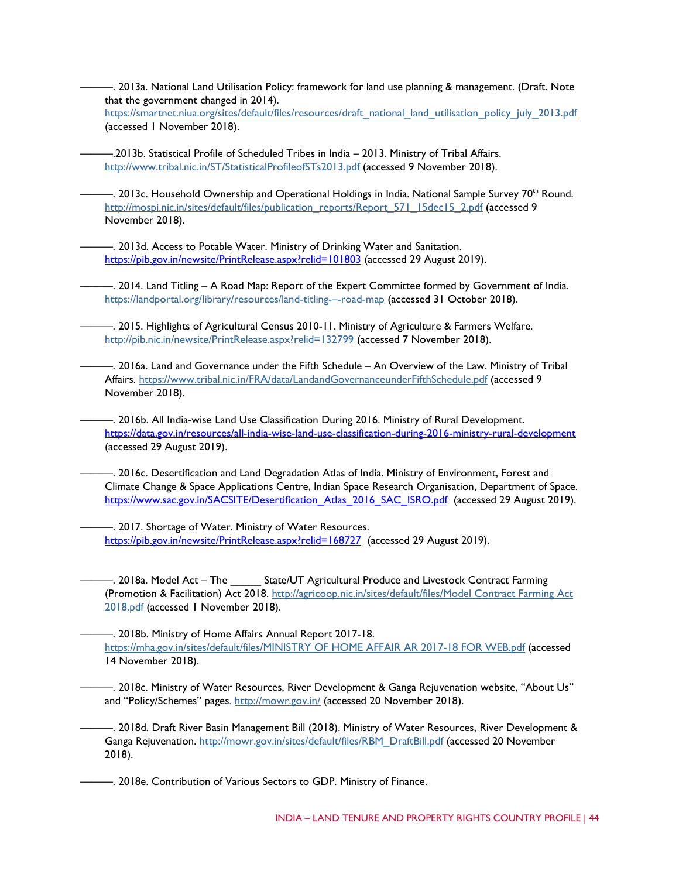———. 2013a. National Land Utilisation Policy: framework for land use planning & management. (Draft. Note that the government changed in 2014). [https://smartnet.niua.org/sites/default/files/resources/draft\\_national\\_land\\_utilisation\\_policy\\_july\\_2013.pdf](https://smartnet.niua.org/sites/default/files/resources/draft_national_land_utilisation_policy_july_2013.pdf) (accessed 1 November 2018).

———.2013b. Statistical Profile of Scheduled Tribes in India – 2013. Ministry of Tribal Affairs. <http://www.tribal.nic.in/ST/StatisticalProfileofSTs2013.pdf> (accessed 9 November 2018).

—. 2013c. Household Ownership and Operational Holdings in India. National Sample Survey 70<sup>th</sup> Round. [http://mospi.nic.in/sites/default/files/publication\\_reports/Report\\_571\\_15dec15\\_2.pdf](http://mospi.nic.in/sites/default/files/publication_reports/Report_571_15dec15_2.pdf) (accessed 9 November 2018).

 $-$ . 2013d. Access to Potable Water. Ministry of Drinking Water and Sanitation. <https://pib.gov.in/newsite/PrintRelease.aspx?relid=101803> (accessed 29 August 2019).

———. 2014. Land Titling – A Road Map: Report of the Expert Committee formed by Government of India. [https://landportal.org/library/resources/land-titling-–-road-map](https://landportal.org/library/resources/land-titling-%E2%80%93-road-map) (accessed 31 October 2018).

———. 2015. Highlights of Agricultural Census 2010-11. Ministry of Agriculture & Farmers Welfare. <http://pib.nic.in/newsite/PrintRelease.aspx?relid=132799> (accessed 7 November 2018).

———. 2016a. Land and Governance under the Fifth Schedule – An Overview of the Law. Ministry of Tribal Affairs. <https://www.tribal.nic.in/FRA/data/LandandGovernanceunderFifthSchedule.pdf> (accessed 9 November 2018).

———. 2016b. All India-wise Land Use Classification During 2016. Ministry of Rural Development. <https://data.gov.in/resources/all-india-wise-land-use-classification-during-2016-ministry-rural-development> (accessed 29 August 2019).

———. 2016c. Desertification and Land Degradation Atlas of India. Ministry of Environment, Forest and Climate Change & Space Applications Centre, Indian Space Research Organisation, Department of Space. [https://www.sac.gov.in/SACSITE/Desertification\\_Atlas\\_2016\\_SAC\\_ISRO.pdf](https://www.sac.gov.in/SACSITE/Desertification_Atlas_2016_SAC_ISRO.pdf) (accessed 29 August 2019).

 $-$ . 2017. Shortage of Water. Ministry of Water Resources. <https://pib.gov.in/newsite/PrintRelease.aspx?relid=168727> (accessed 29 August 2019).

—. 2018a. Model Act – The **Latia State/UT Agricultural Produce and Livestock Contract Farming** (Promotion & Facilitation) Act 2018. [http://agricoop.nic.in/sites/default/files/Model Contract Farming Act](http://agricoop.nic.in/sites/default/files/Model%20Contract%20Farming%20Act%202018.pdf)  [2018.pdf](http://agricoop.nic.in/sites/default/files/Model%20Contract%20Farming%20Act%202018.pdf) (accessed 1 November 2018).

———. 2018b. Ministry of Home Affairs Annual Report 2017-18. [https://mha.gov.in/sites/default/files/MINISTRY OF HOME AFFAIR AR 2017-18 FOR WEB.pdf](https://mha.gov.in/sites/default/files/MINISTRY%20OF%20HOME%20AFFAIR%20AR%202017-18%20FOR%20WEB.pdf) (accessed 14 November 2018).

———. 2018c. Ministry of Water Resources, River Development & Ganga Rejuvenation website, "About Us" and "Policy/Schemes" pages.<http://mowr.gov.in/> (accessed 20 November 2018).

———. 2018d. Draft River Basin Management Bill (2018). Ministry of Water Resources, River Development & Ganga Rejuvenation. [http://mowr.gov.in/sites/default/files/RBM\\_DraftBill.pdf](http://mowr.gov.in/sites/default/files/RBM_DraftBill.pdf) (accessed 20 November 2018).

———. 2018e. Contribution of Various Sectors to GDP. Ministry of Finance.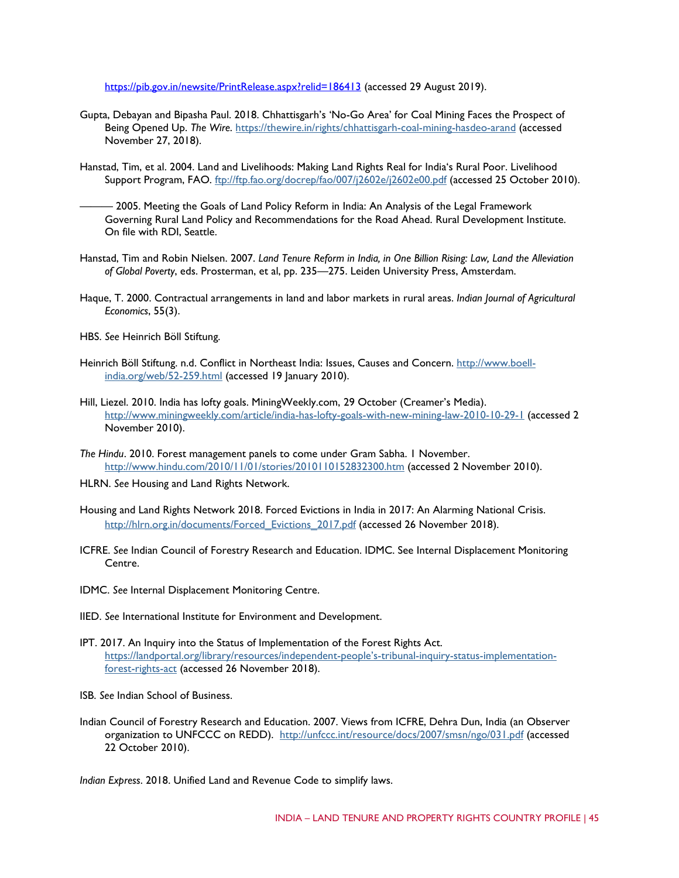<https://pib.gov.in/newsite/PrintRelease.aspx?relid=186413> (accessed 29 August 2019).

- Gupta, Debayan and Bipasha Paul. 2018. Chhattisgarh's 'No-Go Area' for Coal Mining Faces the Prospect of Being Opened Up. *The Wire*. <https://thewire.in/rights/chhattisgarh-coal-mining-hasdeo-arand> (accessed November 27, 2018).
- Hanstad, Tim, et al. 2004. Land and Livelihoods: Making Land Rights Real for India's Rural Poor. Livelihood Support Program, FAO. <ftp://ftp.fao.org/docrep/fao/007/j2602e/j2602e00.pdf> (accessed 25 October 2010).

– 2005. Meeting the Goals of Land Policy Reform in India: An Analysis of the Legal Framework Governing Rural Land Policy and Recommendations for the Road Ahead. Rural Development Institute. On file with RDI, Seattle.

- Hanstad, Tim and Robin Nielsen. 2007. *Land Tenure Reform in India, in One Billion Rising: Law, Land the Alleviation of Global Poverty*, eds. Prosterman, et al, pp. 235—275. Leiden University Press, Amsterdam.
- Haque, T. 2000. Contractual arrangements in land and labor markets in rural areas. *Indian Journal of Agricultural Economics*, 55(3).
- HBS. *See* Heinrich Böll Stiftung.
- Heinrich Böll Stiftung. n.d. Conflict in Northeast India: Issues, Causes and Concern. [http://www.boell](http://www.boell-india.org/web/52-259.html)[india.org/web/52-259.html](http://www.boell-india.org/web/52-259.html) (accessed 19 January 2010).
- Hill, Liezel. 2010. India has lofty goals. MiningWeekly.com, 29 October (Creamer's Media). <http://www.miningweekly.com/article/india-has-lofty-goals-with-new-mining-law-2010-10-29-1> [\(](http://www.miningweekly.com/article/india-has-lofty-goals-with-new-mining-law-2010-10-29-1)accessed 2 November 2010).
- *The Hindu*. 2010. Forest management panels to come under Gram Sabha. 1 November. <http://www.hindu.com/2010/11/01/stories/2010110152832300.htm> (accessed 2 November 2010).
- HLRN. *See* Housing and Land Rights Network.
- Housing and Land Rights Network 2018. Forced Evictions in India in 2017: An Alarming National Crisis. [http://hlrn.org.in/documents/Forced\\_Evictions\\_2017.pdf](http://hlrn.org.in/documents/Forced_Evictions_2017.pdf) (accessed 26 November 2018).
- ICFRE. *See* Indian Council of Forestry Research and Education. IDMC. See Internal Displacement Monitoring Centre.
- IDMC. *See* Internal Displacement Monitoring Centre.
- IIED. *See* International Institute for Environment and Development.
- IPT. 2017. An Inquiry into the Status of Implementation of the Forest Rights Act. [https://landportal.org/library/resources/independent-people's-tribunal-inquiry-status-implementation](https://landportal.org/library/resources/independent-people%E2%80%99s-tribunal-inquiry-status-implementation-forest-rights-act)[forest-rights-act](https://landportal.org/library/resources/independent-people%E2%80%99s-tribunal-inquiry-status-implementation-forest-rights-act) (accessed 26 November 2018).
- ISB. *See* Indian School of Business.
- Indian Council of Forestry Research and Education. 2007. Views from ICFRE, Dehra Dun, India (an Observer organization to UNFCCC on REDD). <http://unfccc.int/resource/docs/2007/smsn/ngo/031.pdf> (accessed 22 October 2010).

*Indian Express*. 2018. Unified Land and Revenue Code to simplify laws.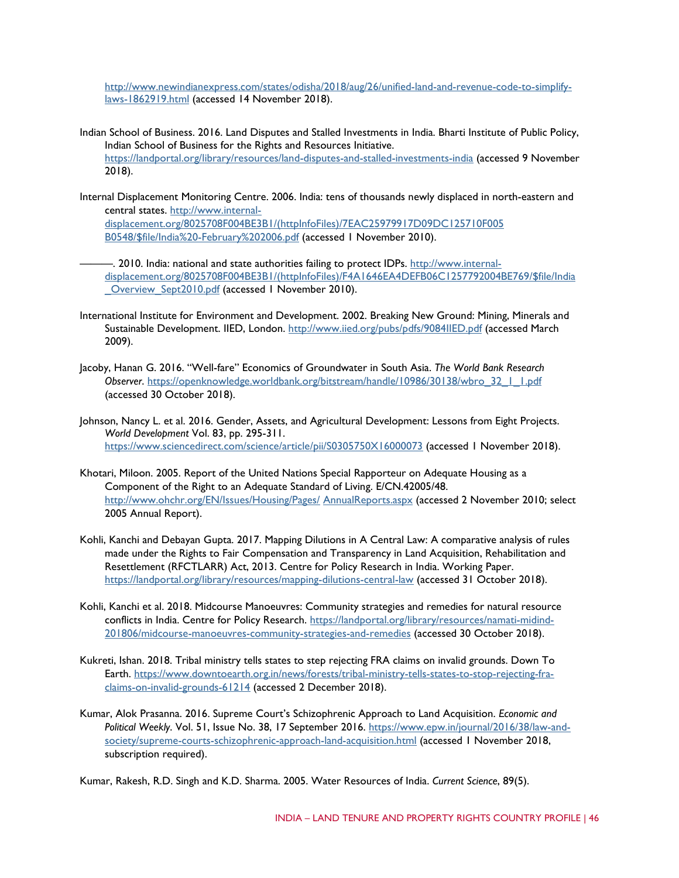[http://www.newindianexpress.com/states/odisha/2018/aug/26/unified-land-and-revenue-code-to-simplify](http://www.newindianexpress.com/states/odisha/2018/aug/26/unified-land-and-revenue-code-to-simplify-laws-1862919.html)[laws-1862919.html](http://www.newindianexpress.com/states/odisha/2018/aug/26/unified-land-and-revenue-code-to-simplify-laws-1862919.html) (accessed 14 November 2018).

- Indian School of Business. 2016. Land Disputes and Stalled Investments in India. Bharti Institute of Public Policy, Indian School of Business for the Rights and Resources Initiative. <https://landportal.org/library/resources/land-disputes-and-stalled-investments-india> (accessed 9 November 2018).
- Internal Displacement Monitoring Centre. 2006. India: tens of thousands newly displaced in north-eastern and central states. [http://www.internal](http://www.internal-displacement.org/8025708F004BE3B1/(httpInfoFiles)/7EAC25979917D09DC125710F005)[displacement.org/8025708F004BE3B1/\(httpInfoFiles\)/7EAC25979917D09DC125710F005](http://www.internal-displacement.org/8025708F004BE3B1/(httpInfoFiles)/7EAC25979917D09DC125710F005) [B0548/\\$file/India%20-February%202006.pdf](http://www.internal-displacement.org/8025708F004BE3B1/(httpInfoFiles)/7EAC25979917D09DC125710F005B0548/%24file/India%20-February%202006.pdf) (accessed 1 November 2010).
	- ———. 2010. India: national and state authorities failing to protect IDPs. [http://www.internal](http://www.internal-displacement.org/8025708F004BE3B1/(httpInfoFiles)/F4A1646EA4DEFB06C1257792004BE769/%24file/India_Overview_Sept2010.pdf)[displacement.org/8025708F004BE3B1/\(httpInfoFiles\)/F4A1646EA4DEFB06C1257792004BE769/\\$file/India](http://www.internal-displacement.org/8025708F004BE3B1/(httpInfoFiles)/F4A1646EA4DEFB06C1257792004BE769/%24file/India_Overview_Sept2010.pdf) Overview Sept2010.pdf (accessed 1 November 2010).
- International Institute for Environment and Development. 2002. Breaking New Ground: Mining, Minerals and Sustainable Development. IIED, London. <http://www.iied.org/pubs/pdfs/9084IIED.pdf> (accessed March 2009).
- Jacoby, Hanan G. 2016. "Well-fare" Economics of Groundwater in South Asia. *The World Bank Research Observer*. [https://openknowledge.worldbank.org/bitstream/handle/10986/30138/wbro\\_32\\_1\\_1.pdf](https://openknowledge.worldbank.org/bitstream/handle/10986/30138/wbro_32_1_1.pdf) (accessed 30 October 2018).
- Johnson, Nancy L. et al. 2016. Gender, Assets, and Agricultural Development: Lessons from Eight Projects. *World Development* Vol. 83, pp. 295-311. <https://www.sciencedirect.com/science/article/pii/S0305750X16000073> (accessed 1 November 2018).
- Khotari, Miloon. 2005. Report of the United Nations Special Rapporteur on Adequate Housing as a Component of the Right to an Adequate Standard of Living. E/CN.42005/48. [http://www.ohchr.org/EN/Issues/Housing/Pages/](http://www.ohchr.org/EN/Issues/Housing/Pages/AnnualReports.aspx) [AnnualReports.aspx](http://www.ohchr.org/EN/Issues/Housing/Pages/AnnualReports.aspx) (accessed 2 November 2010; select 2005 Annual Report).
- Kohli, Kanchi and Debayan Gupta. 2017. Mapping Dilutions in A Central Law: A comparative analysis of rules made under the Rights to Fair Compensation and Transparency in Land Acquisition, Rehabilitation and Resettlement (RFCTLARR) Act, 2013. Centre for Policy Research in India. Working Paper. <https://landportal.org/library/resources/mapping-dilutions-central-law> (accessed 31 October 2018).
- Kohli, Kanchi et al. 2018. Midcourse Manoeuvres: Community strategies and remedies for natural resource conflicts in India. Centre for Policy Research. [https://landportal.org/library/resources/namati-midind-](https://landportal.org/library/resources/namati-midind-201806/midcourse-manoeuvres-community-strategies-and-remedies)[201806/midcourse-manoeuvres-community-strategies-and-remedies](https://landportal.org/library/resources/namati-midind-201806/midcourse-manoeuvres-community-strategies-and-remedies) (accessed 30 October 2018).
- Kukreti, Ishan. 2018. Tribal ministry tells states to step rejecting FRA claims on invalid grounds. Down To Earth. [https://www.downtoearth.org.in/news/forests/tribal-ministry-tells-states-to-stop-rejecting-fra](https://www.downtoearth.org.in/news/forests/tribal-ministry-tells-states-to-stop-rejecting-fra-claims-on-invalid-grounds-61214)[claims-on-invalid-grounds-61214](https://www.downtoearth.org.in/news/forests/tribal-ministry-tells-states-to-stop-rejecting-fra-claims-on-invalid-grounds-61214) (accessed 2 December 2018).
- Kumar, Alok Prasanna. 2016. Supreme Court's Schizophrenic Approach to Land Acquisition. *Economic and Political Weekly*. Vol. 51, Issue No. 38, 17 September 2016. [https://www.epw.in/journal/2016/38/law-and](https://www.epw.in/journal/2016/38/law-and-society/supreme-courts-schizophrenic-approach-land-acquisition.html)[society/supreme-courts-schizophrenic-approach-land-acquisition.html](https://www.epw.in/journal/2016/38/law-and-society/supreme-courts-schizophrenic-approach-land-acquisition.html) (accessed 1 November 2018, subscription required).

Kumar, Rakesh, R.D. Singh and K.D. Sharma. 2005. Water Resources of India. *Current Science*, 89(5).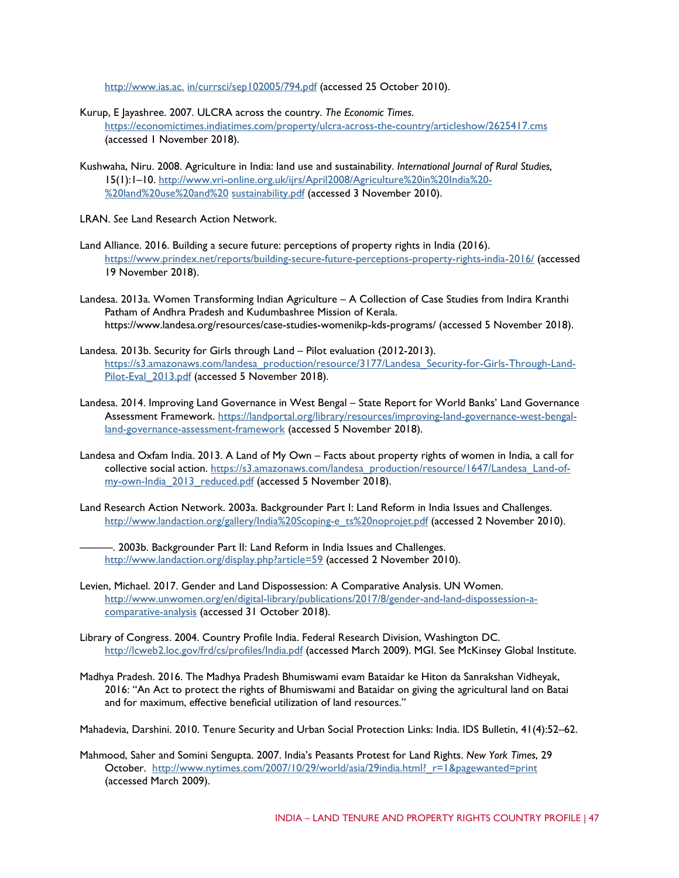[http://www.ias.ac.](http://www.ias.ac.in/currsci/sep102005/794.pdf) [in/currsci/sep102005/794.pdf](http://www.ias.ac.in/currsci/sep102005/794.pdf) (accessed 25 October 2010).

- Kurup, E Jayashree. 2007. ULCRA across the country. *The Economic Times*. <https://economictimes.indiatimes.com/property/ulcra-across-the-country/articleshow/2625417.cms> (accessed 1 November 2018).
- Kushwaha, Niru. 2008. Agriculture in India: land use and sustainability. *International Journal of Rural Studies,* 15(1):1–10. [http://www.vri-online.org.uk/ijrs/April2008/Agriculture%20in%20India%20-](http://www.vri-online.org.uk/ijrs/April2008/Agriculture%20in%20India%20-%20land%20use%20and%20sustainability.pdf) [%20land%20use%20and%20](http://www.vri-online.org.uk/ijrs/April2008/Agriculture%20in%20India%20-%20land%20use%20and%20sustainability.pdf) [sustainability.pdf](http://www.vri-online.org.uk/ijrs/April2008/Agriculture%20in%20India%20-%20land%20use%20and%20sustainability.pdf) (accessed 3 November 2010).
- LRAN. *See* Land Research Action Network.
- Land Alliance. 2016. Building a secure future: perceptions of property rights in India (2016). <https://www.prindex.net/reports/building-secure-future-perceptions-property-rights-india-2016/> (accessed 19 November 2018).
- Landesa. 2013a. Women Transforming Indian Agriculture A Collection of Case Studies from Indira Kranthi Patham of Andhra Pradesh and Kudumbashree Mission of Kerala. https://www.landesa.org/resources/case-studies-womenikp-kds-programs/ (accessed 5 November 2018).
- Landesa. 2013b. Security for Girls through Land Pilot evaluation (2012-2013). [https://s3.amazonaws.com/landesa\\_production/resource/3177/Landesa\\_Security-for-Girls-Through-Land-](https://s3.amazonaws.com/landesa_production/resource/3177/Landesa_Security-for-Girls-Through-Land-Pilot-Eval_2013.pdf)[Pilot-Eval\\_2013.pdf](https://s3.amazonaws.com/landesa_production/resource/3177/Landesa_Security-for-Girls-Through-Land-Pilot-Eval_2013.pdf) (accessed 5 November 2018).
- Landesa. 2014. Improving Land Governance in West Bengal State Report for World Banks' Land Governance Assessment Framework. [https://landportal.org/library/resources/improving-land-governance-west-bengal](https://landportal.org/library/resources/improving-land-governance-west-bengal-land-governance-assessment-framework)[land-governance-assessment-framework](https://landportal.org/library/resources/improving-land-governance-west-bengal-land-governance-assessment-framework) (accessed 5 November 2018).
- Landesa and Oxfam India. 2013. A Land of My Own Facts about property rights of women in India, a call for collective social action. [https://s3.amazonaws.com/landesa\\_production/resource/1647/Landesa\\_Land-of](https://s3.amazonaws.com/landesa_production/resource/1647/Landesa_Land-of-my-own-India_2013_reduced.pdf)[my-own-India\\_2013\\_reduced.pdf](https://s3.amazonaws.com/landesa_production/resource/1647/Landesa_Land-of-my-own-India_2013_reduced.pdf) (accessed 5 November 2018).
- Land Research Action Network. 2003a. Backgrounder Part I: Land Reform in India Issues and Challenges. [http://www.landaction.org/gallery/India%20Scoping-e\\_ts%20noprojet.pdf](http://www.landaction.org/gallery/India%20Scoping-e_ts%20noprojet.pdf) [\(](http://www.landaction.org/gallery/India%20Scoping-e_ts%20noprojet.pdf)accessed 2 November 2010).
	- $-$ . 2003b. Backgrounder Part II: Land Reform in India Issues and Challenges. <http://www.landaction.org/display.php?article=59> (accessed 2 November 2010).
- Levien, Michael. 2017. Gender and Land Dispossession: A Comparative Analysis. UN Women. [http://www.unwomen.org/en/digital-library/publications/2017/8/gender-and-land-dispossession-a](http://www.unwomen.org/en/digital-library/publications/2017/8/gender-and-land-dispossession-a-comparative-analysis)[comparative-analysis](http://www.unwomen.org/en/digital-library/publications/2017/8/gender-and-land-dispossession-a-comparative-analysis) (accessed 31 October 2018).
- Library of Congress. 2004. Country Profile India. Federal Research Division, Washington DC. <http://lcweb2.loc.gov/frd/cs/profiles/India.pdf> [\(](http://lcweb2.loc.gov/frd/cs/profiles/India.pdf)accessed March 2009). MGI. See McKinsey Global Institute.
- Madhya Pradesh. 2016. The Madhya Pradesh Bhumiswami evam Bataidar ke Hiton da Sanrakshan Vidheyak, 2016: "An Act to protect the rights of Bhumiswami and Bataidar on giving the agricultural land on Batai and for maximum, effective beneficial utilization of land resources."
- Mahadevia, Darshini. 2010. Tenure Security and Urban Social Protection Links: India. IDS Bulletin, 41(4):52–62.
- Mahmood, Saher and Somini Sengupta. 2007. India's Peasants Protest for Land Rights. *New York Times*, 29 October. [http://www.nytimes.com/2007/10/29/world/asia/29india.html?\\_r=1&pagewanted=print](http://www.nytimes.com/2007/10/29/world/asia/29india.html?_r=1&pagewanted=print) (accessed March 2009).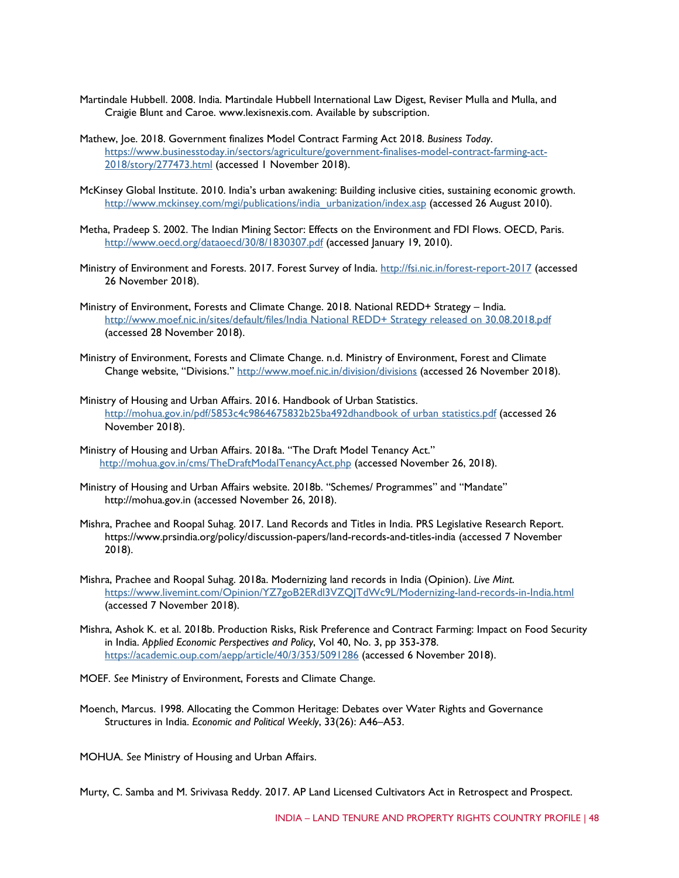- Martindale Hubbell. 2008. India. Martindale Hubbell International Law Digest, Reviser Mulla and Mulla, and Craigie Blunt and Caroe. [www.lexisnexis.com. A](http://www.lexisnexis.com/)vailable by subscription.
- Mathew, Joe. 2018. Government finalizes Model Contract Farming Act 2018. *Business Today*. [https://www.businesstoday.in/sectors/agriculture/government-finalises-model-contract-farming-act-](https://www.businesstoday.in/sectors/agriculture/government-finalises-model-contract-farming-act-2018/story/277473.html)[2018/story/277473.html](https://www.businesstoday.in/sectors/agriculture/government-finalises-model-contract-farming-act-2018/story/277473.html) (accessed 1 November 2018).
- McKinsey Global Institute. 2010. India's urban awakening: Building inclusive cities, sustaining economic growth. [http://www.mckinsey.com/mgi/publications/india\\_urbanization/index.asp](http://www.mckinsey.com/mgi/publications/india_urbanization/index.asp) [\(](http://www.mckinsey.com/mgi/publications/india_urbanization/index.asp)accessed 26 August 2010).
- Metha, Pradeep S. 2002. The Indian Mining Sector: Effects on the Environment and FDI Flows. OECD, Paris. <http://www.oecd.org/dataoecd/30/8/1830307.pdf> (accessed January 19, 2010).
- Ministry of Environment and Forests. 2017. Forest Survey of India.<http://fsi.nic.in/forest-report-2017> (accessed 26 November 2018).
- Ministry of Environment, Forests and Climate Change. 2018. National REDD+ Strategy India. [http://www.moef.nic.in/sites/default/files/India National REDD+ Strategy released on 30.08.2018.pdf](http://www.moef.nic.in/sites/default/files/India%20National%20REDD%2B%20Strategy%20released%20on%2030.08.2018.pdf) (accessed 28 November 2018).
- Ministry of Environment, Forests and Climate Change. n.d. Ministry of Environment, Forest and Climate Change website, "Divisions."<http://www.moef.nic.in/division/divisions> (accessed 26 November 2018).
- Ministry of Housing and Urban Affairs. 2016. Handbook of Urban Statistics. [http://mohua.gov.in/pdf/5853c4c9864675832b25ba492dhandbook of urban statistics.pdf](http://mohua.gov.in/pdf/5853c4c9864675832b25ba492dhandbook%20of%20urban%20statistics.pdf) (accessed 26 November 2018).
- Ministry of Housing and Urban Affairs. 2018a. "The Draft Model Tenancy Act." <http://mohua.gov.in/cms/TheDraftModalTenancyAct.php> (accessed November 26, 2018).
- Ministry of Housing and Urban Affairs website. 2018b. "Schemes/ Programmes" and "Mandate" http://mohua.gov.in (accessed November 26, 2018).
- Mishra, Prachee and Roopal Suhag. 2017. Land Records and Titles in India. PRS Legislative Research Report. https://www.prsindia.org/policy/discussion-papers/land-records-and-titles-india (accessed 7 November 2018).
- Mishra, Prachee and Roopal Suhag. 2018a. Modernizing land records in India (Opinion). *Live Mint*. <https://www.livemint.com/Opinion/YZ7goB2ERdl3VZQJTdWc9L/Modernizing-land-records-in-India.html> (accessed 7 November 2018).
- Mishra, Ashok K. et al. 2018b. Production Risks, Risk Preference and Contract Farming: Impact on Food Security in India. *Applied Economic Perspectives and Policy*, Vol 40, No. 3, pp 353-378. <https://academic.oup.com/aepp/article/40/3/353/5091286> (accessed 6 November 2018).
- MOEF. *See* Ministry of Environment, Forests and Climate Change.
- Moench, Marcus. 1998. Allocating the Common Heritage: Debates over Water Rights and Governance Structures in India. *Economic and Political Weekly*, 33(26): A46–A53.

MOHUA. *See* Ministry of Housing and Urban Affairs.

Murty, C. Samba and M. Srivivasa Reddy. 2017. AP Land Licensed Cultivators Act in Retrospect and Prospect.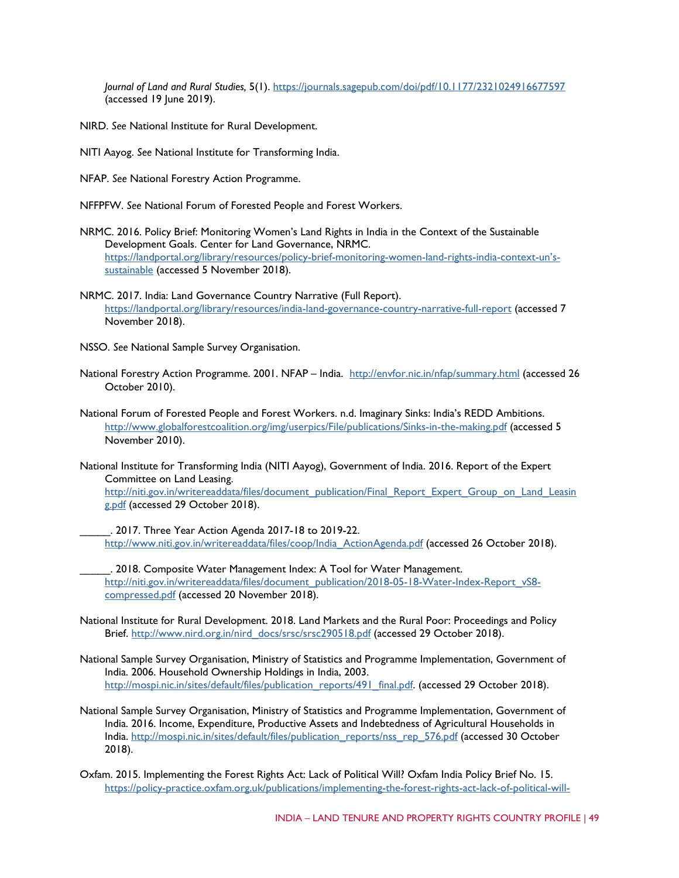*Journal of Land and Rural Studies,* 5(1).<https://journals.sagepub.com/doi/pdf/10.1177/2321024916677597> (accessed 19 June 2019).

NIRD. *See* National Institute for Rural Development.

NITI Aayog. *See* National Institute for Transforming India.

NFAP. *See* National Forestry Action Programme.

NFFPFW. *See* National Forum of Forested People and Forest Workers.

- NRMC. 2016. Policy Brief: Monitoring Women's Land Rights in India in the Context of the Sustainable Development Goals. Center for Land Governance, NRMC. [https://landportal.org/library/resources/policy-brief-monitoring-women-land-rights-india-context-un's](https://landportal.org/library/resources/policy-brief-monitoring-women-land-rights-india-context-un%E2%80%99s-sustainable)[sustainable](https://landportal.org/library/resources/policy-brief-monitoring-women-land-rights-india-context-un%E2%80%99s-sustainable) (accessed 5 November 2018).
- NRMC. 2017. India: Land Governance Country Narrative (Full Report). <https://landportal.org/library/resources/india-land-governance-country-narrative-full-report> (accessed 7 November 2018).
- NSSO. *See* National Sample Survey Organisation.
- National Forestry Action Programme. 2001. NFAP India. <http://envfor.nic.in/nfap/summary.html> [\(](http://envfor.nic.in/nfap/summary.html)accessed 26 October 2010).
- National Forum of Forested People and Forest Workers. n.d. Imaginary Sinks: India's REDD Ambitions. <http://www.globalforestcoalition.org/img/userpics/File/publications/Sinks-in-the-making.pdf> (accessed 5 November 2010).
- National Institute for Transforming India (NITI Aayog), Government of India. 2016. Report of the Expert Committee on Land Leasing. [http://niti.gov.in/writereaddata/files/document\\_publication/Final\\_Report\\_Expert\\_Group\\_on\\_Land\\_Leasin](http://niti.gov.in/writereaddata/files/document_publication/Final_Report_Expert_Group_on_Land_Leasing.pdf) [g.pdf](http://niti.gov.in/writereaddata/files/document_publication/Final_Report_Expert_Group_on_Land_Leasing.pdf) (accessed 29 October 2018).
	- \_\_\_\_\_. 2017. Three Year Action Agenda 2017-18 to 2019-22. [http://www.niti.gov.in/writereaddata/files/coop/India\\_ActionAgenda.pdf](http://www.niti.gov.in/writereaddata/files/coop/India_ActionAgenda.pdf) (accessed 26 October 2018).
	- \_\_\_\_\_. 2018. Composite Water Management Index: A Tool for Water Management. [http://niti.gov.in/writereaddata/files/document\\_publication/2018-05-18-Water-Index-Report\\_vS8](http://niti.gov.in/writereaddata/files/document_publication/2018-05-18-Water-Index-Report_vS8-compressed.pdf) [compressed.pdf](http://niti.gov.in/writereaddata/files/document_publication/2018-05-18-Water-Index-Report_vS8-compressed.pdf) (accessed 20 November 2018).
- National Institute for Rural Development. 2018. Land Markets and the Rural Poor: Proceedings and Policy Brief. [http://www.nird.org.in/nird\\_docs/srsc/srsc290518.pdf](http://www.nird.org.in/nird_docs/srsc/srsc290518.pdf) (accessed 29 October 2018).
- National Sample Survey Organisation, Ministry of Statistics and Programme Implementation, Government of India. 2006. Household Ownership Holdings in India, 2003. [http://mospi.nic.in/sites/default/files/publication\\_reports/491\\_final.pdf.](http://mospi.nic.in/sites/default/files/publication_reports/491_final.pdf) (accessed 29 October 2018).
- National Sample Survey Organisation, Ministry of Statistics and Programme Implementation, Government of India. 2016. Income, Expenditure, Productive Assets and Indebtedness of Agricultural Households in India. [http://mospi.nic.in/sites/default/files/publication\\_reports/nss\\_rep\\_576.pdf](http://mospi.nic.in/sites/default/files/publication_reports/nss_rep_576.pdf) (accessed 30 October 2018).
- Oxfam. 2015. Implementing the Forest Rights Act: Lack of Political Will? Oxfam India Policy Brief No. 15. [https://policy-practice.oxfam.org.uk/publications/implementing-the-forest-rights-act-lack-of-political-will-](https://policy-practice.oxfam.org.uk/publications/implementing-the-forest-rights-act-lack-of-political-will-582783)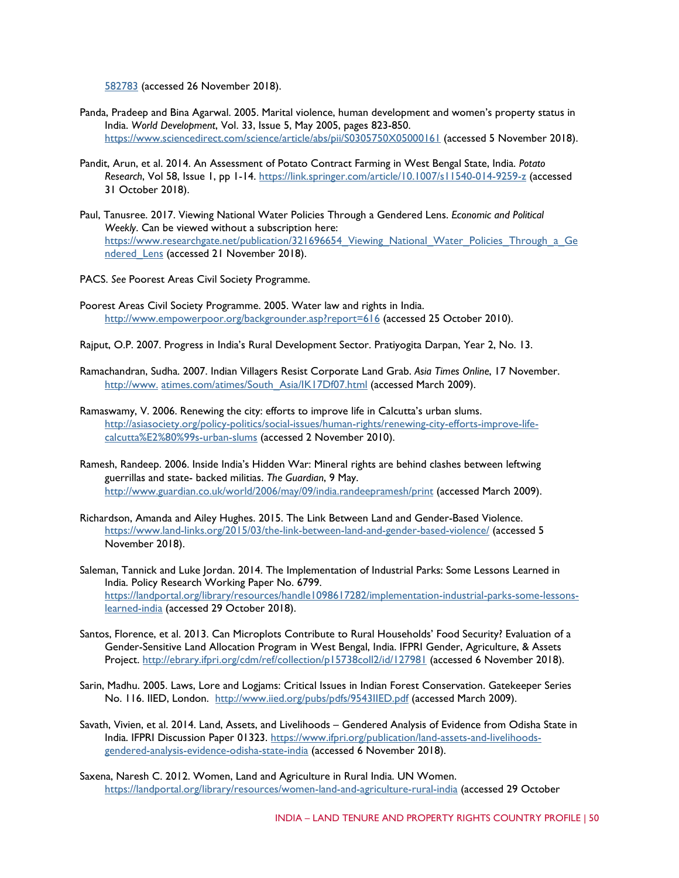[582783](https://policy-practice.oxfam.org.uk/publications/implementing-the-forest-rights-act-lack-of-political-will-582783) (accessed 26 November 2018).

- Panda, Pradeep and Bina Agarwal. 2005. Marital violence, human development and women's property status in India. *World Development*, Vol. 33, Issue 5, May 2005, pages 823-850. <https://www.sciencedirect.com/science/article/abs/pii/S0305750X05000161> (accessed 5 November 2018).
- Pandit, Arun, et al. 2014. An Assessment of Potato Contract Farming in West Bengal State, India. *Potato Research*, Vol 58, Issue 1, pp 1-14[. https://link.springer.com/article/10.1007/s11540-014-9259-z](https://link.springer.com/article/10.1007/s11540-014-9259-z) (accessed 31 October 2018).
- Paul, Tanusree. 2017. Viewing National Water Policies Through a Gendered Lens. *Economic and Political Weekly*. Can be viewed without a subscription here: https://www.researchgate.net/publication/321696654 Viewing National Water Policies Through a Ge ndered Lens (accessed 21 November 2018).
- PACS. *See* Poorest Areas Civil Society Programme.
- Poorest Areas Civil Society Programme. 2005. Water law and rights in India. <http://www.empowerpoor.org/backgrounder.asp?report=616> (accessed 25 October 2010).
- Rajput, O.P. 2007. Progress in India's Rural Development Sector. Pratiyogita Darpan, Year 2, No. 13.
- Ramachandran, Sudha. 2007. Indian Villagers Resist Corporate Land Grab. *Asia Times Online*, 17 November. [http://www.](http://www.atimes.com/atimes/South_Asia/IK17Df07.html) [atimes.com/atimes/South\\_Asia/IK17Df07.html](http://www.atimes.com/atimes/South_Asia/IK17Df07.html) (accessed March 2009).
- Ramaswamy, V. 2006. Renewing the city: efforts to improve life in Calcutta's urban slums. [http://asiasociety.org/policy-politics/social-issues/human-rights/renewing-city-efforts-improve-life](http://asiasociety.org/policy-politics/social-issues/human-rights/renewing-city-efforts-improve-life-calcutta%E2%80%99s-urban-slums)[calcutta%E2%80%99s-urban-slums](http://asiasociety.org/policy-politics/social-issues/human-rights/renewing-city-efforts-improve-life-calcutta%E2%80%99s-urban-slums) [\(](http://asiasociety.org/policy-politics/social-issues/human-rights/renewing-city-efforts-improve-life-calcutta%E2%80%99s-urban-slums)accessed 2 November 2010).
- Ramesh, Randeep. 2006. Inside India's Hidden War: Mineral rights are behind clashes between leftwing guerrillas and state- backed militias. *The Guardian*, 9 May. <http://www.guardian.co.uk/world/2006/may/09/india.randeepramesh/print> [\(](http://www.guardian.co.uk/world/2006/may/09/india.randeepramesh/print)accessed March 2009).
- Richardson, Amanda and Ailey Hughes. 2015. The Link Between Land and Gender-Based Violence. <https://www.land-links.org/2015/03/the-link-between-land-and-gender-based-violence/> (accessed 5 November 2018).
- Saleman, Tannick and Luke Jordan. 2014. The Implementation of Industrial Parks: Some Lessons Learned in India. Policy Research Working Paper No. 6799. [https://landportal.org/library/resources/handle1098617282/implementation-industrial-parks-some-lessons](https://landportal.org/library/resources/handle1098617282/implementation-industrial-parks-some-lessons-learned-india)[learned-india](https://landportal.org/library/resources/handle1098617282/implementation-industrial-parks-some-lessons-learned-india) (accessed 29 October 2018).
- Santos, Florence, et al. 2013. Can Microplots Contribute to Rural Households' Food Security? Evaluation of a Gender-Sensitive Land Allocation Program in West Bengal, India. IFPRI Gender, Agriculture, & Assets Project.<http://ebrary.ifpri.org/cdm/ref/collection/p15738coll2/id/127981> (accessed 6 November 2018).
- Sarin, Madhu. 2005. Laws, Lore and Logjams: Critical Issues in Indian Forest Conservation. Gatekeeper Series No. 116. IIED, London. <http://www.iied.org/pubs/pdfs/9543IIED.pdf> [\(](http://www.iied.org/pubs/pdfs/9543IIED.pdf)accessed March 2009).
- Savath, Vivien, et al. 2014. Land, Assets, and Livelihoods Gendered Analysis of Evidence from Odisha State in India. IFPRI Discussion Paper 01323. [https://www.ifpri.org/publication/land-assets-and-livelihoods](https://www.ifpri.org/publication/land-assets-and-livelihoods-gendered-analysis-evidence-odisha-state-india)[gendered-analysis-evidence-odisha-state-india](https://www.ifpri.org/publication/land-assets-and-livelihoods-gendered-analysis-evidence-odisha-state-india) (accessed 6 November 2018).
- Saxena, Naresh C. 2012. Women, Land and Agriculture in Rural India. UN Women. <https://landportal.org/library/resources/women-land-and-agriculture-rural-india> (accessed 29 October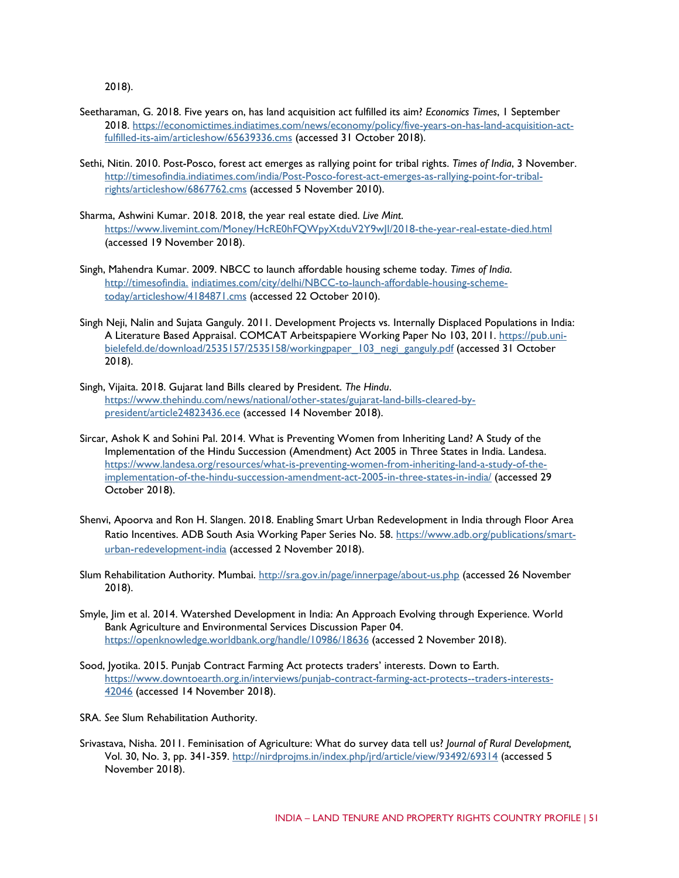2018).

- Seetharaman, G. 2018. Five years on, has land acquisition act fulfilled its aim? *Economics Times*, 1 September 2018. [https://economictimes.indiatimes.com/news/economy/policy/five-years-on-has-land-acquisition-act](https://economictimes.indiatimes.com/news/economy/policy/five-years-on-has-land-acquisition-act-fulfilled-its-aim/articleshow/65639336.cms)[fulfilled-its-aim/articleshow/65639336.cms](https://economictimes.indiatimes.com/news/economy/policy/five-years-on-has-land-acquisition-act-fulfilled-its-aim/articleshow/65639336.cms) (accessed 31 October 2018).
- Sethi, Nitin. 2010. Post-Posco, forest act emerges as rallying point for tribal rights. *Times of India*, 3 November. [http://timesofindia.indiatimes.com/india/Post-Posco-forest-act-emerges-as-rallying-point-for-tribal](http://timesofindia.indiatimes.com/india/Post-Posco-forest-act-emerges-as-rallying-point-for-tribal-rights/articleshow/6867762.cms)[rights/articleshow/6867762.cms](http://timesofindia.indiatimes.com/india/Post-Posco-forest-act-emerges-as-rallying-point-for-tribal-rights/articleshow/6867762.cms) [\(](http://timesofindia.indiatimes.com/india/Post-Posco-forest-act-emerges-as-rallying-point-for-tribal-rights/articleshow/6867762.cms)accessed 5 November 2010).
- Sharma, Ashwini Kumar. 2018. 2018, the year real estate died. *Live Mint*. <https://www.livemint.com/Money/HcRE0hFQWpyXtduV2Y9wJI/2018-the-year-real-estate-died.html> (accessed 19 November 2018).
- Singh, Mahendra Kumar. 2009. NBCC to launch affordable housing scheme today. *Times of India*. [http://timesofindia.](http://timesofindia.indiatimes.com/city/delhi/NBCC-to-launch-affordable-housing-scheme-today/articleshow/4184871.cms) [indiatimes.com/city/delhi/NBCC-to-launch-affordable-housing-scheme](http://timesofindia.indiatimes.com/city/delhi/NBCC-to-launch-affordable-housing-scheme-today/articleshow/4184871.cms)[today/articleshow/4184871.cms](http://timesofindia.indiatimes.com/city/delhi/NBCC-to-launch-affordable-housing-scheme-today/articleshow/4184871.cms) [\(](http://timesofindia.indiatimes.com/city/delhi/NBCC-to-launch-affordable-housing-scheme-today/articleshow/4184871.cms)accessed 22 October 2010).
- Singh Neji, Nalin and Sujata Ganguly. 2011. Development Projects vs. Internally Displaced Populations in India: A Literature Based Appraisal. COMCAT Arbeitspapiere Working Paper No 103, 2011. [https://pub.uni](https://pub.uni-bielefeld.de/download/2535157/2535158/workingpaper_103_negi_ganguly.pdf)bielefeld.de/download/2535157/2535158/workingpaper 103 negi\_ganguly.pdf (accessed 31 October 2018).
- Singh, Vijaita. 2018. Gujarat land Bills cleared by President. *The Hindu*. [https://www.thehindu.com/news/national/other-states/gujarat-land-bills-cleared-by](https://www.thehindu.com/news/national/other-states/gujarat-land-bills-cleared-by-president/article24823436.ece)[president/article24823436.ece](https://www.thehindu.com/news/national/other-states/gujarat-land-bills-cleared-by-president/article24823436.ece) (accessed 14 November 2018).
- Sircar, Ashok K and Sohini Pal. 2014. What is Preventing Women from Inheriting Land? A Study of the Implementation of the Hindu Succession (Amendment) Act 2005 in Three States in India. Landesa. [https://www.landesa.org/resources/what-is-preventing-women-from-inheriting-land-a-study-of-the](https://www.landesa.org/resources/what-is-preventing-women-from-inheriting-land-a-study-of-the-implementation-of-the-hindu-succession-amendment-act-2005-in-three-states-in-india/)[implementation-of-the-hindu-succession-amendment-act-2005-in-three-states-in-india/](https://www.landesa.org/resources/what-is-preventing-women-from-inheriting-land-a-study-of-the-implementation-of-the-hindu-succession-amendment-act-2005-in-three-states-in-india/) (accessed 29 October 2018).
- Shenvi, Apoorva and Ron H. Slangen. 2018. Enabling Smart Urban Redevelopment in India through Floor Area Ratio Incentives. ADB South Asia Working Paper Series No. 58. [https://www.adb.org/publications/smart](https://www.adb.org/publications/smart-urban-redevelopment-india)[urban-redevelopment-india](https://www.adb.org/publications/smart-urban-redevelopment-india) (accessed 2 November 2018).
- Slum Rehabilitation Authority. Mumbai.<http://sra.gov.in/page/innerpage/about-us.php> (accessed 26 November 2018).
- Smyle, Jim et al. 2014. Watershed Development in India: An Approach Evolving through Experience. World Bank Agriculture and Environmental Services Discussion Paper 04. <https://openknowledge.worldbank.org/handle/10986/18636> (accessed 2 November 2018).
- Sood, Jyotika. 2015. Punjab Contract Farming Act protects traders' interests. Down to Earth. [https://www.downtoearth.org.in/interviews/punjab-contract-farming-act-protects--traders-interests-](https://www.downtoearth.org.in/interviews/punjab-contract-farming-act-protects--traders-interests-42046)[42046](https://www.downtoearth.org.in/interviews/punjab-contract-farming-act-protects--traders-interests-42046) (accessed 14 November 2018).
- SRA. *See* Slum Rehabilitation Authority.
- Srivastava, Nisha. 2011. Feminisation of Agriculture: What do survey data tell us? *Journal of Rural Development,* Vol. 30, No. 3, pp. 341-359[. http://nirdprojms.in/index.php/jrd/article/view/93492/69314](http://nirdprojms.in/index.php/jrd/article/view/93492/69314) (accessed 5 November 2018).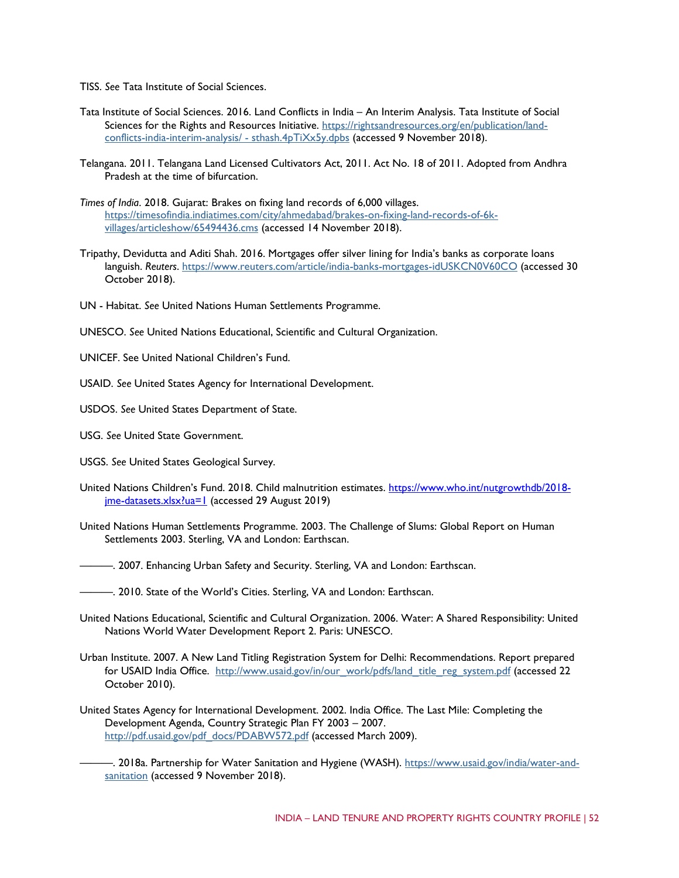TISS. *See* Tata Institute of Social Sciences.

- Tata Institute of Social Sciences. 2016. Land Conflicts in India An Interim Analysis. Tata Institute of Social Sciences for the Rights and Resources Initiative. [https://rightsandresources.org/en/publication/land](https://rightsandresources.org/en/publication/land-conflicts-india-interim-analysis/#sthash.4pTiXx5y.dpbs)[conflicts-india-interim-analysis/ -](https://rightsandresources.org/en/publication/land-conflicts-india-interim-analysis/#sthash.4pTiXx5y.dpbs) sthash.4pTiXx5y.dpbs (accessed 9 November 2018).
- Telangana. 2011. Telangana Land Licensed Cultivators Act, 2011. Act No. 18 of 2011. Adopted from Andhra Pradesh at the time of bifurcation.
- *Times of India*. 2018. Gujarat: Brakes on fixing land records of 6,000 villages. [https://timesofindia.indiatimes.com/city/ahmedabad/brakes-on-fixing-land-records-of-6k](https://timesofindia.indiatimes.com/city/ahmedabad/brakes-on-fixing-land-records-of-6k-villages/articleshow/65494436.cms)[villages/articleshow/65494436.cms](https://timesofindia.indiatimes.com/city/ahmedabad/brakes-on-fixing-land-records-of-6k-villages/articleshow/65494436.cms) (accessed 14 November 2018).
- Tripathy, Devidutta and Aditi Shah. 2016. Mortgages offer silver lining for India's banks as corporate loans languish. *Reuters*.<https://www.reuters.com/article/india-banks-mortgages-idUSKCN0V60CO> (accessed 30 October 2018).
- UN Habitat. *See* United Nations Human Settlements Programme.
- UNESCO. *See* United Nations Educational, Scientific and Cultural Organization.
- UNICEF. See United National Children's Fund.
- USAID. *See* United States Agency for International Development.
- USDOS. *See* United States Department of State.
- USG. *See* United State Government.
- USGS. *See* United States Geological Survey.
- United Nations Children's Fund. 2018. Child malnutrition estimates. [https://www.who.int/nutgrowthdb/2018](https://www.who.int/nutgrowthdb/2018-jme-datasets.xlsx?ua=1) [jme-datasets.xlsx?ua=1](https://www.who.int/nutgrowthdb/2018-jme-datasets.xlsx?ua=1) (accessed 29 August 2019)
- United Nations Human Settlements Programme. 2003. The Challenge of Slums: Global Report on Human Settlements 2003. Sterling, VA and London: Earthscan.
- ———. 2007. Enhancing Urban Safety and Security. Sterling, VA and London: Earthscan.

- United Nations Educational, Scientific and Cultural Organization. 2006. Water: A Shared Responsibility: United Nations World Water Development Report 2. Paris: UNESCO.
- Urban Institute. 2007. A New Land Titling Registration System for Delhi: Recommendations. Report prepared for USAID India Office. [http://www.usaid.gov/in/our\\_work/pdfs/land\\_title\\_reg\\_system.pdf](http://www.usaid.gov/in/our_work/pdfs/land_title_reg_system.pdf) [\(](http://www.usaid.gov/in/our_work/pdfs/land_title_reg_system.pdf)accessed 22 October 2010).
- United States Agency for International Development. 2002. India Office. The Last Mile: Completing the Development Agenda, Country Strategic Plan FY 2003 – 2007. [http://pdf.usaid.gov/pdf\\_docs/PDABW572.pdf](http://pdf.usaid.gov/pdf_docs/PDABW572.pdf) (accessed March 2009).
	- ———. 2018a. Partnership for Water Sanitation and Hygiene (WASH). [https://www.usaid.gov/india/water-and](https://www.usaid.gov/india/water-and-sanitation)[sanitation](https://www.usaid.gov/india/water-and-sanitation) (accessed 9 November 2018).

<sup>———. 2010.</sup> State of the World's Cities. Sterling, VA and London: Earthscan.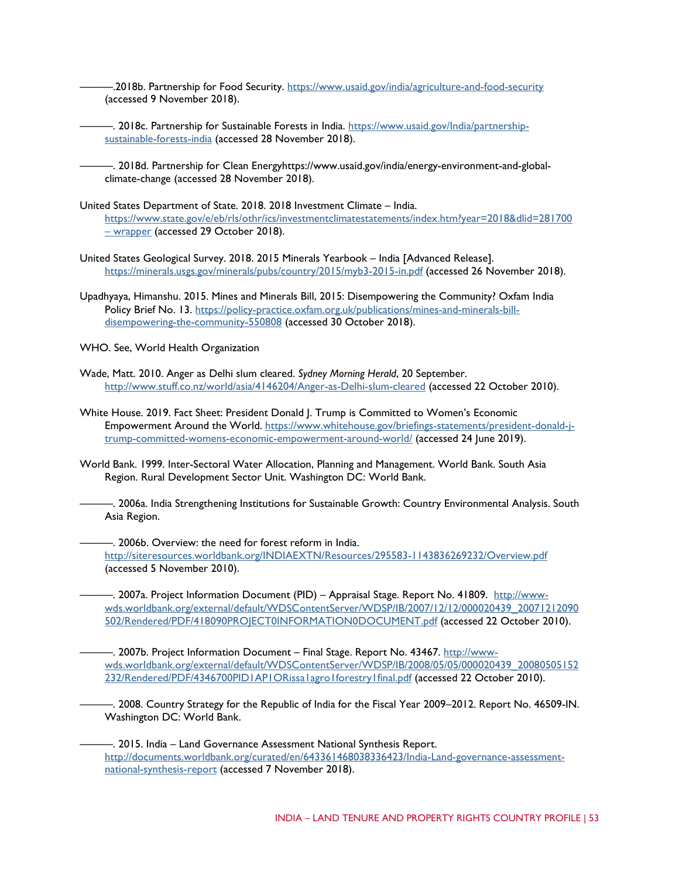———.2018b. Partnership for Food Security.<https://www.usaid.gov/india/agriculture-and-food-security> (accessed 9 November 2018).

- ———. 2018c. Partnership for Sustainable Forests in India. [https://www.usaid.gov/India/partnership](https://www.usaid.gov/India/partnership-sustainable-forests-india)[sustainable-forests-india](https://www.usaid.gov/India/partnership-sustainable-forests-india) (accessed 28 November 2018).
- ———. 2018d. Partnership for Clean Energyhttps://www.usaid.gov/india/energy-environment-and-globalclimate-change (accessed 28 November 2018).
- United States Department of State. 2018. 2018 Investment Climate India. [https://www.state.gov/e/eb/rls/othr/ics/investmentclimatestatements/index.htm?year=2018&dlid=281700](https://www.state.gov/e/eb/rls/othr/ics/investmentclimatestatements/index.htm?year=2018&dlid=281700#wrapper)  – [wrapper](https://www.state.gov/e/eb/rls/othr/ics/investmentclimatestatements/index.htm?year=2018&dlid=281700#wrapper) (accessed 29 October 2018).
- United States Geological Survey. 2018. 2015 Minerals Yearbook India [Advanced Release]. <https://minerals.usgs.gov/minerals/pubs/country/2015/myb3-2015-in.pdf> (accessed 26 November 2018).
- Upadhyaya, Himanshu. 2015. Mines and Minerals Bill, 2015: Disempowering the Community? Oxfam India Policy Brief No. 13. [https://policy-practice.oxfam.org.uk/publications/mines-and-minerals-bill](https://policy-practice.oxfam.org.uk/publications/mines-and-minerals-bill-disempowering-the-community-550808)[disempowering-the-community-550808](https://policy-practice.oxfam.org.uk/publications/mines-and-minerals-bill-disempowering-the-community-550808) (accessed 30 October 2018).

WHO. See, World Health Organization

- Wade, Matt. 2010. Anger as Delhi slum cleared. *Sydney Morning Herald*, 20 September. <http://www.stuff.co.nz/world/asia/4146204/Anger-as-Delhi-slum-cleared> [\(](http://www.stuff.co.nz/world/asia/4146204/Anger-as-Delhi-slum-cleared)accessed 22 October 2010).
- White House. 2019. Fact Sheet: President Donald J. Trump is Committed to Women's Economic Empowerment Around the World. [https://www.whitehouse.gov/briefings-statements/president-donald-j](https://www.whitehouse.gov/briefings-statements/president-donald-j-trump-committed-womens-economic-empowerment-around-world/)[trump-committed-womens-economic-empowerment-around-world/](https://www.whitehouse.gov/briefings-statements/president-donald-j-trump-committed-womens-economic-empowerment-around-world/) (accessed 24 June 2019).
- World Bank. 1999. Inter-Sectoral Water Allocation, Planning and Management. World Bank. South Asia Region. Rural Development Sector Unit. Washington DC: World Bank.

———. 2006a. India Strengthening Institutions for Sustainable Growth: Country Environmental Analysis. South Asia Region.

———. 2006b. Overview: the need for forest reform in India. <http://siteresources.worldbank.org/INDIAEXTN/Resources/295583-1143836269232/Overview.pdf> (accessed 5 November 2010).

—. 2007a. Project Information Document (PID) – Appraisal Stage. Report No. 41809.  $\frac{\text{http://www-}}{\text{http://www-}}$ [wds.worldbank.org/external/default/WDSContentServer/WDSP/IB/2007/12/12/000020439\\_20071212090](http://www-wds.worldbank.org/external/default/WDSContentServer/WDSP/IB/2007/12/12/000020439_20071212090502/Rendered/PDF/418090PROJECT0INFORMATION0DOCUMENT.pdf) [502/Rendered/PDF/418090PROJECT0INFORMATION0DOCUMENT.pdf](http://www-wds.worldbank.org/external/default/WDSContentServer/WDSP/IB/2007/12/12/000020439_20071212090502/Rendered/PDF/418090PROJECT0INFORMATION0DOCUMENT.pdf) (accessed 22 October 2010).

———. 2007b. Project Information Document – Final Stage. Report No. 43467. [http://www](http://www-wds.worldbank.org/external/default/WDSContentServer/WDSP/IB/2008/05/05/000020439_20080505152232/Rendered/PDF/4346700PID1AP1ORissa1agro1forestry1final.pdf)[wds.worldbank.org/external/default/WDSContentServer/WDSP/IB/2008/05/05/000020439\\_20080505152](http://www-wds.worldbank.org/external/default/WDSContentServer/WDSP/IB/2008/05/05/000020439_20080505152232/Rendered/PDF/4346700PID1AP1ORissa1agro1forestry1final.pdf) [232/Rendered/PDF/4346700PID1AP1ORissa1agro1forestry1final.pdf](http://www-wds.worldbank.org/external/default/WDSContentServer/WDSP/IB/2008/05/05/000020439_20080505152232/Rendered/PDF/4346700PID1AP1ORissa1agro1forestry1final.pdf) (accessed 22 October 2010).

———. 2008. Country Strategy for the Republic of India for the Fiscal Year 2009–2012. Report No. 46509-IN. Washington DC: World Bank.

———. 2015. India – Land Governance Assessment National Synthesis Report. [http://documents.worldbank.org/curated/en/643361468038336423/India-Land-governance-assessment](http://documents.worldbank.org/curated/en/643361468038336423/India-Land-governance-assessment-national-synthesis-report)[national-synthesis-report](http://documents.worldbank.org/curated/en/643361468038336423/India-Land-governance-assessment-national-synthesis-report) (accessed 7 November 2018).